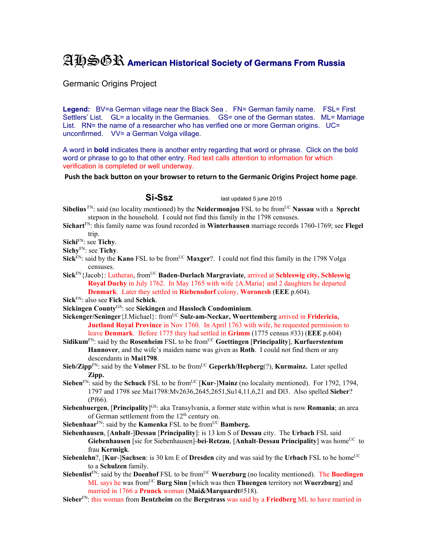## AHSGR **American Historical Society of Germans From Russia**

Germanic Origins Project

**Legend:** BV=a German village near the Black Sea . FN= German family name. FSL= First Settlers' List. GL= a locality in the Germanies. GS= one of the German states. ML= Marriage List. RN= the name of a researcher who has verified one or more German origins. UC= unconfirmed. VV= a German Volga village.

A word in **bold** indicates there is another entry regarding that word or phrase. Click on the bold word or phrase to go to that other entry. Red text calls attention to information for which verification is completed or well underway.

**Push the back button on your browser to return to the Germanic Origins Project home page**.

**Si-Ssz** last updated 5 june 2015

- **Sibelius** FN: said (no locality mentioned) by the **Neidermonjou** FSL to be from<sup>UC</sup> **Nassau** with a **Sprecht** stepson in the household. I could not find this family in the 1798 censuses.
- **Sichart**FN: this family name was found recorded in **Winterhausen** marriage records 1760-1769; see **Flegel** trip.

**Sichi**FN: see **Tichy**.

- **Sichy**FN: see **Tichy**.
- Sick<sup>FN</sup>: said by the **Kano** FSL to be from<sup>UC</sup> Maxger?. I could not find this family in the 1798 Volga censuses.
- **Sick**FN{Jacob}: Lutheran, fromUC **Baden-Durlach Margraviate**, arrived at **Schleswig city, Schleswig Royal Duchy** in July 1762. In May 1765 with wife {A.Maria} and 2 daughters he departed **Denmark**. Later they settled in **Riebensdorf** colony, **Woronesh** (**EEE** p.604).

**Sick**FN: also see **Fick** and **Schick**.

- **Sickingen County**GS: see **Siekingen** and **Hassloch Condominium**.
- **Sickenger/Seninger**{J.Michael}: fromUC **Sulz-am-Neckar, Wuerttemberg** arrived in **Fridericia, Juetland Royal Province** in Nov 1760. In April 1763 with wife, he requested permission to leave **Denmark**. Before 1775 they had settled in **Grimm** (1775 census #33) (**EEE** p.604)
- **Sidikum**<sup>FN</sup>: said by the **Rosenheim** FSL to be from<sup>UC</sup> Goettingen [Principality], **Kurfuerstentum Hannover**, and the wife's maiden name was given as **Roth**. I could not find them or any descendants in **Mai1798**.
- **Sieb/Zipp**<sup>FN</sup>: said by the **Volmer** FSL to be from<sup>UC</sup> Geperkh/Hepberg(?), **Kurmainz.** Later spelled **Zipp.**
- **Sieben**<sup>FN</sup>: said by the **Schuck** FSL to be from<sup>UC</sup> [**Kur-**]**Mainz** (no localaity mentioned). For 1792, 1794, 1797 and 1798 see Mai1798:Mv2636,2645,2651,Su14,11,6,21 and Dl3. Also spelled **Sieber**? (Pf66).
- Siebenbuergen, [Principality]<sup>GS</sup>: aka Transylvania, a former state within what is now Romania; an area of German settlement from the 12<sup>th</sup> century on.
- **Siebenhaar**<sup>FN</sup>: said by the **Kamenka** FSL to be from<sup>UC</sup> **Bamberg.**
- **Siebenhausen**, [**Anhalt**-]**Dessau** [**Principality**]: is 13 km S of **Dessau** city. The **Urbach** FSL said **Giebenhausen** [sic for Siebenhausen]-**bei-Retzau, [Anhalt-Dessau Principality**] was home<sup>UC</sup> to frau **Kermigk**.
- **Siebenlehn**?,  $[Kur$ -**]Sachsen**: is 30 km E of **Dresden** city and was said by the Urbach FSL to be home<sup>UC</sup> to a **Schulzen** family.
- **Siebenlist**<sup>FN</sup>: said by the **Doenhof** FSL to be from<sup>UC</sup> **Wuerzburg** (no locality mentioned). The **Buedingen** ML says he was fromUC **Burg Sinn** [which was then **Thuengen** territory not **Wuerzburg**] and married in 1766 a **Prunck** woman (**Mai&Marquardt**#518).
- **Sieber**FN: this woman from **Bentzheim** on the **Bergstrass** was said by a **Friedberg** ML to have married in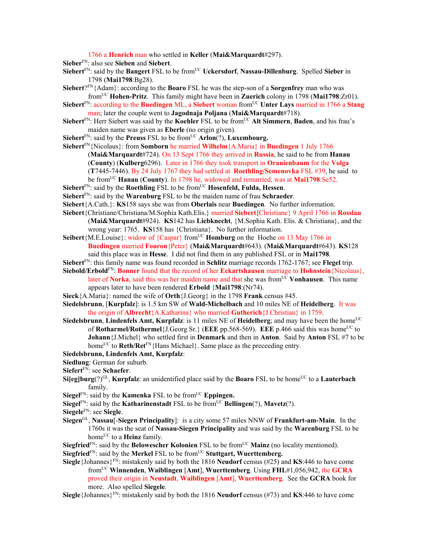1766 a **Henrich** man who settled in **Keller** (**Mai&Marquardt**#297).

**Sieber**FN: also see **Sieben** and **Siebert**.

- **Siebert**<sup>FN</sup>: said by the **Bangert** FSL to be from<sup>UC</sup> **Uckersdorf**, **Nassau-Dillenburg**. Spelled **Sieber** in 1798 (**Mai1798**:Bg28).
- **Siebert**?FN{Adam}: according to the **Boaro** FSL he was the step-son of a **Sorgenfrey** man who was fromUC **Hohen-Pritz**. This family might have been in **Zuerich** colony in 1798 (**Mai1798**:Zr01).
- **Siebert**<sup>FN</sup>: according to the **Buedingen** ML, a **Siebert** woman from<sup>UC</sup> Unter Lays married in 1766 a Stang man; later the couple went to **Jagodnaja Poljana** (**Mai&Marquardt**#718).
- **Siebert**<sup>FN</sup>: Herr Siebert was said by the **Koehler** FSL to be from<sup>UC</sup> Alt Simmern, Baden, and his frau's maiden name was given as **Eberle** (no origin given).
- Siebert<sup>FN</sup>: said by the **Preuss** FSL to be from<sup>UC</sup> Arlon<sup>(?)</sup>, Luxembourg.
- **Siebert**FN{Nicolaus}: from **Somborn** he married **Wilhelm**{A.Maria} in **Buedingen** 1 July 1766 (**Mai&Marquardt**#724). On 13 Sept 1766 they arrived in **Russia**, he said to be from **Hanau**  (**County**) (**Kulberg**6296). Later in 1766 they took transport in **Oranienbaum** for the **Volga** (**T**7445-7446). By 24 July 1767 they had settled at **Roethling/Semenovka** FSL #39, he said to be fromUC **Hanau** (**County**). In 1798 he, widowed and remarried, was at **Mai1798**:Se52.
- Siebert<sup>FN</sup>: said by the **Roethling** FSL to be from<sup>UC</sup> **Hosenfeld, Fulda, Hessen**.
- **Siebert**FN: said by the **Warenburg** FSL to be the maiden name of frau **Schraeder**.
- **Siebert**{A.Cath.}: **KS**158 says she was from **Oberlais** near **Buedingen**. No further information.
- **Siebert**{Christiane/Christiana/M.Sophia Kath.Elis.} married **Siebert{**Christiane} 9 April 1766 in **Rosslau**  (**Mai&Marquardt**#924). **KS**142 has **Liebknecht**, {M.Sophia Kath. Elis. & Christiana}, and the wrong year: 1765. **KS**158 has {Christiana}. No further information.
- **Seibert**{M.E.Louise}: widow of {Caspar} from<sup>UC</sup> **Homburg** on the Hoehe on 13 May 1766 in **Buedingen** married **Fouron**{Peter} (**Mai&Marquardt**#643). (**Mai&Marquardt**#643). **KS**128 said this place was in **Hesse**. I did not find them in any published FSL or in **Mai1798**.
- **Siebert**FN: this family name was found recorded in **Schlitz** marriage records 1762-1767; see **Flegel** trip.
- **Siebold/Erbold**FN: **Bonner** found that the record of her **Eckartshausen** marriage to **Hohnstein**{Nicolaus},
	- later of **Norka**, said this was her maiden name and that she was fromUC **Vonhausen**. This name appears later to have been rendered **Erbold** {**Mai1798**:(Nr74).
- **Sieck**{A.Maria}: named the wife of **Orth**{J.Georg} in the 1798 **Frank** census #45.
- **Siedelsbrunn**, [**Kurpfalz**]: is 1.5 km SW of **Wald-Michelbach** and 10 miles NE of **Heidelberg**. It was the origin of **Albrecht**{A.Katharina} who married **Gutherich**{J.Christian} in 1759.
- **Siedelsbrunn, Lindenfels Amt, Kurpfalz**: is 11 miles NE of **Heidelberg**; and may have been the home<sup>UC</sup> of **Rotharmel/Rothermel**{J.Georg Sr.} (EEE pp.568-569). EEE p.466 said this was home<sup>UC</sup> to **Johann**{J.Michel} who settled first in **Denmark** and then in **Anton**. Said by **Anton** FSL #7 to be home<sup>UC</sup> to **Reth/Ret**<sup>FN</sup>{Hans Michael}. Same place as the preceeding entry.
- **Siedelsbrunn, Lindenfels Amt, Kurpfalz**:
- **Siedlung**: German for suburb.
- **Siefert**FN: see **Schaefer**.
- **Si**[eg]burg(?)<sup>GL</sup>, **Kurpfalz**: an unidentified place said by the **Boaro** FSL to be home<sup>UC</sup> to a **Lauterbach** family.
- **Siegel** $F_N$ : said by the **Kamenka** FSL to be from <sup>UC</sup> **Eppingen.**
- **Siegel**<sup>FN</sup>: said by the **Katharinenstadt** FSL to be from<sup>UC</sup> **Bellingen**(?), **Mavetz**(?).
- **Siegele**FN: see **Siegle**.
- **Siegen**GL, **Nassau**[-**Siegen Principality**]: is a city some 57 miles NNW of **Frankfurt-am-Main**. In the 1760s it was the seat of **Nassau-Siegen Principality** and was said by the **Warenburg** FSL to be home<sup>UC</sup> to a **Heinz** family.
- **Siegfried**<sup>FN</sup>: said by the **Belowescher Kolonien** FSL to be from<sup>UC</sup> Mainz (no locality mentioned).
- **Siegfried**<sup>FN</sup>: said by the **Merkel** FSL to be from<sup>UC</sup> Stuttgart, Wuerttemberg.
- **Siegle** {Johannes}<sup>FN</sup>: mistakenly said by both the 1816 **Neudorf** census (#25) and **KS**:446 to have come fromUC **Winnenden**, **Waiblingen** [**Amt**], **Wuerttemberg**. Using **FHL**#1,056,942, the **GCRA**  proved their origin in **Neustadt**, **Waiblingen** [**Amt**], **Wuerttemberg**. See the **GCRA** book for more. Also spelled **Siegele**.

**Siegle**{Johannes}FN: mistakenly said by both the 1816 **Neudorf** census (#73) and **KS**:446 to have come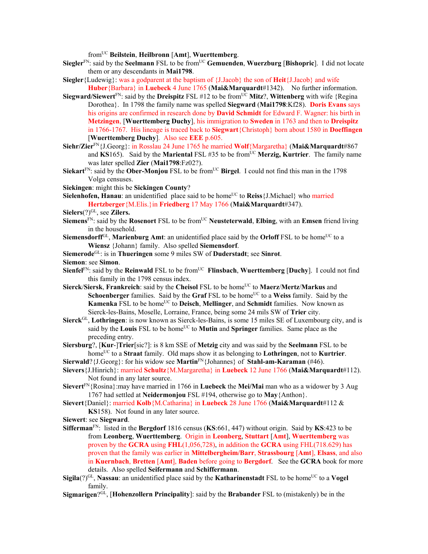fromUC **Beilstein**, **Heilbronn** [**Amt**], **Wuerttemberg**.

- **Siegler**FN: said by the **Seelmann** FSL to be fromUC **Gemuenden**, **Wuerzburg** [**Bishopric**]. I did not locate them or any descendants in **Mai1798**.
- **Siegler**{Ludewig}: was a godparent at the baptism of {J.Jacob} the son of **Heit**{J.Jacob} and wife **Huber**{Barbara} in **Luebeck** 4 June 1765 (**Mai&Marquardt**#1342). No further information.
- **Siegward/Siewert**<sup>FN</sup>: said by the **Dreispitz** FSL #12 to be from<sup>UC</sup> Mitz?, Wittenberg with wife {Regina Dorothea}. In 1798 the family name was spelled **Siegward** (**Mai1798**:Kf28). **Doris Evans** says his origins are confirmed in research done by **David Schmidt** for Edward F. Wagner: his birth in **Metzingen**, [**Wuerttemberg Duchy**], his immigration to **Sweden** in 1763 and then to **Dreispitz** in 1766-1767. His lineage is traced back to **Siegwart**{Christoph} born about 1580 in **Doeffingen**  [**Wuerttemberg Duchy**]. Also see **EEE** p.605.
- **Siehr/Zier**FN{J.Georg}: in Rosslau 24 June 1765 he married **Wolf**{Margaretha} (**Mai&Marquardt**#867 and  $\overline{KS}$ 165). Said by the **Mariental** FSL #35 to be from<sup>UC</sup> **Merzig, Kurtrier**. The family name was later spelled **Zier** (**Mai1798**:Fz02?).
- **Siekart**<sup>FN</sup>: said by the **Ober-Monjou** FSL to be from<sup>UC</sup> Birgel. I could not find this man in the 1798 Volga censuses.
- **Siekingen**: might this be **Sickingen County**?
- **Sielenhofen, Hanau**: an unidentified place said to be home<sup>UC</sup> to **Reiss**{J.Michael} who married **Hertzberger**{M.Elis.}in **Friedberg** 17 May 1766 (**Mai&Marquardt**#347).
- Sielers<sup>(?)GL</sup>, see **Zilers.**
- **Siemens**FN: said by the **Rosenort** FSL to be fromUC **Neusteterwald**, **Elbing**, with an **Emsen** friend living in the household.
- **Siemensdorff**<sup>GL</sup>, **Marienburg Amt**: an unidentified place said by the **Orloff** FSL to be home<sup>UC</sup> to a **Wiensz** {Johann} family. Also spelled **Siemensdorf**.
- **Siemerode**GL: is in **Thueringen** some 9 miles SW of **Duderstadt**; see **Sinrot**.
- **Siemon**: see **Simon**.
- **Sienfel**<sup>FN</sup>: said by the **Reinwald** FSL to be from<sup>UC</sup> **Flinsbach**, **Wuerttemberg** [Duchy]. I could not find this family in the 1798 census index.
- **Sierck/Siersk, Frankreich**: said by the Cheisol FSL to be home<sup>UC</sup> to Maerz/Mertz/Markus and **Schoenberger** families. Said by the **Graf** FSL to be home<sup>UC</sup> to a **Weiss** family. Said by the **Kamenka** FSL to be home<sup>UC</sup> to **Deisch, Mellinger**, and **Schmidt** families. Now known as Sierck-les-Bains, Moselle, Lorraine, France, being some 24 mils SW of **Trier** city.
- **Sierck**GL, **Lothringen**: is now known as Sierck-les-Bains, is some 15 miles SE of Luxembourg city, and is said by the **Louis** FSL to be home<sup>UC</sup> to **Mutin** and **Springer** families. Same place as the preceding entry.
- **Siersburg**?, [**Kur**-]**Trier**[sic?]: is 8 km SSE of **Metzig** city and was said by the **Seelmann** FSL to be homeUC to a **Straat** family. Old maps show it as belonging to **Lothringen**, not to **Kurtrier**.
- **Sierwald**?{J.Georg}: for his widow see **Martin**FN{Johannes} of **Stahl-am-Karaman** (#46).
- **Sievers**{J.Hinrich}: married **Schultz**{M.Margaretha} in **Luebeck** 12 June 1766 (**Mai&Marquardt**#112). Not found in any later source.
- **Sievert**FN{Rosina}:may have married in 1766 in **Luebeck** the **Mei/Mai** man who as a widower by 3 Aug 1767 had settled at **Neidermonjou** FSL #194, otherwise go to **May**{Anthon}.
- **Sievert**{Daniel}: married **Kolb**{M.Catharina} in **Luebeck** 28 June 1766 (**Mai&Marquardt**#112 & **KS**158). Not found in any later source.
- **Siewert**: see **Siegward**.
- **Sifferman**FN: listed in the **Bergdorf** 1816 census (**KS**:661, 447) without origin. Said by **KS**:423 to be from **Leonberg**, **Wuerttemberg**. Origin in **Leonberg**, **Stuttart** [**Amt**], **Wuerttemberg** was proven by the **GCRA** using **FHL**(1,056,728), in addition the **GCRA** using FHL(718.629) has proven that the family was earlier in **Mittelbergheim/Barr**, **Strassbourg** [**Amt**], **Elsass**, and also in **Kuernbach**, **Bretten** [**Amt**], **Baden** before going to **Bergdorf**. See the **GCRA** book for more details. Also spelled **Seifermann** and **Schiffermann**.
- Sigila(?)<sup>GL</sup>, Nassau: an unidentified place said by the **Katharinenstadt** FSL to be home<sup>UC</sup> to a **Vogel** family.
- **Sigmarigen**?GL, [**Hohenzollern Principality**]: said by the **Brabander** FSL to (mistakenly) be in the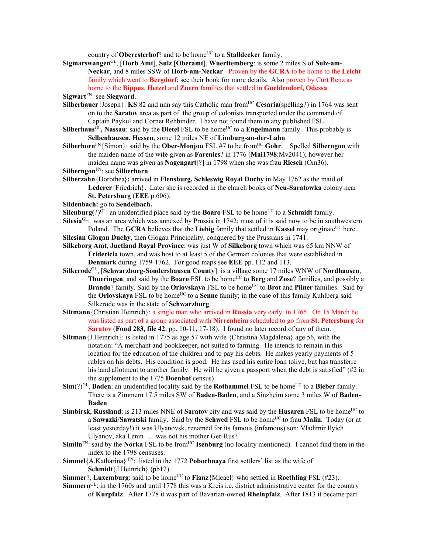country of **Oberesterhof**? and to be home<sup>UC</sup> to a **Stalldecker** family.

**Sigmarswangen**GL, [**Horb Amt**], **Sulz** [**Oberamt**], **Wuerttemberg**: is some 2 miles S of **Sulz-am-Neckar**, and 8 miles SSW of **Horb-am-Neckar**. Proven by the **GCRA** to be home to the **Leicht** family which went to **Bergdorf**; see their book for more details. Also proven by Curt Renz as home to the **Bippus**, **Hetzel** and **Zuern** families that settled in **Gueldendorf, Odessa**.

**Sigwart**FN: see **Siegward**.

- **Silberbauer** {Joseph}: **KS**:82 and nnn say this Catholic man from<sup>UC</sup> Cesaria(spelling?) in 1764 was sent on to the **Saratov** area as part of the group of colonists transported under the command of Captain Paykul and Cornet Rehbinder. I have not found them in any published FSL.
- **Silberhaus**<sup>GL</sup>, Nassau: said by the Dietel FSL to be home<sup>UC</sup> to a Engelmann family. This probably is **Selbenhausen, Hessen**, some 12 miles NE of **Limburg-an-der-Lahn**.
- **Silberhorn**FN{Simon}: said by the **Ober-Monjou** FSL #7 to be from<sup>UC</sup> Gohr. Spelled Silberngon with the maiden name of the wife given as **Farenies**? in 1776 (**Mai1798**:Mv2041); however her maiden name was given as **Nagengart**[?] in 1798 when she was frau **Riesch** (Om36).
- **Silberngon**FN: see **Silberhorn**.
- **Silberzahn**{Dorothea**}:** arrived in **Flensburg, Schleswig Royal Duchy** in May 1762 as the maid of **Lederer**{Friedrich}. Later she is recorded in the church books of **Neu-Saratowka** colony near **St. Petersburg** (**EEE** p.606).

**Sildenbach:** go to **Sendelbach.** 

**Silenburg**(?)<sup>GL</sup>: an unidentified place said by the **Boaro** FSL to be home<sup>UC</sup> to a **Schmidt** family.

- **Silesia**<sup>GL</sup>: was an area which was annexed by Prussia in 1742; most of it is said now to be in southwestern Poland. The **GCRA** believes that the **Liebig** family that settled in **Kassel** may originate<sup>UC</sup> here. **Silesian Glogau Duchy**, then Glogau Principality, conquered by the Prussians in 1741.
- **Silkeborg Amt**, **Juetland Royal Province**: was just W of **Silkeborg** town which was 65 km NNW of **Fridericia** town, and was host to at least 5 of the German colonies that were established in **Denmark** during 1759-1762. For good maps see **EEE** pp. 112 and 113.
- **Silkerode**GL, [**Schwarzburg-Sondershausen County**]: is a village some 17 miles WNW of **Nordhausen**, **Thueringen**, and said by the **Boaro** FSL to be home<sup>UC</sup> to **Berg** and **Zose**? families, and possibly a **Brando**? family. Said by the **Orlovskaya** FSL to be home<sup>UC</sup> to **Brot** and **Pilner** families. Said by the **Orlovskaya** FSL to be home<sup>UC</sup> to a **Senne** family; in the case of this family Kuhlberg said Silkerode was in the state of **Schwarzburg**.
- **Siltmann**{Christian Heinrich}: a single man who arrived in **Russia** very early in 1765. On 15 March he was listed as part of a group associated with **Nirrenheim** scheduled to go from **St. Petersburg** for **Saratov** (**Fond 283, file 42**, pp. 10-11, 17-18). I found no later record of any of them.
- **Siltman**{J.Heinrich}: is listed in 1775 as age 57 with wife {Christina Magdalena} age 56, with the notation: "A merchant and bookkeeper, not suited to farming. He intends to remain in this location for the education of the children and to pay his debts. He makes yearly payments of 5 rubles on his debts. His condition is good. He has used his entire loan tolive, but has transferre his land allotment to another family. He will be given a passport when the debt is satisfied" (#2 in the supplement to the 1775 **Doenhof** census)
- **Sim**(?)<sup>GL</sup>, **Baden**: an unidentified locality said by the **Rothammel** FSL to be home<sup>UC</sup> to a **Bieber** family. There is a Zimmern 17.5 miles SW of **Baden-Baden**, and a Sinzheim some 3 miles W of **Baden-Baden**.
- **Simbirsk, Russland**: is 213 miles NNE of **Saratov** city and was said by the **Husaren** FSL to be home<sup>UC</sup> to a **Sawazki/Sawatski** family. Said by the **Schwed** FSL to be home<sup>UC</sup> to frau **Malin**. Today (or at least yesterday!) it was Ulyanovsk, renamed for its famous (infamous) son: Vladimir Ilyich Ulyanov, aka Lenin … was not his mother Ger-Rus?
- **Simlin**<sup>FN</sup>: said by the **Norka** FSL to be from<sup>UC</sup> **Isenburg** (no locality mentioned). I cannot find them in the index to the 1798 censuses.
- **Simmel**{A.Katharina} FN: listed in the 1772 **Pobochnaya** first settlers' list as the wife of **Schmidt**{J.Heinrich} (pb12).
- **Simmer**?, **Luxemburg**: said to be home<sup>UC</sup> to **Flanz**{Micael} who settled in **Roethling** FSL (#23).
- **Simmern**GL: in the 1760s and until 1778 this was a Kreis i.e. district administrative center for the country of **Kurpfalz**. After 1778 it was part of Bavarian-owned **Rheinpfalz**. After 1813 it became part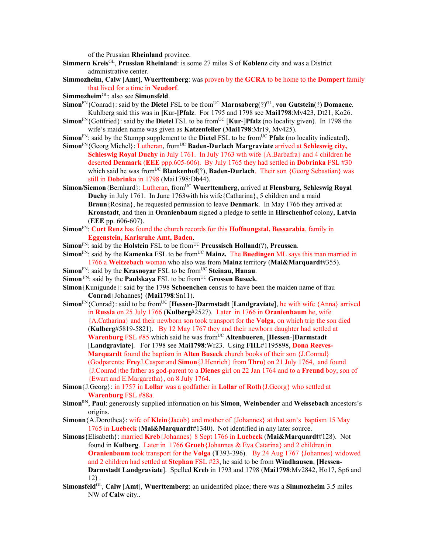of the Prussian **Rheinland** province.

- **Simmern Kreis**GL, **Prussian Rheinland**: is some 27 miles S of **Koblenz** city and was a District administrative center.
- **Simmozheim**, **Calw** [**Amt**], **Wuerttemberg**: was proven by the **GCRA** to be home to the **Dompert** family that lived for a time in **Neudorf**.
- **Simmozheim**GL: also see **Simonsfeld**.
- **Simon**<sup>FN</sup>{Conrad}: said by the **Dietel** FSL to be from<sup>UC</sup> **Marnsaberg** $(?)$ <sup>GL</sup>, **von Gutstein** $(?)$  **Domaene**. Kuhlberg said this was in **[**Kur**-]Pfalz**. For 1795 and 1798 see **Mai1798**:Mv423, Dt21, Ko26.
- **Simon**<sup>FN</sup>{Gottfried}: said by the **Dietel** FSL to be from<sup>UC</sup> [**Kur-]Pfalz** (no locality given). In 1798 the wife's maiden name was given as **Katzenfeller** (**Mai1798**:Mr19, Mv425).
- **Simon**<sup>FN</sup>: said by the Stumpp supplement to the **Dietel** FSL to be from<sup>UC</sup> **Pfalz** (no locality indicated).
- **Simon**<sup>FN</sup>{Georg Michel}: Lutheran, from<sup>UC</sup> **Baden-Durlach Margraviate** arrived at **Schleswig city, Schleswig Royal Duchy** in July 1761. In July 1763 wth wife {A.Barbafra} and 4 children he deserted **Denmark** (**EEE** ppp.605-606). By July 1765 they had settled in **Dobrinka** FSL #30 which said he was from<sup>UC</sup> **Blankenhof**(?), **Baden-Durlach**. Their son {Georg Sebastian} was still in **Dobrinka** in 1798 (Mai1798:Db44).
- Simon/Siemon {Bernhard}: Lutheran, from<sup>UC</sup> Wuerttemberg, arrived at Flensburg, Schleswig Royal **Duchy** in July 1761. In June 1763with his wife{Catharina}, 5 children and a maid **Braun**{Rosina}, he requested permission to leave **Denmark**. In May 1766 they arrived at **Kronstadt**, and then in **Oranienbaum** signed a pledge to settle in **Hirschenhof** colony, **Latvia** (**EEE** pp. 606-607).
- **Simon**FN: **Curt Renz** has found the church records for this **Hoffnungstal, Bessarabia**, family in **Eggenstein, Karlsruhe Amt, Baden**.
- **Simon**<sup>FN</sup>: said by the **Holstein** FSL to be from<sup>UC</sup> **Preussisch Holland**(?), **Preussen**.
- **Simon**<sup>FN</sup>: said by the **Kamenka** FSL to be from<sup>UC</sup> Mainz. The Buedingen ML says this man married in 1766 a **Weitzebach** woman who also was from **Mainz** territory (**Mai&Marquardt**#355).
- **Simon**<sup>FN</sup>: said by the **Krasnovar** FSL to be from<sup>UC</sup> Steinau, Hanau.
- **Simon** FN: said by the **Paulskaya** FSL to be from<sup>UC</sup> Grossen Buseck.
- **Simon**{Kunigunde}: said by the 1798 **Schoenchen** census to have been the maiden name of frau **Conrad**{Johannes} (**Mai1798**:Sn11).
- **Simon**<sup>FN</sup>{Conrad}: said to be from<sup>UC</sup> [**Hessen-**]Darmstadt [Landgraviate], he with wife {Anna} arrived in **Russia** on 25 July 1766 (**Kulberg**#2527). Later in 1766 in **Oranienbaum** he, wife {A.Catharina} and their newborn son took transport for the **Volga**, on which trip the son died (**Kulberg**#5819-5821). By 12 May 1767 they and their newborn daughter had settled at **Warenburg** FSL #85 which said he was from<sup>UC</sup> Altenbueren, [Hessen-]Darmstadt [**Landgraviate**]. For 1798 see **Mai1798**:Wr23. Using **FHL**#1195898, **Dona Reeves-Marquardt** found the baptism in **Alten Buseck** church books of their son {J.Conrad} (Godparents: **Frey**J.Caspar and **Simon**{J.Henrich} from **Thro**) on 21 July 1764, and found {J.Conrad}the father as god-parent to a **Dienes** girl on 22 Jan 1764 and to a **Freund** boy, son of {Ewart and E.Margaretha}, on 8 July 1764.
- **Simon**{J.Georg}: in 1757 in **Lollar** was a godfather in **Lollar** of **Roth**{J.Georg} who settled at **Warenburg** FSL #88a.
- **Simon**RN, **Paul**: generously supplied information on his **Simon**, **Weinbender** and **Weissebach** ancestors's origins.
- **Simonn**{A.Dorothea}: wife of **Klein**{Jacob} and mother of {Johannes} at that son's baptism 15 May 1765 in **Luebeck** (**Mai&Marquardt**#1340). Not identified in any later source.
- **Simons**{Elisabeth}: married **Kreb**{Johannes} 8 Sept 1766 in **Luebeck** (**Mai&Marquardt**#128). Not found in **Kulberg**. Later in 1766 **Grueb**{Johannes & Eva Catarina} and 2 children in **Oranienbaum** took transport for the **Volga** (**T**393-396). By 24 Aug 1767 {Johannes} widowed and 2 children had settled at **Stephan** FSL #23, he said to be from **Windhausen**, [**Hessen-Darmstadt Landgraviate**]. Spelled **Kreb** in 1793 and 1798 (**Mai1798**:Mv2842, Ho17, Sp6 and 12) .
- **Simonsfeld**GL, **Calw** [**Amt**], **Wuerttemberg**: an unidentifed place; there was a **Simmozheim** 3.5 miles NW of **Calw** city..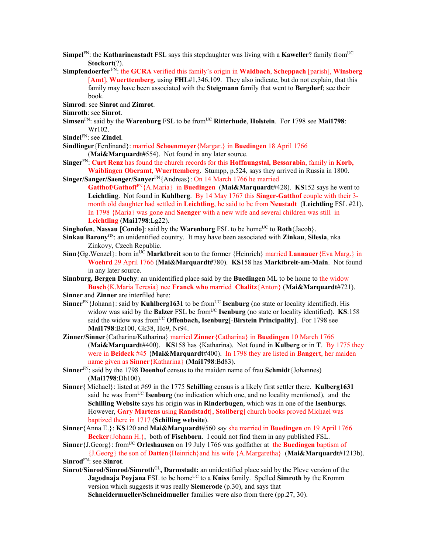- **Simpel**<sup>FN</sup>: the **Katharinenstadt** FSL says this stepdaughter was living with a **Kaweller**? family from<sup>UC</sup> **Stockort**(?).
- **Simpfendoerfer** FN: the **GCRA** verified this family's origin in **Waldbach**, **Scheppach** [parish], **Winsberg** [**Amt**], **Wuerttemberg**, using **FHL**#1,346,109. They also indicate, but do not explain, that this family may have been associated with the **Steigmann** family that went to **Bergdorf**; see their book.
- **Simrod**: see **Sinrot** and **Zimrot**.
- **Simroth**: see **Sinrot**.
- **Simsen**<sup>FN</sup>: said by the **Warenburg** FSL to be from<sup>UC</sup> Ritterhude, Holstein. For 1798 see Mai1798: Wr102.

**Sindel**FN: see **Zindel**.

**Sindlinger**{Ferdinand}: married **Schoenmeyer**{Margar.} in **Buedingen** 18 April 1766 (**Mai&Marquardt#**554). Not found in any later source.

- **Singer**FN: **Curt Renz** has found the church records for this **Hoffnungstal, Bessarabia**, family in **Korb, Waiblingen Oberamt, Wuerttemberg**. Stumpp, p.524, says they arrived in Russia in 1800.
- **Singer/Sanger/Saenger/Sanyer**FN{Andreas}: On 14 March 1766 he married **Gatthof/Gathoff**FN{A.Maria} in **Buedingen** (**Mai&Marquardt**#428). **KS**152 says he went to **Leichtling**. Not found in **Kuhlberg**. By 14 May 1767 this **Singer-Gatthof** couple with their 3 month old daughter had settled in **Leichtling**, he said to be from **Neustadt** (**Leichtling** FSL #21). In 1798 {Maria} was gone and **Saenger** with a new wife and several children was still in **Leichtling** (**Mai1798**:Lg22).
- **Singhofen**, **Nassau** [**Condo**]: said by the **Warenburg** FSL to be home<sup>UC</sup> to **Roth**{Jacob}.
- **Sinkau Barony**GS: an unidentified country. It may have been associated with **Zinkau**, **Silesia**, nka Zinkovy, Czech Republic.
- **Sinn**{Gg.Wenzel}: born in<sup>UC</sup> **Marktbreit** son to the former {Heinrich} married **Lannauer**{Eva Marg.} in **Woehrd** 29 April 1766 (**Mai&Marquardt#**780). **KS**158 has **Marktbreit-am-Main**. Not found in any later source.
- **Sinnburg, Bergen Duchy**: an unidentified place said by the **Buedingen** ML to be home to the widow **Busch**{K.Maria Teresia} nee **Franck who** married **Chalitz**{Anton} (**Mai&Marquardt**#721).

**Sinner** and **Zinner** are interfiled here:

- Sinner<sup>FN</sup>{Johann}: said by **Kuhlberg1631** to be from<sup>UC</sup> **Isenburg** (no state or locality identified). His widow was said by the **Balzer** FSL be from<sup>UC</sup> **Isenburg** (no state or locality identified). **KS**:158 said the widow was from<sup>UC</sup> **Offenbach, Isenburg**[-**Birstein Principality**]. For 1798 see **Mai1798**:Bz100, Gk38, Ho9, Nr94.
- **Zinner/Sinner**{Catharina/Katharina} married **Zinner**{Catharina} in **Buedingen** 10 March 1766 (**Mai&Marquardt**#400). **KS**158 has {Katharina). Not found in **Kulberg** or in **T**. By 1775 they were in **Beideck** #45 {**Mai&Marquardt**#400). In 1798 they are listed in **Bangert**, her maiden name given as **Sinner**{Katharina} (**Mai1798**:Bd83).
- **Sinner**FN: said by the 1798 **Doenhof** census to the maiden name of frau **Schmidt**{Johannes) (**Mai1798**:Dh100).
- **Sinner{** Michael}: listed at #69 in the 1775 **Schilling** census is a likely first settler there. **Kulberg1631** said he was fromUC **Isenburg** (no indication which one, and no locality mentioned), and the **Schilling Website** says his origin was in **Rinderbugen**, which was in one of the **Isenburg**s. However, **Gary Martens** using **Randstadt**[, **Stollberg**] church books proved Michael was baptized there in 1717 (**Schilling website**).
- **Sinner**{Anna E.}: **KS**120 and **Mai&Marquardt**#560 say she married in **Buedingen** on 19 April 1766 **Becker**{Johann H.}, both of **Fischborn**. I could not find them in any published FSL.
- **Sinner**{J.Georg}: from<sup>UC</sup> **Orleshausen** on 19 July 1766 was godfather at the **Buedingen** baptism of {J.Georg} the son of **Datten**{Heinrich}and his wife {A.Margaretha} (**Mai&Marquardt**#1213b). **Sinrod**FN: see **Sinrot**.
- **Sinrot**/**Sinrod/Simrod/Simroth**GL**, Darmstadt:** an unidentified place said by the Pleve version of the **Jagodnaja Povjana** FSL to be home<sup>UC</sup> to a **Kniss** family. Spelled **Simroth** by the Kromm version which suggests it was really **Siemerode** (p.30), and says that

**Schneidermueller/Schneidmueller** families were also from there (pp.27, 30).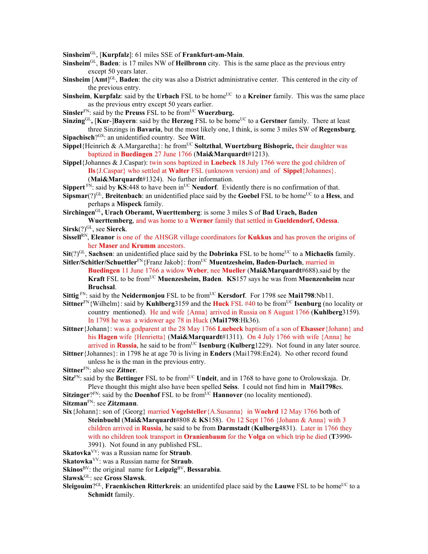**Sinsheim**GL, [**Kurpfalz**]: 61 miles SSE of **Frankfurt-am-Main**.

- **Sinsheim**GL, **Baden**: is 17 miles NW of **Heilbronn** city. This is the same place as the previous entry except 50 years later.
- **Sinsheim** [Amt]<sup>GL</sup>, **Baden**: the city was also a District administrative center. This centered in the city of the previous entry.
- **Sinsheim, Kurpfalz**: said by the Urbach FSL to be home<sup>UC</sup> to a **Kreiner** family. This was the same place as the previous entry except 50 years earlier.
- **Sinsler**<sup>FN</sup>: said by the **Preuss** FSL to be from<sup>UC</sup> **Wuerzburg.**
- **Sinzing**<sup>GL</sup>, **[Kur-]Bayern**: said by the **Herzog** FSL to be home<sup>UC</sup> to a **Gerstner** family. There at least three Sinzings in **Bavaria**, but the most likely one, I think, is some 3 miles SW of **Regensburg**. **Sipachisch**?GS: an unidentified country. See **Witt**.
- **Sippel**{Heinrich & A.Margaretha}: he from<sup>UC</sup> **Soltzthal, Wuertzburg Bishopric, their daughter was** baptized in **Buedingen** 27 June 1766 (**Mai&Marquardt**#1213).
- **Sippel**{Johannes & J.Caspar): twin sons baptized in **Luebeck** 18 July 1766 were the god children of **Ils**{J.Caspar} who settled at **Walter** FSL (unknown version) and of **Sippel**{Johannes}.
	- (**Mai&Marquardt**#1324). No further information.
- **Sippert**  $F_N$ : said by **KS**:448 to have been in<sup>UC</sup> **Neudorf**. Evidently there is no confirmation of that.
- **Sipsmar**( $?$ )<sup>GL</sup>, **Breitenbach**: an unidentified place said by the **Goebel** FSL to be home<sup>UC</sup> to a **Hess**, and perhaps a **Mispeck** family.
- **Sirchingen**GL**, Urach Oberamt, Wuerttemberg**: is some 3 miles S of **Bad Urach, Baden Wuerttemberg**, and was home to a **Werner** family that settled in **Gueldendorf, Odessa**.
- **Sirsk**(?)GL, see **Sierck**.
- **Sissell**RN, **Eleanor** is one of the AHSGR village coordinators for **Kukkus** and has proven the origins of her **Maser** and **Krumm** ancestors.
- **Sit**(?)<sup>GL</sup>, **Sachsen**: an unidentified place said by the **Dobrinka** FSL to be home<sup>UC</sup> to a **Michaelis** family. Sitler/Schitler/Schuettler<sup>FN</sup>{Franz Jakob}: from<sup>UC</sup> Muentzesheim, Baden-Durlach, married in
	- **Buedingen** 11 June 1766 a widow **Weber**, nee **Mueller** (**Mai&Marquardt**#688).said by the **Kraft** FSL to be from<sup>UC</sup> **Muenzesheim, Baden**. **KS**157 says he was from **Muenzenheim** near **Bruchsal**.
- **Sittig**<sup>FN</sup>: said by the **Neidermonjou** FSL to be from<sup>UC</sup> **Kersdorf**. For 1798 see **Mai1798**:Nb11.
- **Sittner**FN{Wilhelm}: said by **Kuhlberg**3159 and the **Huck** FSL #40 to be fromUC **Isenburg** (no locality or country mentioned). He and wife {Anna} arrived in Russia on 8 August 1766 (**Kuhlberg**3159). In 1798 he was a widower age 78 in Huck (**Mai1798**:Hk36).
- **Sittner**{Johann}: was a godparent at the 28 May 1766 **Luebeck** baptism of a son of **Elsasser**{Johann} and his **Hagen** wife {Henrietta} (**Mai&Marquardt**#1311). On 4 July 1766 with wife {Anna} he arrived in **Russia**, he said to be from<sup>UC</sup> **Isenburg** (**Kulberg**1229). Not found in any later source.
- **Sittner**{Johannes}: in 1798 he at age 70 is living in **Enders** (Mai1798:En24). No other record found unless he is the man in the previous entry.
- **Sittner**FN: also see **Zitner**.
- **Sitz**<sup>FN</sup>: said by the **Bettinger** FSL to be from<sup>UC</sup> **Undeit**, and in 1768 to have gone to Orolowskaja. Dr. Pleve thought this might also have been spelled **Seiss**. I could not find him in **Mai1798**es.

**Sitzinger**? $F_N$ : said by the **Doenhof** FSL to be from  $\overline{UC}$  **Hannover** (no locality mentioned). **Sitzman**FN: see **Zitzmann**.

- **Six**{Johann}: son of {Georg} married **Vogelsteller**{A.Susanna} in W**oehrd** 12 May 1766 both of **Steinbuehl** (**Mai&Marquardt**#808 & **KS**158). On 12 Sept 1766 {Johann & Anna} with 3 children arrived in **Russia**, he said to be from **Darmstadt** (**Kulberg**4831). Later in 1766 they with no children took transport in **Oranienbaum** for the **Volga** on which trip he died (**T**3990- 3991). Not found in any published FSL.
- **Skatovka**VV: was a Russian name for **Straub**.

**Skatowka**VV: was a Russian name for **Straub**.

- **Skinos**BV: the original name for **Leipzig**BV, **Bessarabia**.
- **Slawsk**GL: see **Gross Slawsk**.
- **Sleigouim**?<sup>GL</sup>, **Fraenkischen Ritterkreis**: an unidentifed place said by the **Lauwe** FSL to be home<sup>UC</sup> to a **Schmidt** family.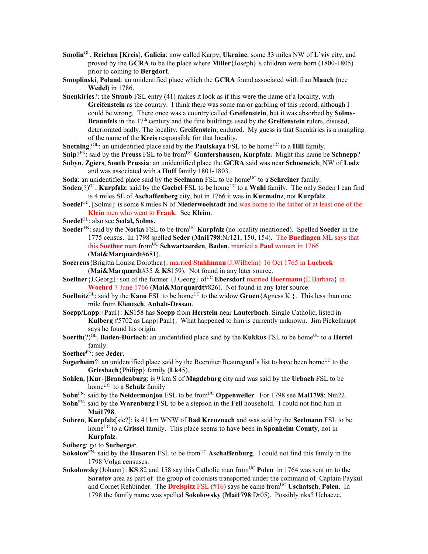- **Smolin**GL, **Reichau** [**Kreis**], **Galicia**: now called Karpy, **Ukraine**, some 33 miles NW of **L'viv** city, and proved by the **GCRA** to be the place where **Miller**{Joseph}'s children were born (1800-1805) prior to coming to **Bergdorf**.
- **Smoplinski**, **Poland**: an unidentified place which the **GCRA** found associated with frau **Mauch** (nee **Wedel**) in 1786.
- **Snenkiries**?: the **Straub** FSL entry (41) makes it look as if this were the name of a locality, with **Greifenstein** as the country. I think there was some major garbling of this record, although I could be wrong. There once was a country called **Greifenstein**, but it was absorbed by **Solms-Braunfels** in the 17<sup>th</sup> century and the fine buildings used by the **Greifenstein** rulers, disused, deteriorated badly. The locality, **Greifenstein**, endured. My guess is that Snenkiries is a mangling of the name of the **Kreis** responsible for that locality.
- **Snetning**? $GL:$  an unidentified place said by the **Paulskaya** FSL to be home<sup>UC</sup> to a **Hill** family.
- **Snip**?<sup>FN</sup>: said by the **Preuss** FSL to be from<sup>UC</sup> **Guntershausen, Kurpfalz.** Might this name be **Schnepp**?
- **Sobyn**, **Zgiers**, **South Prussia**: an unidentified place the **GCRA** said was near **Schoeneich**, NW of **Lodz**  and was associated with a **Huff** family 1801-1803.
- **Soda**: an unidentified place said by the **Seelmann** FSL to be home<sup>UC</sup> to a **Schreiner** family.
- **Soden**(?)<sup>GL</sup>, **Kurpfalz**: said by the **Goebel** FSL to be home<sup>UC</sup> to a **Wahl** family. The only Soden I can find is 4 miles SE of **Aschaffenberg** city, but in 1766 it was in **Kurmainz**, not **Kurpfalz**.
- **Soedel**GL, [Solms]: is some 8 miles N of **Niederwoelstadt** and was home to the father of at least one of the **Klein** men who went to **Frank**. See **Kleim**.
- **Soedel**GL: also see **Sedal, Solms.**
- **Soeder**<sup>FN</sup>: said by the **Norka** FSL to be from<sup>UC</sup> **Kurpfalz** (no locality mentioned). Spelled **Soeder** in the 1775 census. In 1798 spelled **Seder** (**Mai1798**:Nr121, 150, 154). The **Buedingen** ML says that this **Soether** man fromUC **Schwartzerden**, **Baden**, married a **Paul** woman in 1766 (**Mai&Marquardt**#681).
- **Soeerens**{Brigitta Louisa Dorothea}: married **Stahlmann**{J.Wilhelm} 16 Oct 1765 in **Luebeck** (**Mai&Marquardt**#35 & **KS**159). Not found in any later source.
- **Soellner** {J.Georg}: son of the former {J.Georg} of<sup>UC</sup> **Ebersdorf** married **Hoermann** {E.Barbara} in **Woehrd** 7 June 1766 (**Mai&Marquardt**#826). Not found in any later source.
- **Soellnitz**<sup>GL</sup>: said by the **Kano** FSL to be home<sup>UC</sup> to the widow **Gruen**{Agness K.}. This less than one mile from **Kleutsch**, **Anhalt-Dessau**.
- **Soepp/Lapp**:{Paul}: **KS**158 has **Soepp** from **Herstein** near **Lauterbach**. Single Catholic, listed in **Kulberg** #5702 as Lapp{Paul}. What happened to him is currently unknown. Jim Pickelhaupt says he found his origin.
- **Soerth**(?)<sup>GL</sup>, **Baden-Durlach**: an unidentified place said by the **Kukkus** FSL to be home<sup>UC</sup> to a **Hertel** family.
- **Soether**FN: see **Jeder**.
- **Sogerheim**?: an unidentified place said by the Recruiter Beauregard's list to have been home<sup>UC</sup> to the **Griesbach**{Philipp} family (**Lk**45).
- **Sohlen**, [**Kur**-]**Brandenburg**: is 9 km S of **Magdeburg** city and was said by the **Urbach** FSL to be home<sup>UC</sup> to a **Schulz** family.
- **Sohn**<sup>FN</sup>: said by the **Neidermonjou** FSL to be from<sup>UC</sup> **Oppenweiler**. For 1798 see **Mai1798**: Nm22.
- **Sohn**FN: said by the **Warenburg** FSL to be a stepson in the **Feil** household. I could not find him in **Mai1798**.
- **Sohren**, **Kurpfalz**[sic?]: is 41 km WNW of **Bad Kreuznach** and was said by the **Seelmann** FSL to be home<sup>UC</sup> to a Grissel family. This place seems to have been in **Sponheim County**, not in **Kurpfalz**.
- **Soiberg**: go to **Sorberger**.
- **Sokolow**<sup>FN</sup>: said by the **Husaren** FSL to be from<sup>UC</sup> Aschaffenburg. I could not find this family in the 1798 Volga censuses.
- **Sokolowsky** {Johann}: **KS**:82 and 158 say this Catholic man from<sup>UC</sup> Polen in 1764 was sent on to the **Saratov** area as part of the group of colonists transported under the command of Captain Paykul and Cornet Rehbinder. The **Dreispitz** FSL (#16) says he came fromUC **Uschatsch**, **Polen**. In 1798 the family name was spelled **Sokolowsky** (**Mai1798**:Dr05). Possibly nka? Uchacze,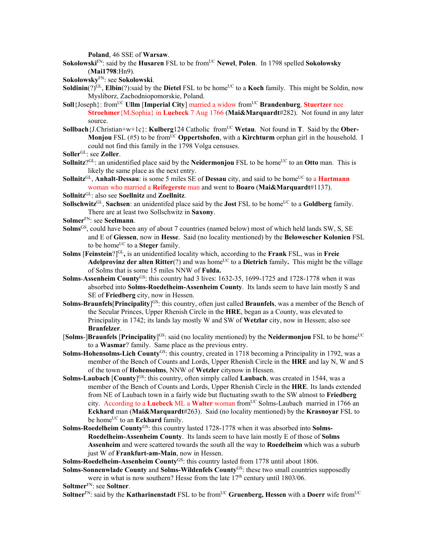**Poland**, 46 SSE of **Warsaw**.

- **Sokolowski**FN: said by the **Husaren** FSL to be fromUC **Newel**, **Polen**. In 1798 spelled **Sokolowsky** (**Mai1798**:Hn9).
- **Sokolowsky**FN: see **Sokolowski**.
- **Soldinin**(?)<sup>GL</sup>, **Elbin**(?):said by the **Dietel** FSL to be home<sup>UC</sup> to a **Koch** family. This might be Soldin, now Mysliborz, Zachodniopomorskie, Poland.
- **Soll**{Joseph}: from<sup>UC</sup> **Ullm** [Imperial City] married a widow from<sup>UC</sup> **Brandenburg**, **Stuertzer** nee **Stroehmer**{M.Sophia} in **Luebeck** 7 Aug 1766 (**Mai&Marquardt**#282). Not found in any later source.
- **Sollbach** {**J.**Christian+w+1c}: **Kulberg**124 Catholic from<sup>UC</sup> Wetau. Not found in **T**. Said by the **Ober-Monjou** FSL (#5) to be fromUC **Oppertshofen**, with a **Kirchturm** orphan girl in the household. I could not find this family in the 1798 Volga censuses.
- **Soller**GL: see **Zoller**.
- **Sollnitz**?<sup>GL</sup>: an unidentified place said by the **Neidermonjou** FSL to be home<sup>UC</sup> to an **Otto** man. This is likely the same place as the next entry.
- **Sollnitz**<sup>GL</sup>, **Anhalt-Dessau**: is some 5 miles SE of **Dessau** city, and said to be home<sup>UC</sup> to a **Hartmann** woman who married a **Reifegerste** man and went to **Boaro** (**Mai&Marquardt**#1137).
- **Sollnitz**GL: also see **Soellnitz** and **Zoellnitz**.
- **Sollschwitz**<sup>GL</sup>, **Sachsen**: an unidentifed place said by the **Jost** FSL to be home<sup>UC</sup> to a **Goldberg** family. There are at least two Sollschwitz in **Saxony**.
- **Solmer**FN: see **Seelmann**.
- **Solms**GS, could have been any of about 7 countries (named below) most of which held lands SW, S, SE and E of **Giessen**, now in **Hesse**. Said (no locality mentioned) by the **Belowescher Kolonien** FSL to be home<sup>UC</sup> to a **Steger** family.
- **Solms** [**Feinstein**?]GL**,** is an unidentified locality which, according to the **Frank** FSL, was in **Freie Adelprovinz der alten Ritter**(?) and was home<sup>UC</sup> to a **Dietrich** family. This might be the village of Solms that is some 15 miles NNW of **Fulda.**
- **Solms**-**Assenheim County**GS: this country had 3 lives: 1632-35, 1699-1725 and 1728-1778 when it was absorbed into **Solms-Roedelheim-Assenheim County**. Its lands seem to have lain mostly S and SE of **Friedberg** city, now in Hessen.
- **Solms-Braunfels**[**Principality**] GS: this country, often just called **Braunfels**, was a member of the Bench of the Secular Princes, Upper Rhenish Circle in the **HRE**, began as a County, was elevated to Principality in 1742; its lands lay mostly W and SW of **Wetzlar** city, now in Hessen; also see **Branfelzer**.
- [Solms-]Braunfels [Principality]<sup>GS</sup>: said (no locality mentioned) by the Neidermonjou FSL to be home<sup>UC</sup> to a **Wasmar**? family. Same place as the previous entry.
- **Solms-Hohensolms-Lich County**GS: this country, created in 1718 becoming a Principality in 1792, was a member of the Bench of Counts and Lords, Upper Rhenish Circle in the **HRE** and lay N, W and S of the town of **Hohensolms**, NNW of **Wetzler** citynow in Hessen.
- **Solms-Laubach** [County]<sup>GS</sup>: this country, often simply called Laubach, was created in 1544, was a member of the Bench of Counts and Lords, Upper Rhenish Circle in the **HRE**. Its lands extended from NE of Laubach town in a fairly wide but fluctuating swath to the SW almost to **Friedberg** city. According to a Luebeck ML a Walter woman from<sup>UC</sup> Solms-Laubach married in 1766 an **Eckhard** man (**Mai&Marquardt**#263). Said (no locality mentioned) by the **Krasnoyar** FSL to be home<sup>UC</sup> to an **Eckhard** family.
- **Solms-Roedelheim County**GS: this country lasted 1728-1778 when it was absorbed into **Solms-Roedelheim-Assenheim County**. Its lands seem to have lain mostly E of those of **Solms Assenheim** and were scattered towards the south all the way to **Roedelheim** which was a suburb just W of **Frankfurt-am-Main**, now in Hessen.

Solms-Roedelheim-Assenheim County<sup>GS</sup>: this country lasted from 1778 until about 1806.

Solms-Sonnenwlade County and Solms-Wildenfels County<sup>GS</sup>: these two small countries supposedly were in what is now southern? Hesse from the late  $17<sup>th</sup>$  century until 1803/06.

**Soltner**<sup>FN</sup>: said by the **Katharinenstadt** FSL to be from<sup>UC</sup> **Gruenberg, Hessen** with a **Doerr** wife from<sup>UC</sup>

**Soltmer**FN: see **Soltner**.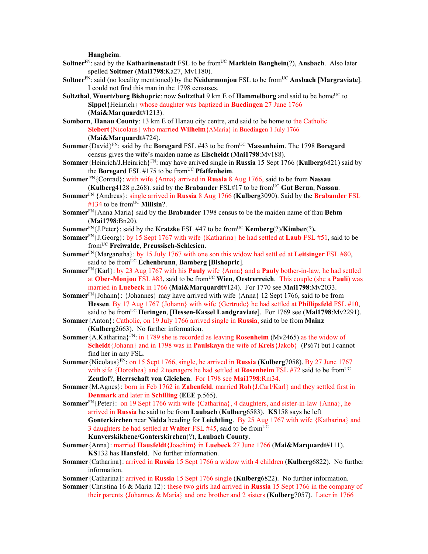**Hangheim**.

- **Soltner**<sup>FN</sup>: said by the **Katharinenstadt** FSL to be from<sup>UC</sup> **Marklein Banghein**(?), **Ansbach**. Also later spelled **Soltmer** (**Mai1798**:Ka27, Mv1180).
- **Soltner**FN: said (no locality mentioned) by the **Neidermonjou** FSL to be fromUC **Ansbach** [**Margraviate**]. I could not find this man in the 1798 censuses.
- **Soltzthal, Wuertzburg Bishopric**: now **Sultzthal** 9 km E of **Hammelburg** and said to be home<sup>UC</sup> to **Sippel**{Heinrich} whose daughter was baptized in **Buedingen** 27 June 1766 (**Mai&Marquardt**#1213).
- **Somborn**, **Hanau County**: 13 km E of Hanau city centre, and said to be home to the Catholic **Siebert**{Nicolaus} who married **Wilhelm**{AMaria} in **Buedingen** 1 July 1766 (**Mai&Marquardt**#724).
- **Sommer**{David}FN: said by the **Boregard** FSL #43 to be fromUC **Massenheim**. The 1798 **Boregard** census gives the wife's maiden name as **Elscheidt** (**Mai1798**:Mv188).
- **Sommer**{Heinrich/J.Heinrich}FN: may have arrived single in **Russia** 15 Sept 1766 (**Kulberg**6821) said by the **Boregard** FSL  $#175$  to be from<sup>UC</sup> **Pfaffenheim**.
- **Sommer** FN{Conrad}: with wife {Anna} arrived in **Russia** 8 Aug 1766, said to be from **Nassau** (**Kulberg**4128 p.268). said by the **Brabander** FSL#17 to be fromUC **Gut Berun**, **Nassau**.
- **Sommer**FN {Andreas}: single arrived in **Russia** 8 Aug 1766 (**Kulberg**3090). Said by the **Brabander** FSL #134 to be from<sup>UC</sup> Milisin?.
- **Sommer**FN{Anna Maria} said by the **Brabander** 1798 census to be the maiden name of frau **Behm** (**Mai1798**:Bn20).
- **Sommer**<sup>FN</sup>{J.Peter}: said by the **Kratzke** FSL #47 to be from<sup>UC</sup> **Kemberg**(?)/**Kimber**(?).
- **Sommer**FN{J.Georg}: by 15 Sept 1767 with wife {Katharina} he had settled at **Laub** FSL #51, said to be fromUC **Freiwalde**, **Preussisch-Schlesien**.
- **Sommer**FN{Margaretha}: by 15 July 1767 with one son this widow had settl ed at **Leitsinger** FSL #80, said to be fromUC **Echenbrunn**, **Bamberg** [**Bishopric**].
- **Sommer**FN{Karl}: by 23 Aug 1767 with his **Pauly** wife {Anna} and a **Pauly** bother-in-law, he had settled at **Ober-Monjou** FSL #83, said to be fromUC **Wien**, **Oestrerreich**. This couple (she a **Pauli**) was married in **Luebeck** in 1766 (**Mai&Marquardt**#124). For 1770 see **Mai1798**:Mv2033.
- **Sommer**FN{Johann}: {Johannes} may have arrived with wife {Anna} 12 Sept 1766, said to be from **Hessen**. By 17 Aug 1767 {Johann} with wife {Gertrude} he had settled at **Phillipsfeld** FSL #10, said to be from<sup>UC</sup> **Heringen**, [Hessen-Kassel Landgraviate]. For 1769 see (Mai1798:Mv2291).
- **Sommer**{Anton}: Catholic, on 19 July 1766 arrived single in **Russia**, said to be from **Mainz**  (**Kulberg**2663). No further information.
- **Sommer**{A.Katharina}FN: in 1789 she is recorded as leaving **Rosenheim** (Mv2465) as the widow of **Scheidt**{Johann} and in 1798 was in **Paulskaya** the wife of **Kreis**{Jakob} (Ps67) but I cannot find her in any FSL.
- **Sommer**{Nicolaus}FN: on 15 Sept 1766, single, he arrived in **Russia** (**Kulberg**7058). By 27 June 1767 with sife {Dorothea} and 2 teenagers he had settled at **Rosenheim** FSL #72 said to be from<sup>UC</sup> **Zentlof**?, **Herrschaft von Gleichen**. For 1798 see **Mai1798**:Rm34.
- **Sommer**{M.Agnes}: born in Feb 1762 in **Zabenfeld**, married **Roh**{J.Carl/Karl} and they settled first in **Denmark** and later in **Schilling** (**EEE** p.565).
- **Sommer**FN{Peter}: on 19 Sept 1766 with wife {Catharina}, 4 daughters, and sister-in-law {Anna}, he arrived in **Russia** he said to be from **Laubach** (**Kulberg**6583). **KS**158 says he left **Gonterkirchen** near **Nidda** heading for **Leichtling**. By 25 Aug 1767 with wife {Katharina} and 3 daughters he had settled at **Walter** FSL #45, said to be fromUC **Kunverskikhene/Gonterskirchen**(?), **Laubach County**.
- **Sommer**{Anna}: married **Hausfeldt**{Joachim} in **Luebeck** 27 June 1766 (**Mai&Marquardt**#111). **KS**132 has **Hansfeld**. No further information.
- **Sommer**{Catharina}: arrived in **Russia** 15 Sept 1766 a widow with 4 children (**Kulberg**6822). No further information.
- **Sommer**{Catharina}: arrived in **Russia** 15 Sept 1766 single (**Kulberg**6822). No further information.
- **Sommer**{Christina 16 & Maria 12}: these two girls had arrived in **Russia** 15 Sept 1766 in the company of their parents {Johannes & Maria} and one brother and 2 sisters (**Kulberg**7057). Later in 1766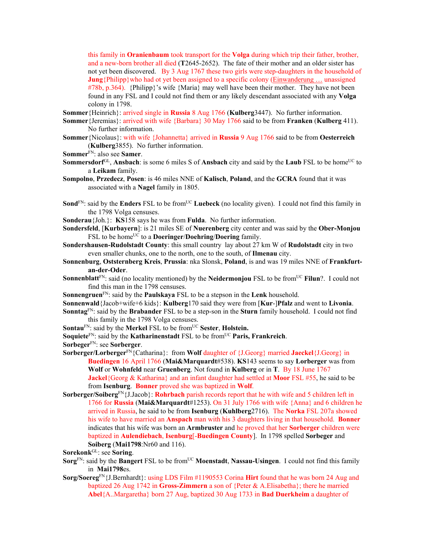this family in **Oranienbaum** took transport for the **Volga** during which trip their father, brother, and a new-born brother all died (**T**2645-2652). The fate of their mother and an older sister has not yet been discovered. By 3 Aug 1767 these two girls were step-daughters in the household of **Jung**{Philipp}who had ot yet been assigned to a specific colony (Einwanderung ... unassigned #78b, p.364). {Philipp}'s wife {Maria} may well have been their mother. They have not been found in any FSL and I could not find them or any likely descendant associated with any **Volga** colony in 1798.

**Sommer**{Heinrich}: arrived single in **Russia** 8 Aug 1766 (**Kulberg**3447). No further information.

- **Sommer**{Jeremias}: arrived with wife {Barbara} 30 May 1766 said to be from **Franken** (**Kulberg** 411). No further information.
- **Sommer**{Nicolaus}: with wife {Johannetta} arrived in **Russia** 9 Aug 1766 said to be from **Oesterreich**  (**Kulberg**3855). No further information.
- **Sommer**FN: also see **Samer**.
- **Sommersdorf**<sup>GL</sup>, **Ansbach**: is some 6 miles S of **Ansbach** city and said by the **Laub** FSL to be home<sup>UC</sup> to a **Leikam** family.
- **Sompolno**, **Przedecz**, **Posen**: is 46 miles NNE of **Kalisch**, **Poland**, and the **GCRA** found that it was associated with a **Nagel** family in 1805.
- **Sond**<sup>FN</sup>: said by the **Enders** FSL to be from<sup>UC</sup> Luebeck (no locality given). I could not find this family in the 1798 Volga censuses.
- **Sonderau**{Joh.}: **KS**158 says he was from **Fulda**. No further information.
- **Sondersfeld**, [**Kurbayern**]: is 21 miles SE of **Nuerenberg** city center and was said by the **Ober-Monjou** FSL to be home<sup>UC</sup> to a **Doeringer/Doehring/Doering** family.
- **Sondershausen-Rudolstadt County**: this small country lay about 27 km W of **Rudolstadt** city in two even smaller chunks, one to the north, one to the south, of **Ilmenau** city.
- **Sonnenburg**, **Oststernberg Kreis**, **Prussia**: nka Slonsk, **Poland**, is and was 19 miles NNE of **Frankfurtan-der-Oder**.
- **Sonnenblatt**<sup>FN</sup>: said (no locality mentioned) by the **Neidermonjou** FSL to be from<sup>UC</sup> **Filun**?. I could not find this man in the 1798 censuses.
- **Sonnengruen**FN: said by the **Paulskaya** FSL to be a stepson in the **Lenk** household.
- **Sonnenwald**{Jacob+wife+6 kids}: **Kulberg**170 said they were from [**Kur**-]**Pfalz** and went to **Livonia**.
- **Sonntag**FN: said by the **Brabander** FSL to be a step-son in the **Sturn** family household. I could not find this family in the 1798 Volga censuses.
- **Sontau<sup>FN</sup>: said by the Merkel FSL to be from<sup>UC</sup> Sester, Holstein.**
- **Soquiete**<sup>FN</sup>: said by the **Katharinenstadt** FSL to be from<sup>UC</sup> **Paris, Frankreich**.
- **Sorbeger**FN: see **Sorberger**.
- **Sorberger/Lorberger**FN{Catharina}: from **Wolf** daughter of {J.Georg} married **Jaeckel**{J.Georg} in **Buedingen** 16 April 1766 (**Mai&Marquardt**#538). **KS**143 seems to say **Lorberger** was from **Wolf** or **Wohnfeld** near **Gruenberg**. Not found in **Kulberg** or in **T**. By 18 June 1767 **Jackel** {Georg & Katharina} and an infant daughter had settled at **Moor** FSL #55, he said to be from **Isenburg**. **Bonner** proved she was baptized in **Wolf**.
- **Sorberger/Soiberg**FN{J.Jacob}: **Rohrbach** parish records report that he with wife and 5 children left in 1766 for **Russia** (**Mai&Marquardt**#1253). On 31 July 1766 with wife {Anna} and 6 children he arrived in Russia, he said to be from **Isenburg** (**Kuhlberg**2716). The **Norka** FSL 207a showed his wife to have married an **Anspach** man with his 3 daughters living in that household. **Bonner** indicates that his wife was born an **Armbruster** and he proved that her **Sorberger** children were baptized in **Aulendiebach**, **Isenburg**[-**Buedingen County**]. In 1798 spelled **Sorbeger** and **Soiberg** (**Mai1798**:Nr60 and 116).

- **Sorg**<sup>FN</sup>: said by the **Bangert** FSL to be from<sup>UC</sup> **Moenstadt**, **Nassau-Usingen**. I could not find this family in **Mai1798**es.
- **Sorg/Soereg**FN{J.Bernhardt}: using LDS Film #1190553 Corina **Hirt** found that he was born 24 Aug and baptized 26 Aug 1742 in **Gross-Zimmern** a son of {Peter & A.Elisabetha}; there he married **Abel**{A..Margaretha} born 27 Aug, baptized 30 Aug 1733 in **Bad Duerkheim** a daughter of

**Sorekonk**GL: see **Soring**.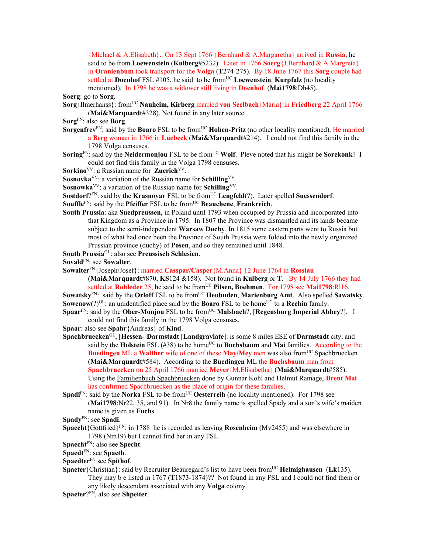{Michael & A.Elisabeth}. On 13 Sept 1766 {Bernhard & A.Margaretha} arrived in **Russia**, he said to be from **Loewenstein** (**Kulberg**#5232). Later in 1766 **Soerg**{J.Bernhard & A.Margreta} in **Oranienbum** took transport for the **Volga** (**T**274-275). By 18 June 1767 this **Sorg** couple had settled at **Doenhof** FSL  $\#105$ , he said to be from<sup>UC</sup> **Loewenstein**, **Kurpfalz** (no locality mentioned). In 1798 he was a widower still living in **Doenhof** (**Mai1798**:Dh45).

**Soerg**: go to **Sorg**.

- **Sorg**{Ilmerhanss}: from<sup>UC</sup> **Nauheim, Kirberg** married **von Seelbach**{Maria} in **Friedberg** 22 April 1766 (**Mai&Marquardt**#328). Not found in any later source.
- **Sorg**FN: also see **Borg**.
- **Sorgenfrey**FN: said by the **Boaro** FSL to be from<sup>UC</sup> **Hohen-Pritz** (no other locality mentioned). He married a **Berg** woman in 1766 in **Luebeck** (**Mai&Marquardt**#214). I could not find this family in the 1798 Volga censuses.
- **Soring**FN: said by the **Neidermonjou** FSL to be fromUC **Wolf**. Pleve noted that his might be **Sorekonk**? I could not find this family in the Volga 1798 censuses.
- Sorkino<sup>VV</sup>: a Russian name for **Zuerich**<sup>VV</sup>.
- **Sosnovka**VV: a variation of the Russian name for **Schilling**VV.
- **Sosnowka**VV: a variation of the Russian name for **Schilling**VV.

**Sostdorf**?FN: said by the **Krasnoyar** FSL to be from<sup>UC</sup> **Lengfeld**(?). Later spelled **Suessendorf**.

- **Souffle**FN: said by the **Pfeiffer** FSL to be fromUC **Beauchene**, **Frankreich**.
- **South Prussia**: aka **Suedpreussen**, in Poland until 1793 when occupied by Prussia and incorporated into that Kingdom as a Province in 1795. In 1807 the Province was dismantled and its lands became subject to the semi-independent **Warsaw Duchy**. In 1815 some eastern parts went to Russia but most of what had once been the Province of South Prussia were folded into the newly organized Prussian province (duchy) of **Posen**, and so they remained until 1848.

**South Prussia**GL: also see **Preussisch Schlesien**.

**Sovald**FN: see **Sowalter**.

**Sowalter**FN{Joseph/Josef}: married **Casspar/Casper**{M.Anna} 12 June 1764 in **Rosslau**

(**Mai&Marquardt**#870, **KS**124 &158). Not found in **Kulberg** or **T**. By 14 July 1766 they had settled at **Rohleder** 25, he said to be from<sup>UC</sup> Pilsen, Boehmen. For 1798 see Mai1798:Rl16.

**Sowatsky**FN: said by the **Orloff** FSL to be fromUC **Heubuden**, **Marienburg Amt**.Also spelled **Sawatsky**. **Sowenow**(?)<sup>GL</sup>: an unidentified place said by the **Boaro** FSL to be home<sup>UC</sup> to a **Rechin** family.

**Spaar**<sup>FN</sup>: said by the **Ober-Monjou** FSL to be from<sup>UC</sup> **Malsbach**?, [**Regensburg Imperial Abbey**?]. I could not find this family in the 1798 Volga censuses.

**Spaar**: also see **Spahr**{Andreas} of **Kind**.

- **Spachbruecken**GL, [**Hessen**-]**Darmstadt** [**Landgraviate**]: is some 8 miles ESE of **Darmstadt** city, and said by the **Holstein** FSL (#38) to be home<sup>UC</sup> to **Buchsbaum** and **Mai** families. According to the **Buedingen** ML a **Walther** wife of one of these **May/Mey** men was also from<sup>UC</sup> Spachbruecken (**Mai&Marquardt**#584). According to the **Buedingen** ML the **Buchsbaum** man from **Spachbruecken** on 25 April 1766 married **Meyer**{M.Elisabetha} (**Mai&Marquardt**#585). Using the Familienbuch Spachbruecken done by Gunnar Kohl and Helmut Ramage, **Brent Mai** has confirmed Spachbruecken as the place of origin for these families.
- **Spadi**<sup>FN</sup>: said by the **Norka** FSL to be from<sup>UC</sup> **Oesterreih** (no locality mentioned). For 1798 see (**Mai1798**:Nr22, 35, and 91). In Nr8 the family name is spelled Spady and a son's wife's maiden name is given as **Fuchs**.
- **Spady**FN: see **Spadi**.
- **Spaecht**{Gottfried}FN: in 1788 he is recorded as leaving **Rosenheim** (Mv2455) and was elsewhere in 1798 (Nm19) but I cannot find her in any FSL
- **Spaecht**FN: also see **Specht**.

**Spaedt**FN: see **Spaeth**.

**Spaedter**FN see **Spithof**.

**Spaeter** {Christian}: said by Recruiter Beauregard's list to have been from<sup>UC</sup> **Helmighausen** (Lk135). They may b e listed in 1767 (**T**1873-1874)?? Not found in any FSL and I could not find them or any likely descendant associated with any **Volga** colony.

**Spaeter**?FN, also see **Shpeiter**.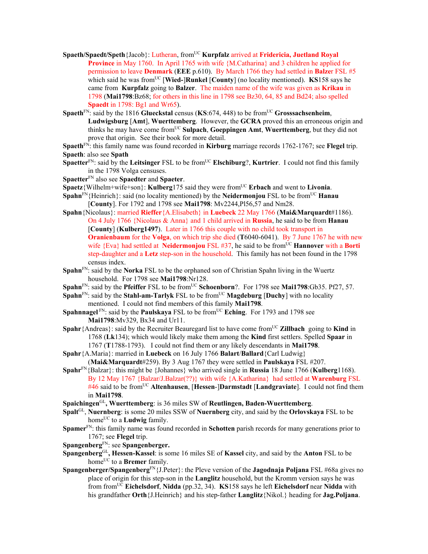- Spaeth/Spaedt/Speth{Jacob}: Lutheran, from<sup>UC</sup> **Kurpfalz** arrived at **Fridericia, Juetland Royal Province** in May 1760. In April 1765 with wife {M.Catharina} and 3 children he applied for permission to leave **Denmark** (**EEE** p.610). By March 1766 they had settled in **Balze**r FSL #5 which said he was from<sup>UC</sup> [**Wied-**]Runkel [County] (no locality mentioned). **KS**158 says he came from **Kurpfalz** going to **Balzer**. The maiden name of the wife was given as **Krikau** in 1798 (**Mai1798**:Bz68; for others in this line in 1798 see Bz30, 64, 85 and Bd24; also spelled **Spaedt** in 1798: Bg1 and Wr65).
- **Spaeth**FN: said by the 1816 **Glueckstal** census (**KS**:674, 448) to be fromUC **Grosssachsenheim**, **Ludwigsburg** [**Amt**], **Wuerttemberg**. However, the **GCRA** proved this an erroneous origin and thinks he may have come from<sup>UC</sup> Sulpach, Goeppingen Amt, Wuerttemberg, but they did not prove that origin. See their book for more detail.
- **Spaeth**FN: this family name was found recorded in **Kirburg** marriage records 1762-1767; see **Flegel** trip. **Spaeth**: also see **Spath**
- **Spaetter**<sup>FN</sup>: said by the **Leitsinger** FSL to be from<sup>UC</sup> **Elschiburg**?, **Kurtrier**. I could not find this family in the 1798 Volga censuses.
- **Spaetter**FN also see **Spaedter** and **Spaeter**.
- **Spaetz**{Wilhelm+wife+son}: **Kulberg**175 said they were from<sup>UC</sup> **Erbach** and went to **Livonia**.
- **Spahn**<sup>FN</sup>{Heinrich}: said (no locality mentioned) by the **Neidermonjou** FSL to be from<sup>UC</sup> **Hanau** [**County**]. For 1792 and 1798 see **Mai1798**: Mv2244,Pl56,57 and Nm28.
- **Spahn**{Nicolaus}: married **Rieffer**{A.Elisabeth} in **Luebeck** 22 May 1766 (**Mai&Marquardt**#1186). On 4 July 1766 {Nicolaus & Anna} and 1 child arrived in **Russia**, he said to be from **Hanau**  [**County**] (**Kulberg1497**). Later in 1766 this couple with no child took transport in **Oranienbaum** for the **Volga**, on which trip she died (**T**6040-6041). By 7 June 1767 he with new wife  ${Eva}$  had settled at **Neidermonjou** FSL #37, he said to be from<sup>UC</sup> **Hannover** with a **Borti** step-daughter and a **Letz** step-son in the household. This family has not been found in the 1798 census index.
- **Spahn**<sup>FN</sup>: said by the **Norka** FSL to be the orphaned son of Christian Spahn living in the Wuertz household. For 1798 see Mai1798:Nr128.
- **Spahn**<sup>FN</sup>: said by the **Pfeiffer** FSL to be from<sup>UC</sup> **Schoenborn**?. For 1798 see **Mai1798**:Gb35. Pf27, 57.
- **Spahn**<sup>FN</sup>: said by the **Stahl-am-Tarlyk** FSL to be from<sup>UC</sup> **Magdeburg** [Duchy] with no locality mentioned. I could not find members of this family **Mai1798**.
- **Spahnnagel** FN: said by the **Paulskaya** FSL to be from<sup>UC</sup> **Eching**. For 1793 and 1798 see **Mai1798**:Mv329, Bx34 and Ur11.
- **Spahr**{Andreas}: said by the Recruiter Beauregard list to have come from<sup>UC</sup> **Zillbach** going to **Kind** in 1768 (**Lk**134); which would likely make them among the **Kind** first settlers. Spelled **Spaar** in 1767 (**T**1788-1793). I could not find them or any likely descendants in **Mai1798**.
- **Spahr**{A.Maria}: married in **Luebeck** on 16 July 1766 **Balart**/**Ballard**{Carl Ludwig} (**Mai&Marquardt**#259). By 3 Aug 1767 they were settled in **Paulskaya** FSL #207.
- **Spahr**FN{Balzar}: this might be {Johannes} who arrived single in **Russia** 18 June 1766 (**Kulberg**1168). By 12 May 1767 {Balzar/J.Balzar(??)} with wife {A.Katharina} had settled at **Warenburg** FSL #46 said to be fromUC **Altenhausen**, [**Hessen**-]**Darmstadt** [**Landgraviate**]. I could not find them in **Mai1798**.
- **Spaichingen**GL**, Wuerttemberg**: is 36 miles SW of **Reutlingen, Baden-Wuerttemberg**.
- **Spalt**GL, **Nuernberg**: is some 20 miles SSW of **Nuernberg** city, and said by the **Orlovskaya** FSL to be home<sup>UC</sup> to a **Ludwig** family.
- **Spamer**FN: this family name was found recorded in **Schotten** parish records for many generations prior to 1767; see **Flegel** trip.
- **Spangenberg**FN: see **Spangenberger.**
- **Spangenberg**GL**, Hessen-Kassel**: is some 16 miles SE of **Kassel** city, and said by the **Anton** FSL to be home<sup>UC</sup> to a **Bremer** family.
- **Spangenberger/Spangenberg**FN{J.Peter}: the Pleve version of the **Jagodnaja Poljana** FSL #68a gives no place of origin for this step-son in the **Langlitz** household, but the Kromm version says he was from fromUC **Eichelsdorf**, **Nidda** (pp.32, 34). **KS**158 says he left **Eichelsdorf** near **Nidda** with his grandfather **Orth**{J.Heinrich} and his step-father **Langlitz**{Nikol.} heading for **Jag.Poljana**.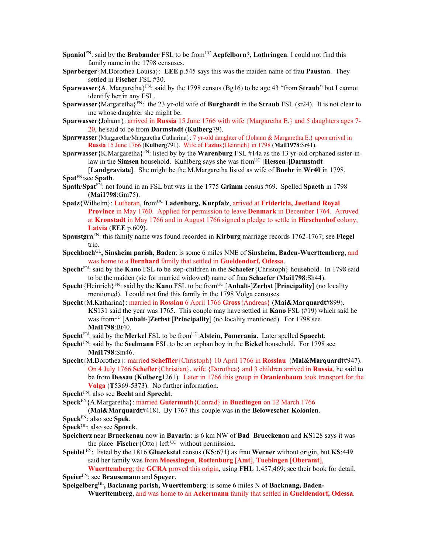- **Spaniol**<sup>FN</sup>: said by the **Brabander** FSL to be from<sup>UC</sup> **Aepfelborn**?, **Lothringen**. I could not find this family name in the 1798 censuses.
- **Sparberger**{M.Dorothea Louisa}: **EEE** p.545 says this was the maiden name of frau **Paustan**. They settled in **Fischer** FSL #30.
- **Sparwasser** {A. Margaretha}<sup>FN</sup>: said by the 1798 census (Bg16) to be age 43 "from **Straub**" but I cannot identify her in any FSL.
- **Sparwasser**{Margaretha}<sup>FN</sup>: the 23 yr-old wife of **Burghardt** in the **Straub** FSL (sr24). It is not clear to me whose daughter she might be.
- **Sparwasser**{Johann}: arrived in **Russia** 15 June 1766 with wife {Margaretha E.} and 5 daughters ages 7- 20, he said to be from **Darmstadt** (**Kulberg**79).
- **Sparwasser** {Margaretha/Margaretha Catharina}: 7 yr-old daughter of {Johann & Margaretha E.} upon arrival in **Russia** 15 June 1766 (**Kulberg**791). Wife of **Fazius**{Heinrich} in 1798 (**Mail1978**:Sr41).
- **Sparwasser** {K.Margaretha}<sup>FN</sup>: listed by by the **Warenburg** FSL #14a as the 13 yr-old orphaned sister-inlaw in the **Simsen** household. Kuhlberg says she was from<sup>UC</sup> [Hessen-]Darmstadt [**Landgraviate**]. She might be the M.Margaretha listed as wife of **Buehr** in **Wr40** in 1798. **Spat**FN:see **Spath**.
- **Spath**/**Spat**FN: not found in an FSL but was in the 1775 **Grimm** census #69. Spelled **Spaeth** in 1798 (**Mai1798**:Gm75).
- **Spatz**{Wilhelm}: Lutheran, fromUC **Ladenburg, Kurpfalz**, arrived at **Fridericia, Juetland Royal Province** in May 1760. Applied for permission to leave **Denmark** in December 1764. Arruved at **Kronstadt** in May 1766 and in August 1766 signed a pledge to settle in **Hirschenhof** colony, **Latvia** (**EEE** p.609).
- **Spaustgra**FN: this family name was found recorded in **Kirburg** marriage records 1762-1767; see **Flegel** trip.
- **Spechbach**GL**, Sinsheim parish, Baden**: is some 6 miles NNE of **Sinsheim, Baden-Wuerttemberg**, and was home to a **Bernhard** family that settled in **Gueldendorf, Odessa**.
- **Specht**FN: said by the **Kano** FSL to be step-children in the **Schaefer**{Christoph} household. In 1798 said to be the maiden (sic for married widowed) name of frau **Schaefer** (**Mai1798**:Sh44).
- **Specht**{Heinrich}<sup>FN</sup>: said by the **Kano** FSL to be from<sup>UC</sup> [Anhalt-]**Zerbst** [**Principality**] (no locality mentioned). I could not find this family in the 1798 Volga censuses.
- **Specht**{M.Katharina}: married in **Rosslau** 6 April 1766 **Gross**{Andreas} (**Mai&Marquardt**#899). **KS**131 said the year was 1765. This couple may have settled in **Kano** FSL (#19) which said he was from<sup>UC</sup> [Anhalt-]**Zerbst** [**Principality**] (no locality mentioned). For 1798 see **Mai1798**:Bt40.
- **Specht**<sup>FN</sup>: said by the **Merkel** FSL to be from<sup>UC</sup> **Alstein, Pomerania.** Later spelled **Spaecht**.
- **Specht**FN: said by the **Seelmann** FSL to be an orphan boy in the **Bickel** household. For 1798 see **Mai1798**:Sm46.
- **Specht**{M.Dorothea}: married **Scheffler**{Christoph} 10 April 1766 in **Rosslau** (**Mai&Marquardt**#947). On 4 July 1766 **Schefler**{Christian}, wife {Dorothea} and 3 children arrived in **Russia**, he said to be from **Dessau** (**Kulberg**1261). Later in 1766 this group in **Oranienbaum** took transport for the **Volga** (**T**5369-5373). No further information.
- **Specht**FN: also see **Becht** and **Sprecht**.
- **Speck**FN{A.Margaretha}: married **Gutermuth**{Conrad} in **Buedingen** on 12 March 1766
	- (**Mai&Marquardt**#418). By 1767 this couple was in the **Belowescher Kolonien**.
- **Speck**FN: also see **Spek**.
- **Speck**GL: also see **Spoeck**.
- **Speicherz** near **Brueckenau** now in **Bavaria**: is 6 km NW of **Bad Brueckenau** and **KS**128 says it was the place **Fischer** {Otto} left  $UC$  without permission.
- **Speidel** FN: listed by the 1816 **Glueckstal** census (**KS**:671) as frau **Werner** without origin, but **KS**:449 said her family was from **Moessingen**, **Rottenburg** [**Amt**], **Tuebingen** [**Oberamt**],

**Wuerttemberg**; the **GCRA** proved this origin, using **FHL** 1,457,469; see their book for detail. **Speier**FN: see **Brausemann** and **Speyer**.

**Speigelberg**GL**, Backnang parish, Wuerttemberg**: is some 6 miles N of **Backnang, Baden-Wuerttemberg**, and was home to an **Ackermann** family that settled in **Gueldendorf, Odessa**.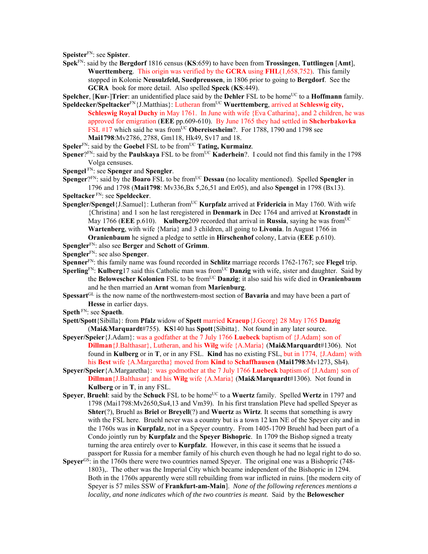**Speister**FN: see **Spister**.

**Spek**FN: said by the **Bergdorf** 1816 census (**KS**:659) to have been from **Trossingen**, **Tuttlingen** [**Amt**], **Wuerttemberg**. This origin was verified by the **GCRA** using **FHL**(1,658,752). This family stopped in Kolonie **Neusulzfeld, Suedpreussen**, in 1806 prior to going to **Bergdorf**. See the **GCRA** book for more detail. Also spelled **Speck** (**KS**:449).

**Spelcher**, [**Kur-**]Trier: an unidentified place said by the Dehler FSL to be home<sup>UC</sup> to a **Hoffmann** family.

- **Speldecker/Speltacker**<sup>FN</sup>{J.Matthias}: Lutheran from<sup>UC</sup> **Wuerttemberg**, arrived at **Schleswig city, Schleswig Royal Duchy** in May 1761. In June with wife {Eva Catharina}, and 2 children, he was approved for emigration (**EEE** pp.609-610). By June 1765 they had settled in **Shcherbakovka** FSL #17 which said he was from<sup>UC</sup> **Obereisesheim**?. For 1788, 1790 and 1798 see **Mai1798**:Mv2786, 2788, Gm118, Hk49, Sv17 and 18.
- **Speler**<sup>FN</sup>: said by the **Goebel** FSL to be from<sup>UC</sup> **Tating, Kurmainz**.
- **Spener**?<sup>FN</sup>: said by the **Paulskaya** FSL to be from<sup>UC</sup> **Kaderhein**?. I could not find this family in the 1798 Volga censuses.
- **Spengel** FN: see **Spenger** and **Spengler**.
- **Spenger**?<sup>FN</sup>: said by the **Boaro** FSL to be from<sup>UC</sup> **Dessau** (no locality mentioned). Spelled **Spengler** in 1796 and 1798 (**Mai1798**: Mv336,Bx 5,26,51 and Er05), and also **Spengel** in 1798 (Bx13).
- **Speltacker** FN: see **Speldecker**.
- **Spengler/Spengel**{J.Samuel}: Lutheran from<sup>UC</sup> **Kurpfalz** arrived at **Fridericia** in May 1760. With wife {Christina} and 1 son he last reregistered in **Denmark** in Dec 1764 and arrived at **Kronstadt** in May 1766 (**EEE** p.610). **Kulberg**209 recorded that arrival in **Russia**, saying he was fromUC **Wartenberg**, with wife {Maria} and 3 children, all going to **Livonia**. In August 1766 in **Oranienbaum** he signed a pledge to settle in **Hirschenhof** colony, Latvia (**EEE** p.610).
- **Spengler**FN: also see **Berger** and **Schott** of **Grimm**.
- **Spengler**FN: see also **Spenger**.
- **Spenner**FN: this family name was found recorded in **Schlitz** marriage records 1762-1767; see **Flegel** trip.
- **Sperling**FN: **Kulberg**17 said this Catholic man was from<sup>UC</sup> **Danzig** with wife, sister and daughter. Said by the **Belowescher Kolonien** FSL to be fromUC **Danzig**; it also said his wife died in **Oranienbaum** and he then married an **Arnt** woman from **Marienburg**.
- **Spessart**<sup>GL</sup> is the now name of the northwestern-most section of **Bavaria** and may have been a part of **Hesse** in earlier days.
- **Speth** FN: see **Spaeth**.
- **Spett/Spott**{Sibilla}: from **Pfalz** widow of **Spett** married **Kraeup**{J.Georg} 28 May 1765 **Danzig**  (**Mai&Marquardt**#755). **KS**140 has **Spott**{Sibitta}. Not found in any later source.
- **Speyer/Speier**{J.Adam}: was a godfather at the 7 July 1766 **Luebeck** baptism of {J.Adam} son of **Dillman**{J.Balthasar}, Lutheran, and his **Wilg** wife {A.Maria} (**Mai&Marquardt**#1306). Not found in **Kulberg** or in **T**, or in any FSL. **Kind** has no existing FSL, but in 1774, {J.Adam} with his **Best** wife {A.Margaretha} moved from **Kind** to **Schaffhausen** (**Mai1798**:Mv1273, Sh4).
- **Speyer/Speier**{A.Margaretha}: was godmother at the 7 July 1766 **Luebeck** baptism of {J.Adam} son of **Dillman**{J.Balthasar} and his **Wilg** wife {A.Maria} (**Mai&Marquardt**#1306). Not found in **Kulberg** or in **T**, in any FSL.
- **Speyer, Bruehl**: said by the **Schuck** FSL to be home<sup>UC</sup> to a Wuertz family. Spelled Wertz in 1797 and 1798 (Mai1798:Mv2650,Su4,13 and Vm39). In his first translation Pleve had spelled Speyer as **Shter**(?), Bruehl as **Briel** or **Breyell**(?) and **Wuertz** as **Wirtz**. It seems that something is awry with the FSL here. Bruehl never was a country but is a town 12 km NE of the Speyer city and in the 1760s was in **Kurpfalz**, not in a Speyer country. From 1405-1709 Bruehl had been part of a Condo jointly run by **Kurpfalz** and the **Speyer Bishopric**. In 1709 the Bishop signed a treaty turning the area entirely over to **Kurpfalz**. However, in this case it seems that he issued a passport for Russia for a member family of his church even though he had no legal right to do so.
- **Speyer<sup>GS</sup>:** in the 1760s there were two countries named Speyer. The original one was a Bishopric (748-1803),. The other was the Imperial City which became independent of the Bishopric in 1294. Both in the 1760s apparently were still rebuilding from war inflicted in ruins. [the modern city of Speyer is 57 miles SSW of **Frankfurt-am-Main**].*None of the following references mentions a locality, and none indicates which of the two countries is meant.* Said by the **Belowescher**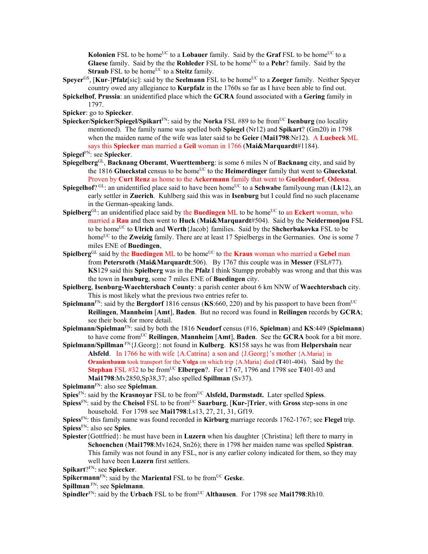**Kolonien** FSL to be home<sup>UC</sup> to a **Lobauer** family. Said by the **Graf** FSL to be home<sup>UC</sup> to a **Glaese** family. Said by the the **Rohleder** FSL to be home<sup>UC</sup> to a **Pehr**? family. Said by the **Straub** FSL to be home<sup>UC</sup> to a **Steitz** family.

- **Speyer<sup>GS</sup>, [Kur-]Pfalz**[sic]: said by the **Seelmann** FSL to be home<sup>UC</sup> to a **Zoeger** family. Neither Speyer country owed any allegiance to **Kurpfalz** in the 1760s so far as I have been able to find out.
- **Spickelhof**, **Prussia**: an unidentified place which the **GCRA** found associated with a **Gering** family in 1797.
- **Spicker**: go to **Spiecker**.
- **Spiecker/Spicker/Spiegel/Spikart**FN: said by the **Norka** FSL #89 to be fromUC **Isenburg** (no locality mentioned). The family name was spelled both **Spiegel** (Nr12) and **Spikart**? (Gm20) in 1798 when the maiden name of the wife was later said to be **Geier** (**Mai1798**:Nr12). A **Luebeck** ML says this **Spiecker** man married a **Geil** woman in 1766 (**Mai&Marquardt**#1184).

- **Spiegelberg**GL, **Backnang Oberamt**, **Wuerttemberg**: is some 6 miles N of **Backnang** city, and said by the 1816 Glueckstal census to be home<sup>UC</sup> to the **Heimerdinger** family that went to Glueckstal. Proven by **Curt Renz** as home to the **Ackermann** family that went to **Gueldendorf**, **Odessa**.
- **Spiegelhof**?  $GL:$  an unidentified place said to have been home<sup>UC</sup> to a **Schwabe** familyoung man (Lk12), an early settler in **Zuerich**. Kuhlberg said this was in **Isenburg** but I could find no such placename in the German-speaking lands.
- **Spielberg**<sup>GL</sup>: an unidentified place said by the **Buedingen** ML to be home<sup>UC</sup> to an **Eckert** woman, who married a **Rau** and then went to **Huck** (**Mai&Marquardt**#504). Said by the **Neidermonjou** FSL to be homeUC to **Ulrich** and **Werth**{Jacob} families. Said by the **Shcherbakovka** FSL to be home<sup>UC</sup> to the **Zweizig** family. There are at least 17 Spielbergs in the Germanies. One is some 7 miles ENE of **Buedingen**,
- Spielberg<sup>GL</sup> said by the **Buedingen** ML to be home<sup>UC</sup> to the **Kraus** woman who married a Gebel man from **Petersroth** (**Mai&Marquardt**:506). By 1767 this couple was in **Messer** (FSL#77). **KS**129 said this **Spielberg** was in the **Pfalz** I think Stumpp probably was wrong and that this was the town in **Isenburg**, some 7 miles ENE of **Buedingen** city.
- **Spielberg**, **Isenburg-Waechtersbach County**: a parish center about 6 km NNW of **Waechtersbach** city. This is most likely what the previous two entries refer to.
- **Spielmann**<sup>FN</sup>: said by the **Bergdorf** 1816 census (**KS**:660, 220) and by his passport to have been from<sup>UC</sup> **Reilingen**, **Mannheim** [**Amt**], **Baden**. But no record was found in **Reilingen** records by **GCRA**; see their book for more detail.
- **Spielmann/Spielman**FN: said by both the 1816 **Neudorf** census (#16, **Spielman**) and **KS**:449 (**Spielmann**) to have come fromUC **Reilingen**, **Mannheim** [**Amt**], **Baden**. See the **GCRA** book for a bit more.
- **Spielmann/Spillman** FN{J.Georg}: not found in **Kulberg**. **KS**158 says he was from **Helpershain** near **Alsfeld**. In 1766 he with wife {A.Catrina} a son and {J.Georg}'s mother {A.Maria} in **Oranienbaum** took transport for the **Volga** on which trip {A.Maria} died (**T**401-404). Said by the **Stephan** FSL #32 to be from<sup>UC</sup> **Elbergen**?. For 17 67, 1796 and 1798 see T401-03 and **Mai1798**:Mv2850,Sp38,37; also spelled **Spillman** (Sv37).

**Spielmann**FN: also see **Spielman**.

**Spies**<sup>FN</sup>: said by the **Krasnovar** FSL to be from<sup>UC</sup> **Alsfeld, Darmstadt.** Later spelled **Spiess**.

- **Spiess**<sup>FN</sup>: said by the **Cheisol** FSL to be from<sup>UC</sup> **Saarburg**, [**Kur-**]Trier, with **Gross** step-sons in one household. For 1798 see **Mai1798**:Ls13, 27, 21, 31, Gf19.
- **Spiess**FN: this family name was found recorded in **Kirburg** marriage records 1762-1767; see **Flegel** trip. **Spiess**FN: also see **Spies**.
- **Spiester**{Gottfried}: he must have been in **Luzern** when his daughter {Christina} left there to marry in **Schoenchen** (**Mai1798**:Mv1624, Sn26); there in 1798 her maiden name was spelled **Spistran**. This family was not found in any FSL, nor is any earlier colony indicated for them, so they may well have been **Luzern** first settlers.

**Spikart**?FN: see **Spiecker**.

**Spikermann**<sup>FN</sup>: said by the **Mariental** FSL to be from<sup>UC</sup> Geske.

**Spillman** FN: see **Spielmann**.

**Spindler**<sup>FN</sup>: said by the **Urbach** FSL to be from<sup>UC</sup> **Althausen**. For 1798 see **Mai1798**:Rh10.

**Spiegel**FN: see **Spiecker**.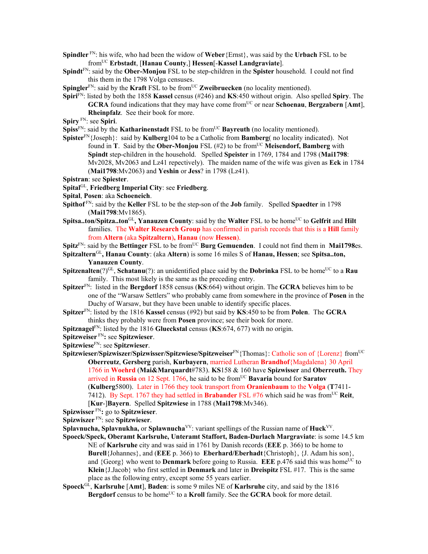- **Spindler** FN: his wife, who had been the widow of **Weber**{Ernst}, was said by the **Urbach** FSL to be fromUC **Erbstadt**, [**Hanau County**,] **Hessen**[-**Kassel Landgraviate**].
- **Spindt**FN: said by the **Ober-Monjou** FSL to be step-children in the **Spister** household. I could not find this them in the 1798 Volga censuses.
- **Spingler**<sup>FN</sup>: said by the **Kraft** FSL to be from<sup>UC</sup> **Zweibruecken** (no locality mentioned).
- **Spiri**FN: listed by both the 1858 **Kassel** census (#246) and **KS**:450 without origin. Also spelled **Spiry**. The **GCRA** found indications that they may have come from<sup>UC</sup> or near **Schoenau**, **Bergzabern** [Amt], **Rheinpfalz**. See their book for more.
- **Spiry** FN: see **Spiri**.
- **Spiss**<sup>FN</sup>: said by the **Katharinenstadt** FSL to be from<sup>UC</sup> **Bayreuth** (no locality mentioned).
- **Spister**FN{Joseph}: said by **Kulberg**104 to be a Catholic from **Bamberg**( no locality indicated). Not found in **T**. Said by the **Ober-Monjou** FSL  $(\#2)$  to be from<sup>UC</sup> **Meisendorf, Bamberg** with **Spindt** step-children in the household. Spelled **Speister** in 1769, 1784 and 1798 (**Mai1798**: Mv2028, Mv2063 and Lz41 repectively). The maiden name of the wife was given as **Eck** in 1784 (**Mai1798**:Mv2063) and **Yeshin** or **Jess**? in 1798 (Lz41).

- **Spital**GL, **Friedberg Imperial City**: see **Friedberg**.
- **Spital**, **Posen**: aka **Schoeneich**.
- **Spithof** FN: said by the **Keller** FSL to be the step-son of the **Job** family. Spelled **Spaedter** in 1798 (**Mai1798**:Mv1865).
- **Spitsa..ton/Spitza..ton**<sup>GL</sup>, Yanauzen County: said by the Walter FSL to be home<sup>UC</sup> to Gelfrit and Hilt families. The **Walter Research Group** has confirmed in parish records that this is a **Hill** family from **Altern** (aka **Spitzaltern**)**, Hanau** (now **Hessen**).
- Spitz<sup>FN</sup>: said by the Bettinger FSL to be from<sup>UC</sup> Burg Gemuenden. I could not find them in Mai1798es.
- **Spitzaltern**GL**, Hanau County**: (aka **Altern**) is some 16 miles S of **Hanau, Hessen**; see **Spitsa..ton, Yanauzen County**.
- **Spitzenalten**(?)<sup>GL</sup>, **Schatanu**(?): an unidentified place said by the **Dobrinka** FSL to be home<sup>UC</sup> to a **Rau** family. This most likely is the same as the preceding entry.
- **Spitzer**FN: listed in the **Bergdorf** 1858 census (**KS**:664) without origin. The **GCRA** believes him to be one of the "Warsaw Settlers" who probably came from somewhere in the province of **Posen** in the Duchy of Warsaw, but they have been unable to identify specific places.
- **Spitzer**FN: listed by the 1816 **Kassel** census (#92) but said by **KS**:450 to be from **Polen**. The **GCRA** thinks they probably were from **Posen** province; see their book for more.
- **Spitznagel**FN: listed by the 1816 **Glueckstal** census (**KS**:674, 677) with no origin.
- **Spitzweiser** FN**:** see **Spitzwieser**.
- **Spitzwiese**FN: see **Spitzwieser**.
- **Spitzwieser/Spizwiszer/Spizwisser/Spitzwiese/Spitzweiser**FN{Thomas}: Catholic son of {Lorenz} from<sup>UC</sup> **Oberreutz**, **Gersberg** parish, **Kurbayern**, married Lutheran **Brandhof**{Magdalena} 30 April 1766 in **Woehrd** (**Mai&Marquardt**#783). **KS**158 & 160 have **Spizwisser** and **Oberreuth.** They arrived in **Russia** on 12 Sept. 1766, he said to be fromUC **Bavaria** bound for **Saratov** (**Kulberg**5800). Later in 1766 they took transport from **Oranienbaum** to the **Volga** (**T**7411- 7412). By Sept. 1767 they had settled in **Brabander** FSL  $#76$  which said he was from<sup>UC</sup> **Reit**, [**Kur**-]**Bayern**. Spelled **Spitzwiese** in 1788 (**Mai1798**:Mv346).
- **Spizwisser** FN**:** go to **Spitzwieser**.
- **Spizwiszer** FN: see **Spitzwieser**.
- **Splavnucha, Splavnukha,** or **Splawnucha**<sup>VV</sup>: variant spellings of the Russian name of **Huck**<sup>VV</sup>.
- **Spoeck/Speck, Oberamt Karlsruhe, Unteramt Staffort, Baden-Durlach Margraviate**: is some 14.5 km NE of **Karlsruhe** city and was said in 1761 by Danish records (**EEE** p. 366) to be home to **Burell**{Johannes}, and (**EEE** p. 366) to **Eberhard/Eberhadt**{Christoph}, {J. Adam his son}, and  ${Georg}$  who went to **Denmark** before going to Russia. **EEE** p.476 said this was home<sup>UC</sup> to **Klein**{J.Jacob} who first settled in **Denmark** and later in **Dreispitz** FSL #17. This is the same place as the following entry, except some 55 years earlier.
- **Spoeck**GL, **Karlsruhe** [**Amt**], **Baden**: is some 9 miles NE of **Karlsruhe** city, and said by the 1816 **Bergdorf** census to be home<sup>UC</sup> to a **Kroll** family. See the **GCRA** book for more detail.

**Spistran**: see **Spiester**.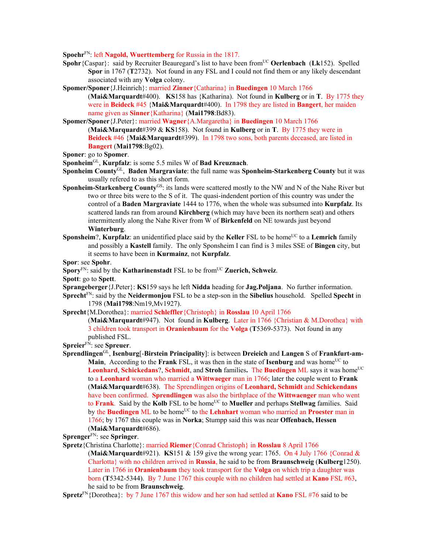**Spoehr**FN: left **Nagold, Wuerttemberg** for Russia in the 1817.

- **Spohr** {Caspar}: said by Recruiter Beauregard's list to have been from<sup>UC</sup> **Oerlenbach** (Lk152). Spelled **Spor** in 1767 (**T**2732). Not found in any FSL and I could not find them or any likely descendant associated with any **Volga** colony.
- **Spomer/Sponer**{J.Heinrich}: married **Zinner**{Catharina} in **Buedingen** 10 March 1766
	- (**Mai&Marquardt**#400). **KS**158 has {Katharina). Not found in **Kulberg** or in **T**. By 1775 they were in **Beideck** #45 {**Mai&Marquardt**#400). In 1798 they are listed in **Bangert**, her maiden name given as **Sinner**{Katharina} (**Mai1798**:Bd83).
- **Spomer/Sponer**{J.Peter}: married **Wagner**{A.Margaretha} in **Buedingen** 10 March 1766 (**Mai&Marquardt**#399 & **KS**158). Not found in **Kulberg** or in **T**. By 1775 they were in **Beideck** #46 {**Mai&Marquardt**#399). In 1798 two sons, both parents deceased, are listed in **Bangert** (**Mai1798**:Bg02).

- **Sponheim**GL, **Kurpfalz**: is some 5.5 miles W of **Bad Kreuznach**.
- **Sponheim County**GL, **Baden Margraviate**: the full name was **Sponheim-Starkenberg County** but it was usually refered to as this short form.
- **Sponheim-Starkenberg County**GS: its lands were scattered mostly to the NW and N of the Nahe River but two or three bits were to the S of it. The quasi-indendent portion of this country was under the control of a **Baden Margraviate** 1444 to 1776, when the whole was subsumed into **Kurpfalz**. Its scattered lands ran from around **Kirchberg** (which may have been its northern seat) and others intermittently along the Nahe River from W of **Birkenfeld** on NE towards just beyond **Winterburg**.
- **Sponsheim**?, **Kurpfalz**: an unidentified place said by the **Keller** FSL to be home<sup>UC</sup> to a **Lemrich** family and possibly a **Kastell** family. The only Sponsheim I can find is 3 miles SSE of **Bingen** city, but it seems to have been in **Kurmainz**, not **Kurpfalz**.
- **Spor**: see **Spohr**.
- **Spory**<sup>FN</sup>: said by the **Katharinenstadt** FSL to be from<sup>UC</sup> **Zuerich, Schweiz**.
- **Spott**: go to **Spett**.
- **Sprangeberger**{J.Peter}: **KS**159 says he left **Nidda** heading for **Jag.Poljana**. No further information.
- **Sprecht**FN: said by the **Neidermonjou** FSL to be a step-son in the **Sibelius** household. Spelled **Specht** in 1798 (**Mai1798**:Nm19,Mv1927).
- **Sprecht**{M.Dorothea}: married **Schleffler**{Christoph} in **Rosslau** 10 April 1766

(**Mai&Marquardt**#947). Not found in **Kulberg**. Later in 1766 {Christian & M.Dorothea} with 3 children took transport in **Oranienbaum** for the **Volga** (**T**5369-5373). Not found in any published FSL.

- **Spreier**FN: see **Spreuer**.
- **Sprendlingen**GL, **Isenburg**[-**Birstein Principality**]: is between **Dreieich** and **Langen** S of **Frankfurt-am-Main**, According to the **Frank** FSL, it was then in the state of **Isenburg** and was home<sup>UC</sup> to **Leonhard, Schickedans?, Schmidt, and Stroh families. The Buedingen ML says it was home<sup>UC</sup>** to a **Leonhard** woman who married a **Wittwaeger** man in 1766; later the couple went to **Frank** (**Mai&Marquardt**#638). The Sprendlingen origins of **Leonhard, Schmidt** and **Schickendans** have been confirmed. **Sprendlingen** was also the birthplace of the **Wittwaenger** man who went to **Frank**. Said by the Kolb FSL to be home<sup>UC</sup> to **Mueller** and perhaps **Stellwag** families. Said by the **Buedingen** ML to be home<sup>UC</sup> to the **Lehnhart** woman who married an **Proester** man in 1766; by 1767 this couple was in **Norka**; Stumpp said this was near **Offenbach, Hessen** (**Mai&Marquardt**#686).

**Sprenger**FN: see **Springer**.

**Spretz**{Christina Charlotte}: married **Riemer**{Conrad Christoph} in **Rosslau** 8 April 1766 (**Mai&Marquardt**#921). **KS**151 & 159 give the wrong year: 1765. On 4 July 1766 {Conrad & Charlotta} with no children arrived in **Russia**, he said to be from **Braunschweig** (**Kulberg**1250). Later in 1766 in **Oranienbaum** they took transport for the **Volga** on which trip a daughter was born (**T**5342-5344). By 7 June 1767 this couple with no children had settled at **Kano** FSL #63, he said to be from **Braunschweig**.

**Spretz**FN{Dorothea}: by 7 June 1767 this widow and her son had settled at **Kano** FSL #76 said to be

**Sponer**: go to **Spomer**.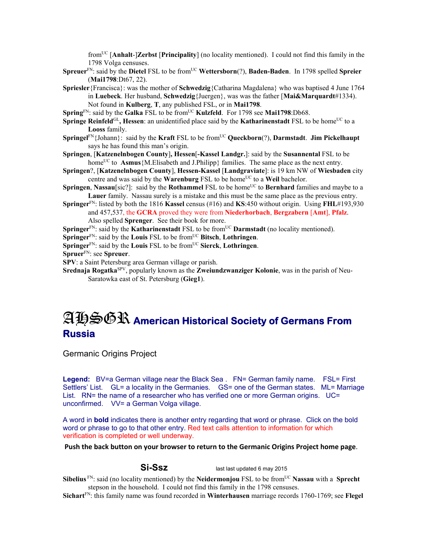fromUC [**Anhalt**-]**Zerbst** [**Principality**] (no locality mentioned). I could not find this family in the 1798 Volga censuses.

**Spreuer**FN: said by the **Dietel** FSL to be fromUC **Wettersborn**(?), **Baden-Baden**. In 1798 spelled **Spreier** (**Mai1798**:Dt67, 22).

- **Spriesler**{Francisca}: was the mother of **Schwedzig**{Catharina Magdalena} who was baptised 4 June 1764 in **Luebeck**. Her husband, **Schwedzig**{Juergen}, was was the father [**Mai&Marquardt**#1334). Not found in **Kulberg**, **T**, any published FSL, or in **Mai1798**.
- **Spring**<sup>FN</sup>: said by the **Galka** FSL to be from<sup>UC</sup> **Kulzfeld**. For 1798 see **Mai1798**:Db68.
- **Springe Reinfeld**<sup>GL</sup>, **Hessen**: an unidentified place said by the **Katharinenstadt** FSL to be home<sup>UC</sup> to a **Looss** family.
- **Springel**<sup>FN</sup>{Johann}: said by the **Kraft** FSL to be from<sup>UC</sup> Queckborn(?), Darmstadt. Jim Pickelhaupt says he has found this man's origin.
- **Springen**, [**Katzenelnbogen County**]**, Hessen**[**-Kassel Landgr.**]: said by the **Susannental** FSL to be home<sup>UC</sup> to **Asmus**{M.Elisabeth and J.Philipp} families. The same place as the next entry.
- **Springen**?, [**Katzenelnbogen County**], **Hessen-Kassel** [**Landgraviate**]: is 19 km NW of **Wiesbaden** city centre and was said by the **Warenburg** FSL to be home<sup>UC</sup> to a **Weil** bachelor.
- **Springen, Nassau**[sic?]: said by the **Rothammel** FSL to be home<sup>UC</sup> to **Bernhard** families and maybe to a **Lauer** family. Nassau surely is a mistake and this must be the same place as the previous entry.
- **Springer**FN: listed by both the 1816 **Kassel** census (#16) and **KS**:450 without origin. Using **FHL**#193,930 and 457,537, the **GCRA** proved they were from **Niederhorbach**, **Bergzabern** [**Amt**], **Pfalz**. Also spelled **Sprenger**. See their book for more.
- **Springer**<sup>FN</sup>: said by the **Katharinenstadt** FSL to be from<sup>UC</sup> **Darmstadt** (no locality mentioned).
- **Springer**FN: said by the **Louis** FSL to be fromUC **Bitsch**, **Lothringen**.
- **Springer**FN: said by the **Louis** FSL to be fromUC **Sierck**, **Lothringen**.
- **Spruer**FN: see **Spreuer**.
- **SPV**: a Saint Petersburg area German village or parish.
- **Srednaja Rogatka**SPV, popularly known as the **Zweiundzwanziger Kolonie**, was in the parish of Neu-Saratowka east of St. Petersburg (**Gieg1**).

## AHSGR **American Historical Society of Germans From Russia**

Germanic Origins Project

Legend: BV=a German village near the Black Sea . FN= German family name. FSL= First Settlers' List. GL= a locality in the Germanies. GS= one of the German states. ML= Marriage List. RN= the name of a researcher who has verified one or more German origins. UC= unconfirmed. VV= a German Volga village.

A word in **bold** indicates there is another entry regarding that word or phrase. Click on the bold word or phrase to go to that other entry. Red text calls attention to information for which verification is completed or well underway.

**Push the back button on your browser to return to the Germanic Origins Project home page**.

**Si-Ssz** last last updated 6 may 2015

**Sibelius** FN: said (no locality mentioned) by the **Neidermonjou** FSL to be from<sup>UC</sup> **Nassau** with a **Sprecht** stepson in the household. I could not find this family in the 1798 censuses.

**Sichart**FN: this family name was found recorded in **Winterhausen** marriage records 1760-1769; see **Flegel**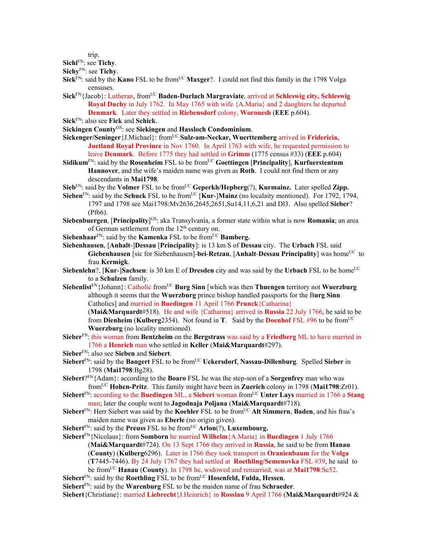trip.

**Sichi**FN: see **Tichy**.

**Sichy**FN: see **Tichy**.

- **Sick**<sup>FN</sup>: said by the **Kano** FSL to be from<sup>UC</sup> **Maxger**?. I could not find this family in the 1798 Volga censuses.
- Sick<sup>FN</sup>{Jacob}: Lutheran, from<sup>UC</sup> Baden-Durlach Margraviate, arrived at Schleswig city, Schleswig **Royal Duchy** in July 1762. In May 1765 with wife {A.Maria} and 2 daughters he departed **Denmark**. Later they settled in **Riebensdorf** colony, **Woronesh** (**EEE** p.604).
- **Sick**FN: also see **Fick** and **Schick**.
- **Sickingen County**GS: see **Siekingen** and **Hassloch Condominium**.
- **Sickenger/Seninger**{J.Michael}: fromUC **Sulz-am-Neckar, Wuerttemberg** arrived in **Fridericia, Juetland Royal Province** in Nov 1760. In April 1763 with wife, he requested permission to leave **Denmark**. Before 1775 they had settled in **Grimm** (1775 census #33) (**EEE** p.604)
- **Sidikum**<sup>FN</sup>: said by the **Rosenheim** FSL to be from<sup>UC</sup> Goettingen [Principality], **Kurfuerstentum Hannover**, and the wife's maiden name was given as **Roth**. I could not find them or any descendants in **Mai1798**.
- **Sieb**<sup>FN</sup>: said by the **Volmer** FSL to be from<sup>UC</sup> **Geperkh/Hepberg**(?), **Kurmainz.** Later spelled **Zipp.**
- Sieben<sup>FN</sup>: said by the Schuck FSL to be from<sup>UC</sup> [Kur-]Mainz (no localaity mentioned). For 1792, 1794, 1797 and 1798 see Mai1798:Mv2636,2645,2651,Su14,11,6,21 and Dl3. Also spelled **Sieber**? (Pf66).
- **Siebenbuergen**, [**Principality**]<sup>GS</sup>: aka Transylvania, a former state within what is now **Romania**; an area of German settlement from the 12th century on.
- **Siebenhaar**<sup>FN</sup>: said by the **Kamenka** FSL to be from<sup>UC</sup> **Bamberg.**
- **Siebenhausen**, [**Anhalt**-]**Dessau** [**Principality**]: is 13 km S of **Dessau** city. The **Urbach** FSL said **Giebenhausen** [sic for Siebenhausen]-**bei-Retzau, [Anhalt-Dessau Principality**] was home<sup>UC</sup> to frau **Kermigk**.
- **Siebenlehn**?, [Kur-]Sachsen: is 30 km E of Dresden city and was said by the Urbach FSL to be home<sup>UC</sup> to a **Schulzen** family.
- **Siebenlist**<sup>FN</sup>{Johann}: Catholic from<sup>UC</sup> **Burg Sinn** [which was then **Thuengen** territory not **Wuerzburg** although it seems that the **Wuerzburg** prince bishop handled passports for the B**urg Sinn**  Catholics] and married in **Buedingen** 11 April 1766 **Prunck**{Catharina} (**Mai&Marquardt**#518). He and wife {Catharina} arrived in **Russia** 22 July 1766, he said to be from **Dienheim** (**Kulberg**2354). Not found in **T**. Said by the **Doenhof** FSL #96 to be fromUC **Wuerzburg** (no locality mentioned).
- **Sieber**FN: this woman from **Bentzheim** on the **Bergstrass** was said by a **Friedberg** ML to have married in 1766 a **Henrich** man who settled in **Keller** (**Mai&Marquardt**#297).
- **Sieber**FN: also see **Sieben** and **Siebert**.
- **Siebert**<sup>FN</sup>: said by the **Bangert** FSL to be from<sup>UC</sup> **Uckersdorf**, **Nassau-Dillenburg**. Spelled **Sieber** in 1798 (**Mai1798**:Bg28).
- **Siebert**?FN{Adam}: according to the **Boaro** FSL he was the step-son of a **Sorgenfrey** man who was fromUC **Hohen-Pritz**. This family might have been in **Zuerich** colony in 1798 (**Mai1798**:Zr01).
- **Siebert**FN: according to the **Buedingen** ML, a **Siebert** woman fromUC **Unter Lays** married in 1766 a **Stang** man; later the couple went to **Jagodnaja Poljana** (**Mai&Marquardt**#718).
- **Siebert**<sup>FN</sup>: Herr Siebert was said by the **Koehler** FSL to be from<sup>UC</sup> Alt Simmern, Baden, and his frau's maiden name was given as **Eberle** (no origin given).
- **Siebert**FN: said by the **Preuss** FSL to be fromUC **Arlon**(?), **Luxembourg.**
- **Siebert**FN{Nicolaus}: from **Somborn** he married **Wilhelm**{A.Maria} in **Buedingen** 1 July 1766 (**Mai&Marquardt**#724). On 13 Sept 1766 they arrived in **Russia**, he said to be from **Hanau**  (**County**) (**Kulberg**6296). Later in 1766 they took transport in **Oranienbaum** for the **Volga** (**T**7445-7446). By 24 July 1767 they had settled at **Roethling/Semenovka** FSL #39, he said to be fromUC **Hanau** (**County**). In 1798 he, widowed and remarried, was at **Mai1798**:Se52.

**Siebert**<sup>FN</sup>: said by the **Roethling** FSL to be from  $\overline{UC}$  **Hosenfeld, Fulda, Hessen**.

**Siebert**FN: said by the **Warenburg** FSL to be the maiden name of frau **Schraeder**.

**Siebert**{Christiane}: married **Liebrecht**{J.Heinrich} in **Rosslau** 9 April 1766 (**Mai&Marquardt**#924 &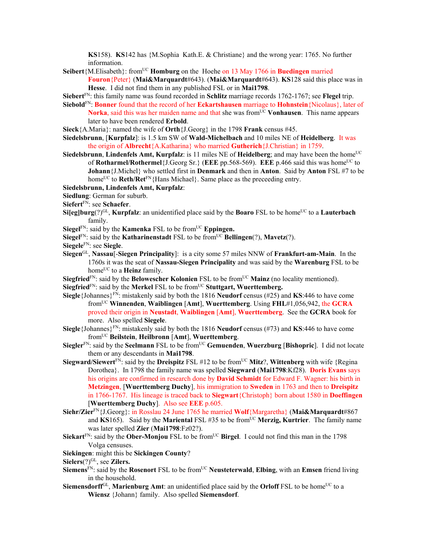**KS**158). **KS**142 has {M.Sophia Kath.E. & Christiane} and the wrong year: 1765. No further information.

- **Seibert**{M.Elisabeth}: fromUC **Homburg** on the Hoehe on 13 May 1766 in **Buedingen** married **Fouron**{Peter} (**Mai&Marquardt**#643). (**Mai&Marquardt**#643). **KS**128 said this place was in **Hesse**. I did not find them in any published FSL or in **Mai1798**.
- **Siebert**FN: this family name was found recorded in **Schlitz** marriage records 1762-1767; see **Flegel** trip.
- **Siebold**FN: **Bonner** found that the record of her **Eckartshausen** marriage to **Hohnstein**{Nicolaus}, later of **Norka**, said this was her maiden name and that she was from<sup>UC</sup> **Vonhausen**. This name appears later to have been rendered **Erbold**.
- **Sieck**{A.Maria}: named the wife of **Orth**{J.Georg} in the 1798 **Frank** census #45.
- **Siedelsbrunn**, [**Kurpfalz**]: is 1.5 km SW of **Wald-Michelbach** and 10 miles NE of **Heidelberg**. It was the origin of **Albrecht**{A.Katharina} who married **Gutherich**{J.Christian} in 1759.
- **Siedelsbrunn, Lindenfels Amt, Kurpfalz**: is 11 miles NE of **Heidelberg**; and may have been the home<sup>UC</sup> of **Rotharmel/Rothermel**{J.Georg Sr.} (**EEE** pp.568-569). **EEE** p.466 said this was home<sup>UC</sup> to **Johann**{J.Michel} who settled first in **Denmark** and then in **Anton**. Said by **Anton** FSL #7 to be home<sup>UC</sup> to **Reth/Ret**<sup>FN</sup>{Hans Michael}. Same place as the preceeding entry.
- **Siedelsbrunn, Lindenfels Amt, Kurpfalz**:
- **Siedlung**: German for suburb.
- **Siefert**FN: see **Schaefer**.
- **Si[eg]burg**(?)<sup>GL</sup>, **Kurpfalz**: an unidentified place said by the **Boaro** FSL to be home<sup>UC</sup> to a **Lauterbach** family.
- **Siegel**<sup>FN</sup>: said by the **Kamenka** FSL to be from<sup>UC</sup> **Eppingen.**
- **Siegel**<sup>FN</sup>: said by the **Katharinenstadt** FSL to be from<sup>UC</sup> **Bellingen**(?), **Mavetz**(?).
- **Siegele**FN: see **Siegle**.
- **Siegen**GL, **Nassau**[-**Siegen Principality**]: is a city some 57 miles NNW of **Frankfurt-am-Main**. In the 1760s it was the seat of **Nassau-Siegen Principality** and was said by the **Warenburg** FSL to be home<sup>UC</sup> to a **Heinz** family.
- **Siegfried**<sup>FN</sup>: said by the **Belowescher Kolonien** FSL to be from<sup>UC</sup> **Mainz** (no locality mentioned).
- **Siegfried**<sup>FN</sup>: said by the **Merkel** FSL to be from<sup>UC</sup> **Stuttgart, Wuerttemberg.**
- **Siegle** {Johannes}<sup>FN</sup>: mistakenly said by both the 1816 **Neudorf** census (#25) and **KS**:446 to have come fromUC **Winnenden**, **Waiblingen** [**Amt**], **Wuerttemberg**. Using **FHL**#1,056,942, the **GCRA**  proved their origin in **Neustadt**, **Waiblingen** [**Amt**], **Wuerttemberg**. See the **GCRA** book for more. Also spelled **Siegele**.
- **Siegle**{Johannes}FN: mistakenly said by both the 1816 **Neudorf** census (#73) and **KS**:446 to have come fromUC **Beilstein**, **Heilbronn** [**Amt**], **Wuerttemberg**.
- **Siegler**FN: said by the **Seelmann** FSL to be fromUC **Gemuenden**, **Wuerzburg** [**Bishopric**]. I did not locate them or any descendants in **Mai1798**.
- **Siegward/Siewert**<sup>FN</sup>: said by the **Dreispitz** FSL #12 to be from<sup>UC</sup> **Mitz**?, **Wittenberg** with wife {Regina} Dorothea}. In 1798 the family name was spelled **Siegward** (**Mai1798**:Kf28). **Doris Evans** says his origins are confirmed in research done by **David Schmidt** for Edward F. Wagner: his birth in **Metzingen**, [**Wuerttemberg Duchy**], his immigration to **Sweden** in 1763 and then to **Dreispitz** in 1766-1767. His lineage is traced back to **Siegwart**{Christoph} born about 1580 in **Doeffingen**  [**Wuerttemberg Duchy**]. Also see **EEE** p.605.
- **Siehr/Zier**FN{J.Georg}: in Rosslau 24 June 1765 he married **Wolf**{Margaretha} (**Mai&Marquardt**#867 and  $KS165$ . Said by the **Mariental** FSL #35 to be from<sup>UC</sup> **Merzig, Kurtrier**. The family name was later spelled **Zier** (**Mai1798**:Fz02?).
- **Siekart**<sup>FN</sup>: said by the **Ober-Monjou** FSL to be from<sup>UC</sup> Birgel. I could not find this man in the 1798 Volga censuses.
- **Siekingen**: might this be **Sickingen County**?
- Sielers<sup>(?)GL</sup>, see Zilers.
- **Siemens**<sup>FN</sup>: said by the **Rosenort** FSL to be from<sup>UC</sup> **Neusteterwald**, **Elbing**, with an **Emsen** friend living in the household.
- **Siemensdorff**GL, **Marienburg Amt**: an unidentified place said by the **Orloff** FSL to be home<sup>UC</sup> to a **Wiensz** {Johann} family. Also spelled **Siemensdorf**.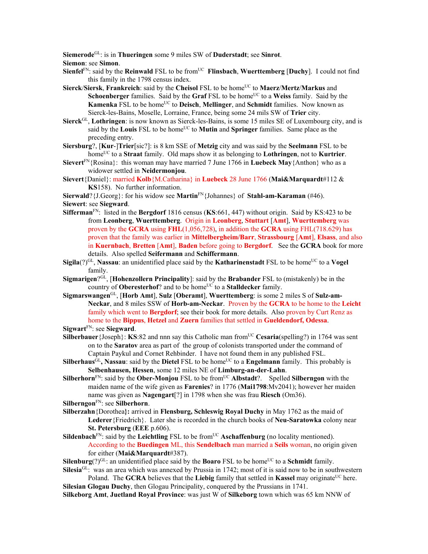**Siemerode**GL: is in **Thueringen** some 9 miles SW of **Duderstadt**; see **Sinrot**. **Siemon**: see **Simon**.

**Sienfel**<sup>FN</sup>: said by the **Reinwald** FSL to be from<sup>UC</sup> **Flinsbach**, **Wuerttemberg** [Duchy]. I could not find this family in the 1798 census index.

**Sierck/Siersk, Frankreich**: said by the **Cheisol** FSL to be home<sup>UC</sup> to **Maerz/Mertz/Markus** and **Schoenberger** families. Said by the **Graf** FSL to be home<sup>UC</sup> to a Weiss family. Said by the **Kamenka** FSL to be home<sup>UC</sup> to **Deisch**, **Mellinger**, and **Schmidt** families. Now known as Sierck-les-Bains, Moselle, Lorraine, France, being some 24 mils SW of **Trier** city.

**Sierck**GL, **Lothringen**: is now known as Sierck-les-Bains, is some 15 miles SE of Luxembourg city, and is said by the **Louis** FSL to be home<sup>UC</sup> to **Mutin** and **Springer** families. Same place as the preceding entry.

**Siersburg**?, [**Kur**-]**Trier**[sic?]: is 8 km SSE of **Metzig** city and was said by the **Seelmann** FSL to be homeUC to a **Straat** family. Old maps show it as belonging to **Lothringen**, not to **Kurtrier**.

**Sievert**<sup>FN</sup>{Rosina}: this woman may have married 7 June 1766 in **Luebeck May**{Anthon} who as a widower settled in **Neidermonjou**.

**Sievert**{Daniel}: married **Kolb**{M.Catharina} in **Luebeck** 28 June 1766 (**Mai&Marquardt**#112 & **KS**158). No further information.

**Sierwald**?{J.Georg}: for his widow see **Martin**FN{Johannes} of **Stahl-am-Karaman** (#46). **Siewert**: see **Siegward**.

- **Sifferman**FN: listed in the **Bergdorf** 1816 census (**KS**:661, 447) without origin. Said by KS:423 to be from **Leonberg**, **Wuerttemberg**. Origin in **Leonberg**, **Stuttart** [**Amt**], **Wuerttemberg** was proven by the **GCRA** using **FHL**(1,056,728), in addition the **GCRA** using FHL(718.629) has proven that the family was earlier in **Mittelbergheim/Barr**, **Strassbourg** [**Amt**], **Elsass**, and also in **Kuernbach**, **Bretten** [**Amt**], **Baden** before going to **Bergdorf**. See the **GCRA** book for more details. Also spelled **Seifermann** and **Schiffermann**.
- **Sigila**( $?$ )<sup>GL</sup>, **Nassau**: an unidentified place said by the **Katharinenstadt** FSL to be home<sup>UC</sup> to a **Vogel** family.
- **Sigmarigen**?GL, [**Hohenzollern Principality**]: said by the **Brabander** FSL to (mistakenly) be in the country of **Oberesterhof**? and to be home<sup>UC</sup> to a **Stalldecker** family.
- **Sigmarswangen**GL, [**Horb Amt**], **Sulz** [**Oberamt**], **Wuerttemberg**: is some 2 miles S of **Sulz-am-Neckar**, and 8 miles SSW of **Horb-am-Neckar**. Proven by the **GCRA** to be home to the **Leicht** family which went to **Bergdorf**; see their book for more details. Also proven by Curt Renz as home to the **Bippus**, **Hetzel** and **Zuern** families that settled in **Gueldendorf, Odessa**. **Sigwart**FN: see **Siegward**.

**Silberbauer** {Joseph}: **KS**:82 and nnn say this Catholic man from<sup>UC</sup> **Cesaria**(spelling?) in 1764 was sent on to the **Saratov** area as part of the group of colonists transported under the command of

Captain Paykul and Cornet Rehbinder. I have not found them in any published FSL. **Silberhaus<sup>GL</sup>, Nassau**: said by the **Dietel** FSL to be home<sup>UC</sup> to a **Engelmann** family. This probably is **Selbenhausen, Hessen**, some 12 miles NE of **Limburg-an-der-Lahn**.

**Silberhorn**<sup>FN</sup>: said by the **Ober-Monjou** FSL to be from<sup>UC</sup> **Albstadt**?. Spelled **Silberngon** with the maiden name of the wife given as **Farenies**? in 1776 (**Mai1798**:Mv2041); however her maiden name was given as **Nagengart**[?] in 1798 when she was frau **Riesch** (Om36).

**Silberngon**FN: see **Silberhorn**.

**Silberzahn**{Dorothea**}:** arrived in **Flensburg, Schleswig Royal Duchy** in May 1762 as the maid of **Lederer**{Friedrich}. Later she is recorded in the church books of **Neu-Saratowka** colony near **St. Petersburg** (**EEE** p.606).

**Sildenbach**<sup>FN</sup>: said by the **Leichtling** FSL to be from<sup>UC</sup> **Aschaffenburg** (no locality mentioned). According to the **Buedingen** ML, this **Sendelbach** man married a **Seils** woman, no origin given for either (**Mai&Marquardt**#387).

**Silenburg** $(?)^{GL}$ : an unidentified place said by the **Boaro** FSL to be home<sup>UC</sup> to a **Schmidt** family. Silesia<sup>GL:</sup> was an area which was annexed by Prussia in 1742; most of it is said now to be in southwestern

Poland. The **GCRA** believes that the **Liebig** family that settled in **Kassel** may originate<sup>UC</sup> here. **Silesian Glogau Duchy**, then Glogau Principality, conquered by the Prussians in 1741. **Silkeborg Amt**, **Juetland Royal Province**: was just W of **Silkeborg** town which was 65 km NNW of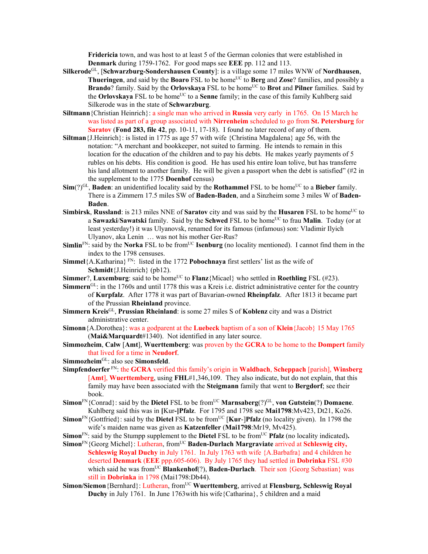**Fridericia** town, and was host to at least 5 of the German colonies that were established in **Denmark** during 1759-1762. For good maps see **EEE** pp. 112 and 113.

- **Silkerode**GL, [**Schwarzburg-Sondershausen County**]: is a village some 17 miles WNW of **Nordhausen**, **Thueringen**, and said by the **Boaro** FSL to be home<sup>UC</sup> to **Berg** and **Zose**? families, and possibly a **Brando**? family. Said by the **Orlovskaya** FSL to be home<sup>UC</sup> to **Brot** and **Pilner** families. Said by the **Orlovskaya** FSL to be home<sup>UC</sup> to a **Senne** family; in the case of this family Kuhlberg said Silkerode was in the state of **Schwarzburg**.
- **Siltmann**{Christian Heinrich}: a single man who arrived in **Russia** very early in 1765. On 15 March he was listed as part of a group associated with **Nirrenheim** scheduled to go from **St. Petersburg** for **Saratov** (**Fond 283, file 42**, pp. 10-11, 17-18). I found no later record of any of them.
- **Siltman**{J.Heinrich}: is listed in 1775 as age 57 with wife {Christina Magdalena} age 56, with the notation: "A merchant and bookkeeper, not suited to farming. He intends to remain in this location for the education of the children and to pay his debts. He makes yearly payments of 5 rubles on his debts. His condition is good. He has used his entire loan tolive, but has transferre his land allotment to another family. He will be given a passport when the debt is satisfied" (#2 in the supplement to the 1775 **Doenhof** census)
- $\text{Sim}(?)^{\text{GL}}$ , **Baden**: an unidentified locality said by the **Rothammel** FSL to be home<sup>UC</sup> to a **Bieber** family. There is a Zimmern 17.5 miles SW of **Baden-Baden**, and a Sinzheim some 3 miles W of **Baden-Baden**.
- **Simbirsk, Russland**: is 213 miles NNE of **Saratov** city and was said by the **Husaren** FSL to be home<sup>UC</sup> to a **Sawazki/Sawatski** family. Said by the **Schwed** FSL to be home<sup>UC</sup> to frau **Malin**. Today (or at least yesterday!) it was Ulyanovsk, renamed for its famous (infamous) son: Vladimir Ilyich Ulyanov, aka Lenin … was not his mother Ger-Rus?
- **Simlin**<sup>FN</sup>: said by the **Norka** FSL to be from<sup>UC</sup> **Isenburg** (no locality mentioned). I cannot find them in the index to the 1798 censuses.
- **Simmel**{A.Katharina}<sup>FN</sup>: listed in the 1772 **Pobochnaya** first settlers' list as the wife of **Schmidt**{J.Heinrich} (pb12).
- **Simmer**?, **Luxemburg**: said to be home<sup>UC</sup> to **Flanz**{Micael} who settled in **Roethling** FSL (#23).
- **Simmern**GL: in the 1760s and until 1778 this was a Kreis i.e. district administrative center for the country of **Kurpfalz**. After 1778 it was part of Bavarian-owned **Rheinpfalz**. After 1813 it became part of the Prussian **Rheinland** province.
- **Simmern Kreis**GL, **Prussian Rheinland**: is some 27 miles S of **Koblenz** city and was a District administrative center.
- **Simonn**{A.Dorothea}: was a godparent at the **Luebeck** baptism of a son of **Klein**{Jacob} 15 May 1765 (**Mai&Marquardt**#1340). Not identified in any later source.
- **Simmozheim**, **Calw** [**Amt**], **Wuerttemberg**: was proven by the **GCRA** to be home to the **Dompert** family that lived for a time in **Neudorf**.
- **Simmozheim**GL: also see **Simonsfeld**.
- **Simpfendoerfer** FN: the **GCRA** verified this family's origin in **Waldbach**, **Scheppach** [parish], **Winsberg** [**Amt**], **Wuerttemberg**, using **FHL**#1,346,109. They also indicate, but do not explain, that this family may have been associated with the **Steigmann** family that went to **Bergdorf**; see their book.
- **Simon**<sup>FN</sup>{Conrad}: said by the **Dietel** FSL to be from<sup>UC</sup> **Marnsaberg**(?)<sup>GL</sup>, **von Gutstein**(?) **Domaene**. Kuhlberg said this was in **[**Kur**-]Pfalz**. For 1795 and 1798 see **Mai1798**:Mv423, Dt21, Ko26.
- **Simon**FN{Gottfried}: said by the **Dietel** FSL to be from<sup>UC</sup> [**Kur-]Pfalz** (no locality given). In 1798 the wife's maiden name was given as **Katzenfeller** (**Mai1798**:Mr19, Mv425).
- **Simon**<sup>FN</sup>: said by the Stumpp supplement to the **Dietel** FSL to be from<sup>UC</sup> **Pfalz** (no locality indicated).
- Simon<sup>FN</sup>{Georg Michel}: Lutheran, from<sup>UC</sup> Baden-Durlach Margraviate arrived at Schleswig city, **Schleswig Royal Duchy** in July 1761. In July 1763 wth wife {A.Barbafra} and 4 children he deserted **Denmark** (**EEE** ppp.605-606). By July 1765 they had settled in **Dobrinka** FSL #30 which said he was from<sup>UC</sup> **Blankenhof**(?), **Baden-Durlach**. Their son {Georg Sebastian} was still in **Dobrinka** in 1798 (Mai1798:Db44).
- **Simon/Siemon** {Bernhard}: Lutheran, from<sup>UC</sup> **Wuerttemberg**, arrived at **Flensburg, Schleswig Royal Duchy** in July 1761. In June 1763with his wife{Catharina}, 5 children and a maid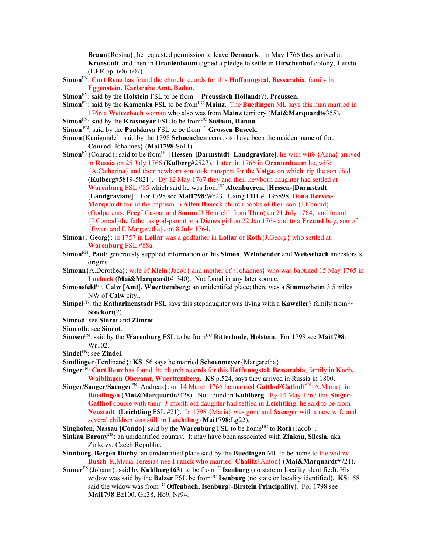**Braun**{Rosina}, he requested permission to leave **Denmark**. In May 1766 they arrived at **Kronstadt**, and then in **Oranienbaum** signed a pledge to settle in **Hirschenhof** colony, **Latvia** (**EEE** pp. 606-607).

- **Simon**FN: **Curt Renz** has found the church records for this **Hoffnungstal, Bessarabia**, family in **Eggenstein, Karlsruhe Amt, Baden**.
- **Simon**<sup>FN</sup>: said by the **Holstein** FSL to be from<sup>UC</sup> **Preussisch Holland**(?), **Preussen**.
- **Simon**<sup>FN</sup>: said by the **Kamenka** FSL to be from<sup>UC</sup> **Mainz.** The **Buedingen** ML says this man married in 1766 a **Weitzebach** woman who also was from **Mainz** territory (**Mai&Marquardt**#355).
- **Simon**<sup>FN</sup>: said by the **Krasnoyar** FSL to be from<sup>UC</sup> Steinau, Hanau.
- **Simon** FN: said by the **Paulskaya** FSL to be from<sup>UC</sup> Grossen Buseck.
- **Simon**{Kunigunde}: said by the 1798 **Schoenchen** census to have been the maiden name of frau **Conrad**{Johannes} (**Mai1798**:Sn11).
- **Simon**<sup>FN</sup>{Conrad}: said to be from<sup>UC</sup> [**Hessen-**]**Darmstadt** [**Landgraviate**], he with wife {Anna} arrived in **Russia** on 25 July 1766 (**Kulberg**#2527). Later in 1766 in **Oranienbaum** he, wife {A.Catharina} and their newborn son took transport for the **Volga**, on which trip the son died (**Kulberg**#5819-5821). By 12 May 1767 they and their newborn daughter had settled at **Warenburg** FSL #85 which said he was from<sup>UC</sup> Altenbueren, [Hessen-]Darmstadt [**Landgraviate**]. For 1798 see **Mai1798**:Wr23. Using **FHL**#1195898, **Dona Reeves-Marquardt** found the baptism in **Alten Buseck** church books of their son {J.Conrad} (Godparents: **Frey**J.Caspar and **Simon**{J.Henrich} from **Thro**) on 21 July 1764, and found {J.Conrad}the father as god-parent to a **Dienes** girl on 22 Jan 1764 and to a **Freund** boy, son of {Ewart and E.Margaretha}, on 8 July 1764.
- **Simon**{J.Georg}: in 1757 in **Lollar** was a godfather in **Lollar** of **Roth**{J.Georg} who settled at **Warenburg** FSL #88a.
- **Simon**RN, **Paul**: generously supplied information on his **Simon**, **Weinbender** and **Weissebach** ancestors's origins.
- **Simonn**{A.Dorothea}: wife of **Klein**{Jacob} and mother of {Johannes} who was baptized 15 May 1765 in **Luebeck** (**Mai&Marquardt**#1340). Not found in any later source.
- **Simonsfeld**GL, **Calw** [**Amt**], **Wuerttemberg**: an unidentifed place; there was a **Simmozheim** 3.5 miles NW of **Calw** city..
- **Simpel**FN: the **Katharinenstadt** FSL says this stepdaughter was living with a **Kaweller**? family from<sup>UC</sup> Stockort(?).
- **Simrod**: see **Sinrot** and **Zimrot**.
- **Simroth**: see **Sinrot**.
- **Simsen**<sup>FN</sup>: said by the **Warenburg** FSL to be from<sup>UC</sup> Ritterhude, Holstein. For 1798 see Mai1798: Wr102.
- **Sindel**FN: see **Zindel**.
- **Sindlinger**{Ferdinand}: **KS**156 says he married **Schoenmeyer**{Margaretha}.
- **Singer**FN: **Curt Renz** has found the church records for this **Hoffnungstal, Bessarabia**, family in **Korb, Waiblingen Oberamt, Wuerttemberg**. **KS** p.524, says they arrived in Russia in 1800.
- **Singer/Sanger/Saenger**FN{Andreas}: on 14 March 1766 he married **Gatthof/Gathoff**FN{A.Maria} in **Buedingen** (**Mai&Marquardt**#428). Not found in **Kuhlberg**. By 14 May 1767 this **Singer-Gatthof** couple with their 3-month old daughter had settled in **Leichtling**, he said to be from **Neustadt** (**Leichtling** FSL #21). In 1798 {Maria} was gone and **Saenger** with a new wife and several children was still in **Leichtling** (**Mai1798**:Lg22).
- **Singhofen**, **Nassau** [**Condo**]: said by the **Warenburg** FSL to be home<sup>UC</sup> to **Roth**{Jacob}.
- **Sinkau Barony**GS: an unidentified country. It may have been associated with **Zinkau**, **Silesia**, nka Zinkovy, Czech Republic.
- **Sinnburg, Bergen Duchy**: an unidentified place said by the **Buedingen** ML to be home to the widow **Busch**{K.Maria Teresia} nee **Franck who** married **Chalitz**{Anton} (**Mai&Marquardt**#721).
- **Sinner**<sup>FN</sup>{Johann}: said by **Kuhlberg1631** to be from<sup>UC</sup> **Isenburg** (no state or locality identified). His widow was said by the **Balzer** FSL be from<sup>UC</sup> **Isenburg** (no state or locality identified). **KS**:158 said the widow was from<sup>UC</sup> **Offenbach, Isenburg**[-**Birstein Principality**]. For 1798 see **Mai1798**:Bz100, Gk38, Ho9, Nr94.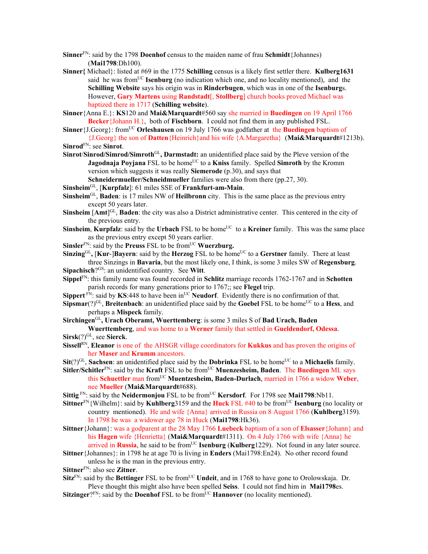- **Sinner**FN: said by the 1798 **Doenhof** census to the maiden name of frau **Schmidt**{Johannes) (**Mai1798**:Dh100).
- **Sinner{** Michael}: listed at #69 in the 1775 **Schilling** census is a likely first settler there. **Kulberg1631** said he was fromUC **Isenburg** (no indication which one, and no locality mentioned), and the **Schilling Website** says his origin was in **Rinderbugen**, which was in one of the **Isenburg**s. However, **Gary Martens** using **Randstadt**[, **Stollberg**] church books proved Michael was baptized there in 1717 (**Schilling website**).
- **Sinner**{Anna E.}: **KS**120 and **Mai&Marquardt**#560 say she married in **Buedingen** on 19 April 1766 **Becker**{Johann H.}, both of **Fischborn**. I could not find them in any published FSL.
- **Sinner**{J.Georg}: from<sup>UC</sup> **Orleshausen** on 19 July 1766 was godfather at the **Buedingen** baptism of {J.Georg} the son of **Datten**{Heinrich}and his wife {A.Margaretha} (**Mai&Marquardt**#1213b).
- **Sinrod**FN: see **Sinrot**.
- **Sinrot**/**Sinrod/Simrod/Simroth**GL**, Darmstadt:** an unidentified place said by the Pleve version of the **Jagodnaja Poyjana** FSL to be home<sup>UC</sup> to a **Kniss** family. Spelled **Simroth** by the Kromm version which suggests it was really **Siemerode** (p.30), and says that
	- **Schneidermueller/Schneidmueller** families were also from there (pp.27, 30).
- **Sinsheim**GL, [**Kurpfalz**]: 61 miles SSE of **Frankfurt-am-Main**.
- **Sinsheim**GL, **Baden**: is 17 miles NW of **Heilbronn** city. This is the same place as the previous entry except 50 years later.
- **Sinsheim** [Amt]<sup>GL</sup>, **Baden**: the city was also a District administrative center. This centered in the city of the previous entry.
- **Sinsheim, Kurpfalz**: said by the **Urbach** FSL to be home<sup>UC</sup> to a **Kreiner** family. This was the same place as the previous entry except 50 years earlier.
- **Sinsler**<sup>FN</sup>: said by the **Preuss** FSL to be from<sup>UC</sup> **Wuerzburg.**

**Sinzing**GL, **[Kur-]Bayern**: said by the **Herzog** FSL to be home<sup>UC</sup> to a Gerstner family. There at least three Sinzings in **Bavaria**, but the most likely one, I think, is some 3 miles SW of **Regensburg**. **Sipachisch**?GS: an unidentified country. See **Witt**.

- **Sippel**FN: this family name was found recorded in **Schlitz** marriage records 1762-1767 and in **Schotten** parish records for many generations prior to 1767;; see **Flegel** trip.
- **Sippert**  $\overline{FN}$ : said by **KS**:448 to have been in<sup>UC</sup> **Neudorf**. Evidently there is no confirmation of that. **Sipsmar**( $?$ )<sup>GL</sup>, **Breitenbach**: an unidentified place said by the **Goebel** FSL to be home<sup>UC</sup> to a **Hess**, and

perhaps a **Mispeck** family.

**Sirchingen**GL**, Urach Oberamt, Wuerttemberg**: is some 3 miles S of **Bad Urach, Baden** 

**Wuerttemberg**, and was home to a **Werner** family that settled in **Gueldendorf, Odessa**. **Sirsk**(?)GL, see **Sierck**.

- **Sissell**RN, **Eleanor** is one of the AHSGR village coordinators for **Kukkus** and has proven the origins of her **Maser** and **Krumm** ancestors.
- $$
- **Sitler/Schitler**<sup>FN</sup>: said by the **Kraft** FSL to be from<sup>UC</sup> **Muenzesheim, Baden**. The Buedingen ML says this **Schuettler** man fromUC **Muentzesheim, Baden-Durlach**, married in 1766 a widow **Weber**, nee **Mueller** (**Mai&Marquardt**#688).
- **Sittig**<sup>FN</sup>: said by the **Neidermonjou** FSL to be from<sup>UC</sup> **Kersdorf**. For 1798 see **Mai1798**:Nb11.
- **Sittner**<sup>FN</sup>{Wilhelm}: said by **Kuhlberg**3159 and the **Huck** FSL #40 to be from<sup>UC</sup> **Isenburg** (no locality or country mentioned). He and wife {Anna} arrived in Russia on 8 August 1766 (**Kuhlberg**3159). In 1798 he was a widower age 78 in Huck (**Mai1798**:Hk36).
- **Sittner**{Johann}: was a godparent at the 28 May 1766 **Luebeck** baptism of a son of **Elsasser**{Johann} and his **Hagen** wife {Henrietta} (**Mai&Marquardt**#1311). On 4 July 1766 with wife {Anna} he arrived in **Russia**, he said to be from<sup>UC</sup> **Isenburg** (**Kulberg**1229). Not found in any later source.
- **Sittner**{Johannes}: in 1798 he at age 70 is living in **Enders** (Mai1798:En24). No other record found unless he is the man in the previous entry.
- **Sittner**FN: also see **Zitner**.
- **Sitz**<sup>FN</sup>: said by the **Bettinger** FSL to be from<sup>UC</sup> **Undeit**, and in 1768 to have gone to Orolowskaja. Dr. Pleve thought this might also have been spelled **Seiss**. I could not find him in **Mai1798**es.
- **Sitzinger**? $F_N$ : said by the **Doenhof** FSL to be from<sup>UC</sup> **Hannover** (no locality mentioned).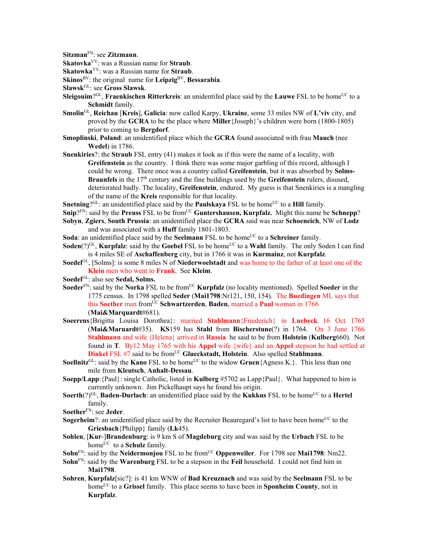**Sitzman**FN: see **Zitzmann**.

**Skatovka**VV: was a Russian name for **Straub**.

**Skatowka**VV: was a Russian name for **Straub**.

**Skinos**BV: the original name for **Leipzig**BV, **Bessarabia**.

- Sleigouim?<sup>GL</sup>, Fraenkischen Ritterkreis: an unidentifed place said by the Lauwe FSL to be home<sup>UC</sup> to a **Schmidt** family.
- **Smolin**GL, **Reichau** [**Kreis**], **Galicia**: now called Karpy, **Ukraine**, some 33 miles NW of **L'viv** city, and proved by the **GCRA** to be the place where **Miller**{Joseph}'s children were born (1800-1805) prior to coming to **Bergdorf**.
- **Smoplinski**, **Poland**: an unidentified place which the **GCRA** found associated with frau **Mauch** (nee **Wedel**) in 1786.
- **Snenkiries**?: the **Straub** FSL entry (41) makes it look as if this were the name of a locality, with **Greifenstein** as the country. I think there was some major garbling of this record, although I could be wrong. There once was a country called **Greifenstein**, but it was absorbed by **Solms-Braunfels** in the 17<sup>th</sup> century and the fine buildings used by the **Greifenstein** rulers, disused, deteriorated badly. The locality, **Greifenstein**, endured. My guess is that Snenkiries is a mangling of the name of the **Kreis** responsible for that locality.
- **Snetning**?GL: an unidentified place said by the **Paulskaya** FSL to be home<sup>UC</sup> to a **Hill** family.
- **Snip**?FN: said by the **Preuss** FSL to be fromUC **Guntershausen, Kurpfalz.** Might this name be **Schnepp**?
- **Sobyn**, **Zgiers**, **South Prussia**: an unidentified place the **GCRA** said was near **Schoeneich**, NW of **Lodz**  and was associated with a **Huff** family 1801-1803.

**Soda**: an unidentified place said by the **Seelmann** FSL to be home<sup>UC</sup> to a **Schreiner** family.

- **Soden**(?)<sup>GL</sup>, **Kurpfalz**: said by the **Goebel** FSL to be home<sup>UC</sup> to a **Wahl** family. The only Soden I can find is 4 miles SE of **Aschaffenberg** city, but in 1766 it was in **Kurmainz**, not **Kurpfalz**.
- **Soedel**GL, [Solms]: is some 8 miles N of **Niederwoelstadt** and was home to the father of at least one of the **Klein** men who went to **Frank**. See **Kleim**.
- **Soedel**GL: also see **Sedal, Solms.**
- **Soeder**<sup>FN</sup>: said by the **Norka** FSL to be from<sup>UC</sup> **Kurpfalz** (no locality mentioned). Spelled **Soeder** in the 1775 census. In 1798 spelled **Seder** (**Mai1798**:Nr121, 150, 154). The **Buedingen** ML says that this **Soether** man fromUC **Schwartzerden**, **Baden**, married a **Paul** woman in 1766 (**Mai&Marquardt**#681).
- **Soeerens**{Brigitta Louisa Dorothea}: married **Stahlmann**{Friederich} in **Luebeck** 16 Oct 1765 (**Mai&Maruardt**#35). **KS**159 has **Stahl** from **Bischerstune**(?) in 1764. On 3 June 1766 **Stahlmann** and wife {Helena} arrived in **Russia** he said to be from **Holstein** (**Kulberg**660). Not found in **T**. By12 May 1765 with his **Appel** wife {wife} and an **Appel** stepson he had settled at **Dinkel** FSL #7 said to be from<sup>UC</sup> Glueckstadt, Holstein. Also spelled Stahlmann.
- **Soellnitz**<sup>GL</sup>: said by the **Kano** FSL to be home<sup>UC</sup> to the widow **Gruen**{Agness K.}. This less than one mile from **Kleutsch**, **Anhalt-Dessau**.
- **Soepp/Lapp**:{Paul}: single Catholic, listed in **Kulberg** #5702 as Lapp{Paul}. What happened to him is currently unknown. Jim Pickelhaupt says he found his origin.
- **Soerth**(?)<sup>GL</sup>, **Baden-Durlach**: an unidentified place said by the **Kukkus** FSL to be home<sup>UC</sup> to a **Hertel** family.

- **Sogerheim**?: an unidentified place said by the Recruiter Beauregard's list to have been home<sup>UC</sup> to the **Griesbach**{Philipp} family (**Lk**45).
- **Sohlen**, [**Kur**-]**Brandenburg**: is 9 km S of **Magdeburg** city and was said by the **Urbach** FSL to be home<sup>UC</sup> to a **Schulz** family.
- **Sohn**<sup>FN</sup>: said by the **Neidermonjou** FSL to be from<sup>UC</sup> **Oppenweiler**. For 1798 see **Mai1798**: Nm22.
- **Sohn**FN: said by the **Warenburg** FSL to be a stepson in the **Feil** household. I could not find him in **Mai1798**.
- **Sohren**, **Kurpfalz**[sic?]: is 41 km WNW of **Bad Kreuznach** and was said by the **Seelmann** FSL to be homeUC to a **Grissel** family. This place seems to have been in **Sponheim County**, not in **Kurpfalz**.

**Slawsk**GL: see **Gross Slawsk**.

**Soether**FN: see **Jeder**.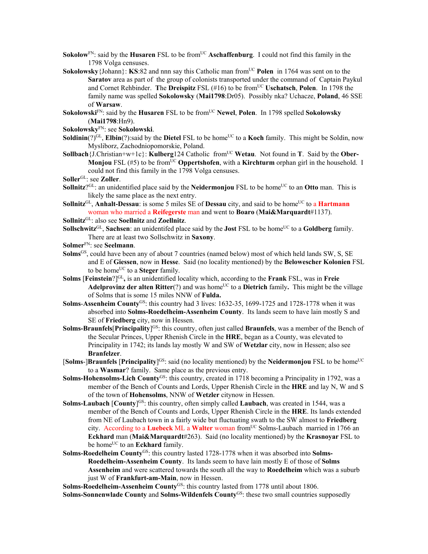- **Sokolow**<sup>FN</sup>: said by the **Husaren** FSL to be from<sup>UC</sup> **Aschaffenburg**. I could not find this family in the 1798 Volga censuses.
- **Sokolowsky** {Johann}: **KS**:82 and nnn say this Catholic man from<sup>UC</sup> Polen in 1764 was sent on to the **Saratov** area as part of the group of colonists transported under the command of Captain Paykul and Cornet Rehbinder. **T**he **Dreispitz** FSL (#16) to be fromUC **Uschatsch**, **Polen**. In 1798 the family name was spelled **Sokolowsky** (**Mai1798**:Dr05). Possibly nka? Uchacze, **Poland**, 46 SSE of **Warsaw**.
- **Sokolowski**FN: said by the **Husaren** FSL to be fromUC **Newel**, **Polen**. In 1798 spelled **Sokolowsky** (**Mai1798**:Hn9).
- **Sokolowsky**FN: see **Sokolowski**.
- **Soldinin**(?)<sup>GL</sup>, **Elbin**(?):said by the **Dietel** FSL to be home<sup>UC</sup> to a **Koch** family. This might be Soldin, now Mysliborz, Zachodniopomorskie, Poland.
- **Sollbach**{J.Christian+w+1c}: **Kulberg**124 Catholic from<sup>UC</sup> Wetau. Not found in **T**. Said by the Ober-**Monjou** FSL  $(\#5)$  to be from<sup>UC</sup> **Oppertshofen**, with a **Kirchturm** orphan girl in the household. I could not find this family in the 1798 Volga censuses.
- **Soller**GL: see **Zoller**.
- **Sollnitz**?<sup>GL</sup>: an unidentified place said by the **Neidermonjou** FSL to be home<sup>UC</sup> to an **Otto** man. This is likely the same place as the next entry.
- **Sollnitz**<sup>GL</sup>, **Anhalt-Dessau**: is some 5 miles SE of **Dessau** city, and said to be home<sup>UC</sup> to a **Hartmann** woman who married a **Reifegerste** man and went to **Boaro** (**Mai&Marquardt**#1137).
- **Sollnitz**GL: also see **Soellnitz** and **Zoellnitz**.
- **Sollschwitz**<sup>GL</sup>, **Sachsen**: an unidentifed place said by the **Jost** FSL to be home<sup>UC</sup> to a **Goldberg** family. There are at least two Sollschwitz in **Saxony**.
- **Solmer**FN: see **Seelmann**.
- **Solms**GS, could have been any of about 7 countries (named below) most of which held lands SW, S, SE and E of **Giessen**, now in **Hesse**. Said (no locality mentioned) by the **Belowescher Kolonien** FSL to be home<sup>UC</sup> to a **Steger** family.
- **Solms** [**Feinstein**?]GL**,** is an unidentified locality which, according to the **Frank** FSL, was in **Freie Adelprovinz der alten Ritter**(?) and was home<sup>UC</sup> to a **Dietrich** family. This might be the village of Solms that is some 15 miles NNW of **Fulda.**
- **Solms**-**Assenheim County**GS: this country had 3 lives: 1632-35, 1699-1725 and 1728-1778 when it was absorbed into **Solms-Roedelheim-Assenheim County**. Its lands seem to have lain mostly S and SE of **Friedberg** city, now in Hessen.
- **Solms-Braunfels**[**Principality**] GS: this country, often just called **Braunfels**, was a member of the Bench of the Secular Princes, Upper Rhenish Circle in the **HRE**, began as a County, was elevated to Principality in 1742; its lands lay mostly W and SW of **Wetzlar** city, now in Hessen; also see **Branfelzer**.
- [Solms-]Braunfels [Principality]<sup>GS</sup>: said (no locality mentioned) by the Neidermonjou FSL to be home<sup>UC</sup> to a **Wasmar**? family. Same place as the previous entry.
- **Solms-Hohensolms-Lich County**GS: this country, created in 1718 becoming a Principality in 1792, was a member of the Bench of Counts and Lords, Upper Rhenish Circle in the **HRE** and lay N, W and S of the town of **Hohensolms**, NNW of **Wetzler** citynow in Hessen.
- **Solms-Laubach** [County]<sup>GS</sup>: this country, often simply called Laubach, was created in 1544, was a member of the Bench of Counts and Lords, Upper Rhenish Circle in the **HRE**. Its lands extended from NE of Laubach town in a fairly wide but fluctuating swath to the SW almost to **Friedberg** city. According to a Luebeck ML a Walter woman from<sup>UC</sup> Solms-Laubach married in 1766 an **Eckhard** man (**Mai&Marquardt**#263). Said (no locality mentioned) by the **Krasnoyar** FSL to be home<sup>UC</sup> to an **Eckhard** family.
- **Solms-Roedelheim County**GS: this country lasted 1728-1778 when it was absorbed into **Solms-Roedelheim-Assenheim County**. Its lands seem to have lain mostly E of those of **Solms Assenheim** and were scattered towards the south all the way to **Roedelheim** which was a suburb just W of **Frankfurt-am-Main**, now in Hessen.

Solms-Roedelheim-Assenheim County<sup>GS</sup>: this country lasted from 1778 until about 1806.

**Solms-Sonnenwlade County** and **Solms-Wildenfels County**GS: these two small countries supposedly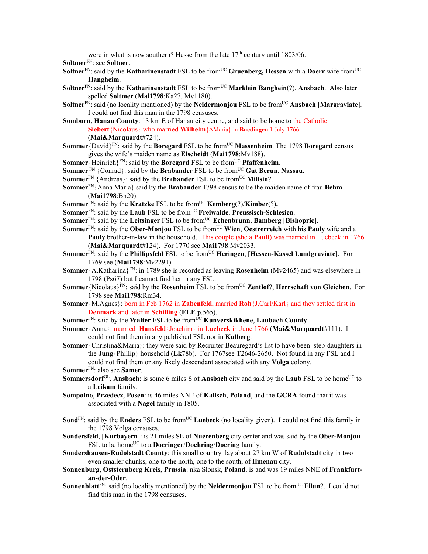were in what is now southern? Hesse from the late 17<sup>th</sup> century until 1803/06.

**Soltmer**FN: see **Soltner**.

- **Soltner**<sup>FN</sup>: said by the **Katharinenstadt** FSL to be from<sup>UC</sup> **Gruenberg, Hessen** with a **Doerr** wife from<sup>UC</sup> **Hangheim**.
- **Soltner**FN: said by the **Katharinenstadt** FSL to be fromUC **Marklein Banghein**(?), **Ansbach**. Also later spelled **Soltmer** (**Mai1798**:Ka27, Mv1180).
- **Soltner**<sup>FN:</sup> said (no locality mentioned) by the **Neidermonjou** FSL to be from<sup>UC</sup> Ansbach [Margraviate]. I could not find this man in the 1798 censuses.
- **Somborn**, **Hanau County**: 13 km E of Hanau city centre, and said to be home to the Catholic **Siebert**{Nicolaus} who married **Wilhelm**{AMaria} in **Buedingen** 1 July 1766 (**Mai&Marquardt**#724).
- **Sommer** {David}<sup>FN</sup>: said by the **Boregard** FSL to be from<sup>UC</sup> **Massenheim**. The 1798 **Boregard** census gives the wife's maiden name as **Elscheidt** (**Mai1798**:Mv188).
- **Sommer** {Heinrich}<sup>FN</sup>: said by the **Boregard** FSL to be from<sup>UC</sup> **Pfaffenheim**.
- **Sommer** FN {Conrad}: said by the **Brabander** FSL to be from<sup>UC</sup> Gut Berun, Nassau.
- **Sommer**<sup>FN</sup> {Andreas}: said by the **Brabander** FSL to be from<sup>UC</sup> **Milisin**?.
- **Sommer**FN{Anna Maria} said by the **Brabander** 1798 census to be the maiden name of frau **Behm** (**Mai1798**:Bn20).
- **Sommer**<sup>FN</sup>: said by the **Kratzke** FSL to be from<sup>UC</sup> **Kemberg** $(?)$ *Kimber* $(?)$ *.*
- **Sommer**FN: said by the **Laub** FSL to be fromUC **Freiwalde**, **Preussisch-Schlesien**.
- **Sommer**FN: said by the **Leitsinger** FSL to be fromUC **Echenbrunn**, **Bamberg** [**Bishopric**].
- **Sommer**<sup>FN</sup>: said by the **Ober-Monjou** FSL to be from<sup>UC</sup> Wien, **Oestrerreich** with his **Pauly** wife and a **Pauly** brother-in-law in the household. This couple (she a **Pauli**) was married in Luebeck in 1766 (**Mai&Marquardt**#124). For 1770 see **Mai1798**:Mv2033.
- **Sommer**<sup>FN</sup>: said by the **Phillipsfeld** FSL to be from<sup>UC</sup> **Heringen**, [Hessen-Kassel Landgraviate]. For 1769 see (**Mai1798**:Mv2291).
- **Sommer**{A.Katharina}FN: in 1789 she is recorded as leaving **Rosenheim** (Mv2465) and was elsewhere in 1798 (Ps67) but I cannot find her in any FSL.
- **Sommer** {Nicolaus}<sup>FN</sup>: said by the **Rosenheim** FSL to be from<sup>UC</sup> **Zentlof**?, **Herrschaft von Gleichen**. For 1798 see **Mai1798**:Rm34.
- **Sommer**{M.Agnes}: born in Feb 1762 in **Zabenfeld**, married **Roh**{J.Carl/Karl} and they settled first in **Denmark** and later in **Schilling** (**EEE** p.565).
- **Sommer**<sup>FN</sup>: said by the **Walter** FSL to be from<sup>UC</sup> **Kunverskikhene**, **Laubach County**.
- **Sommer**{Anna}: married **Hansfeld**{Joachim} in **Luebeck** in June 1766 (**Mai&Marquardt**#111). I could not find them in any published FSL nor in **Kulberg**.
- **Sommer**{Christina&Maria}: they were said by Recruiter Beauregard's list to have been step-daughters in the **Jung**{Phillip} household (**Lk**78b). For 1767see **T**2646-2650. Not found in any FSL and I could not find them or any likely descendant associated with any **Volga** colony. **Sommer**FN: also see **Samer**.
- **Sommersdorf**<sup>GL</sup>, **Ansbach**: is some 6 miles S of **Ansbach** city and said by the **Laub** FSL to be home<sup>UC</sup> to a **Leikam** family.
- **Sompolno**, **Przedecz**, **Posen**: is 46 miles NNE of **Kalisch**, **Poland**, and the **GCRA** found that it was associated with a **Nagel** family in 1805.
- **Sond**<sup>FN</sup>: said by the **Enders** FSL to be from<sup>UC</sup> **Luebeck** (no locality given). I could not find this family in the 1798 Volga censuses.
- **Sondersfeld**, [**Kurbayern**]: is 21 miles SE of **Nuerenberg** city center and was said by the **Ober-Monjou** FSL to be home<sup>UC</sup> to a **Doeringer/Doehring/Doering** family.
- **Sondershausen-Rudolstadt County**: this small country lay about 27 km W of **Rudolstadt** city in two even smaller chunks, one to the north, one to the south, of **Ilmenau** city.
- **Sonnenburg**, **Oststernberg Kreis**, **Prussia**: nka Slonsk, **Poland**, is and was 19 miles NNE of **Frankfurtan-der-Oder**.
- **Sonnenblatt**<sup>FN</sup>: said (no locality mentioned) by the **Neidermonjou** FSL to be from<sup>UC</sup> **Filun**?. I could not find this man in the 1798 censuses.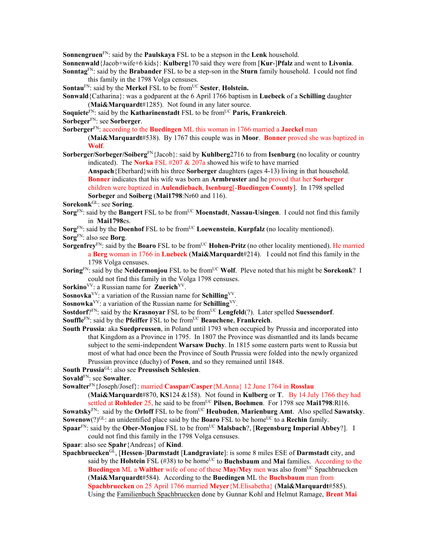**Sonnengruen**FN: said by the **Paulskaya** FSL to be a stepson in the **Lenk** household.

**Sonnenwald**{Jacob+wife+6 kids}: **Kulberg**170 said they were from [**Kur**-]**Pfalz** and went to **Livonia**.

**Sonntag**FN: said by the **Brabander** FSL to be a step-son in the **Sturn** family household. I could not find this family in the 1798 Volga censuses.

**Sontau**<sup>FN</sup>: said by the **Merkel** FSL to be from<sup>UC</sup> **Sester**, **Holstein.** 

**Sonwald**{Catharina}: was a godparent at the 6 April 1766 baptism in **Luebeck** of a **Schilling** daughter (**Mai&Marquardt**#1285). Not found in any later source.

**Soquiete**<sup>FN</sup>: said by the **Katharinenstadt** FSL to be from<sup>UC</sup> **Paris, Frankreich**.

**Sorbeger**FN: see **Sorberger**.

**Sorberger**FN: according to the **Buedingen** ML this woman in 1766 married a **Jaeckel** man

(**Mai&Marquardt**#538). By 1767 this couple was in **Moor**. **Bonner** proved she was baptized in **Wolf**.

**Sorberger/Sorbeger/Soiberg**FN{Jacob}: said by **Kuhlberg**2716 to from **Isenburg** (no locality or country indicated). The **Norka** FSL #207 & 207a showed his wife to have married

**Anspach**{Eberhard}with his three **Sorberger** daughters (ages 4-13) living in that household. **Bonner** indicates that his wife was born an **Armbruster** and he proved that her **Sorberger** children were baptized in **Aulendiebach**, **Isenburg**[-**Buedingen County**]. In 1798 spelled **Sorbeger** and **Soiberg** (**Mai1798**:Nr60 and 116).

**Sorekonk**GL: see **Soring**.

- **Sorg**<sup>FN</sup>: said by the **Bangert** FSL to be from<sup>UC</sup> **Moenstadt**, **Nassau-Usingen**. I could not find this family in **Mai1798**es.
- **Sorg**<sup>FN</sup>: said by the **Doenhof** FSL to be from<sup>UC</sup> **Loewenstein**, **Kurpfalz** (no locality mentioned). **Sorg**FN: also see **Borg**.
- **Sorgenfrey**<sup>FN</sup>: said by the **Boaro** FSL to be from<sup>UC</sup> **Hohen-Pritz** (no other locality mentioned). He married a **Berg** woman in 1766 in **Luebeck** (**Mai&Marquardt**#214). I could not find this family in the 1798 Volga censuses.
- **Soring**<sup>FN</sup>: said by the **Neidermonjou** FSL to be from<sup>UC</sup> **Wolf**. Pleve noted that his might be **Sorekonk**? I could not find this family in the Volga 1798 censuses.
- Sorkino<sup>VV</sup>: a Russian name for **Zuerich**<sup>VV</sup>.

**Sosnovka**VV: a variation of the Russian name for **Schilling**VV.

**Sosnowka**VV: a variation of the Russian name for **Schilling**VV.

**Sostdorf**?FN: said by the **Krasnoyar** FSL to be from<sup>UC</sup> **Lengfeld**(?). Later spelled **Suessendorf**.

**Souffle**<sup>FN</sup>: said by the **Pfeiffer** FSL to be from<sup>UC</sup> **Beauchene**, **Frankreich**.

**South Prussia**: aka **Suedpreussen**, in Poland until 1793 when occupied by Prussia and incorporated into that Kingdom as a Province in 1795. In 1807 the Province was dismantled and its lands became subject to the semi-independent **Warsaw Duchy**. In 1815 some eastern parts went to Russia but most of what had once been the Province of South Prussia were folded into the newly organized Prussian province (duchy) of **Posen**, and so they remained until 1848.

**South Prussia**GL: also see **Preussisch Schlesien**.

**Sovald**FN: see **Sowalter**.

**Sowalter**FN{Joseph/Josef}: married **Casspar/Casper**{M.Anna} 12 June 1764 in **Rosslau**

(**Mai&Marquardt**#870, **KS**124 &158). Not found in **Kulberg** or **T**. By 14 July 1766 they had settled at **Rohleder** 25, he said to be from<sup>UC</sup> Pilsen, Boehmen. For 1798 see Mai1798:Rl16. **Sowatsky**<sup>FN</sup>: said by the **Orloff** FSL to be from<sup>UC</sup> **Heubuden**, **Marienburg Amt**. Also spelled **Sawatsky**.

**Sowenow**(?)<sup>GL</sup>: an unidentified place said by the **Boaro** FSL to be home<sup>UC</sup> to a **Rechin** family.

**Spaar**FN: said by the **Ober-Monjou** FSL to be from<sup>UC</sup> Malsbach?, [Regensburg Imperial Abbey?]. I could not find this family in the 1798 Volga censuses.

**Spaar**: also see **Spahr**{Andreas} of **Kind**.

**Spachbruecken**GL, [**Hessen**-]**Darmstadt** [**Landgraviate**]: is some 8 miles ESE of **Darmstadt** city, and said by the **Holstein** FSL (#38) to be home<sup>UC</sup> to **Buchsbaum** and **Mai** families. According to the **Buedingen** ML a **Walther** wife of one of these **May/Mey** men was also from<sup>UC</sup> Spachbruecken (**Mai&Marquardt**#584). According to the **Buedingen** ML the **Buchsbaum** man from **Spachbruecken** on 25 April 1766 married **Meyer**{M.Elisabetha} (**Mai&Marquardt**#585). Using the Familienbuch Spachbruecken done by Gunnar Kohl and Helmut Ramage, **Brent Mai**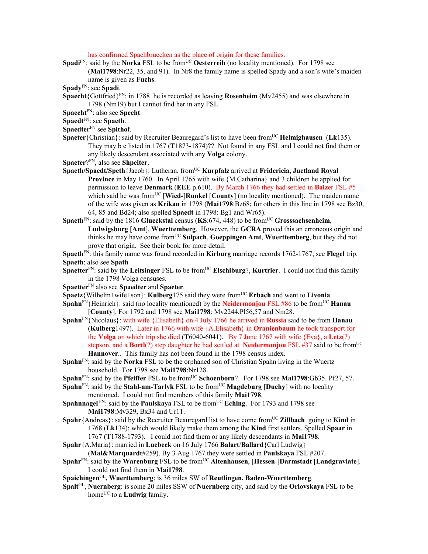has confirmed Spachbruecken as the place of origin for these families.

- **Spadi**FN: said by the **Norka** FSL to be from<sup>UC</sup> **Oesterreih** (no locality mentioned). For 1798 see (**Mai1798**:Nr22, 35, and 91). In Nr8 the family name is spelled Spady and a son's wife's maiden name is given as **Fuchs**.
- **Spady**FN: see **Spadi**.
- **Spaecht**{Gottfried}FN: in 1788 he is recorded as leaving **Rosenheim** (Mv2455) and was elsewhere in 1798 (Nm19) but I cannot find her in any FSL
- **Spaecht**FN: also see **Specht**.
- **Spaedt**FN: see **Spaeth**.
- **Spaedter**FN see **Spithof**.
- **Spaeter** {Christian}: said by Recruiter Beauregard's list to have been from<sup>UC</sup> **Helmighausen** (Lk135). They may b e listed in 1767 (**T**1873-1874)?? Not found in any FSL and I could not find them or any likely descendant associated with any **Volga** colony.
- **Spaeter**?FN, also see **Shpeiter**.
- Spaeth/Spaedt/Speth {Jacob}: Lutheran, from<sup>UC</sup> **Kurpfalz** arrived at **Fridericia, Juetland Royal Province** in May 1760. In April 1765 with wife {M.Catharina} and 3 children he applied for permission to leave **Denmark** (**EEE** p.610). By March 1766 they had settled in **Balze**r FSL #5 which said he was from<sup>UC</sup> [Wied-]Runkel [County] (no locality mentioned). The maiden name of the wife was given as **Krikau** in 1798 (**Mai1798**:Bz68; for others in this line in 1798 see Bz30, 64, 85 and Bd24; also spelled **Spaedt** in 1798: Bg1 and Wr65).
- **Spaeth**FN: said by the 1816 **Glueckstal** census (**KS**:674, 448) to be fromUC **Grosssachsenheim**, **Ludwigsburg** [**Amt**], **Wuerttemberg**. However, the **GCRA** proved this an erroneous origin and thinks he may have come fromUC **Sulpach**, **Goeppingen Amt**, **Wuerttemberg**, but they did not prove that origin. See their book for more detail.
- **Spaeth**FN: this family name was found recorded in **Kirburg** marriage records 1762-1767; see **Flegel** trip. **Spaeth**: also see **Spath**
- **Spaetter**<sup>FN</sup>: said by the **Leitsinger** FSL to be from<sup>UC</sup> **Elschiburg**?, **Kurtrier**. I could not find this family in the 1798 Volga censuses.
- **Spaetter**FN also see **Spaedter** and **Spaeter**.
- **Spaetz**{Wilhelm+wife+son}: **Kulberg**175 said they were from<sup>UC</sup> **Erbach** and went to **Livonia**.
- **Spahn**<sup>FN</sup>{Heinrich}: said (no locality mentioned) by the **Neidermonjou** FSL #86 to be from<sup>UC</sup> **Hanau** [**County**]. For 1792 and 1798 see **Mai1798**: Mv2244,Pl56,57 and Nm28.
- **Spahn**FN{Nicolaus}: with wife {Elisabeth} on 4 July 1766 he arrived in **Russia** said to be from **Hanau**  (**Kulberg**1497). Later in 1766 with wife {A.Elisabeth} in **Oranienbaum** he took transport for the **Volga** on which trip she died (**T**6040-6041). By 7 June 1767 with wife {Eva}, a **Letz**(?) stepson, and a **Bortl**(?) step daughter he had settled at **Neidermonjou** FSL #37 said to be from<sup>UC</sup> **Hannover**.. This family has not been found in the 1798 census index.
- **Spahn**<sup>FN</sup>: said by the **Norka** FSL to be the orphaned son of Christian Spahn living in the Wuertz household. For 1798 see **Mai1798**:Nr128.
- **Spahn**<sup>FN</sup>: said by the **Pfeiffer** FSL to be from<sup>UC</sup> **Schoenborn**?. For 1798 see **Mai1798**:Gb35. Pf27, 57.
- **Spahn**FN: said by the **Stahl-am-Tarlyk** FSL to be from<sup>UC</sup> **Magdeburg** [Duchy] with no locality mentioned. I could not find members of this family **Mai1798**.
- **Spahnnagel** FN: said by the **Paulskaya** FSL to be from<sup>UC</sup> **Eching**. For 1793 and 1798 see **Mai1798**:Mv329, Bx34 and Ur11.
- **Spahr**{Andreas}: said by the Recruiter Beauregard list to have come from<sup>UC</sup> **Zillbach** going to **Kind** in 1768 (**Lk**134); which would likely make them among the **Kind** first settlers. Spelled **Spaar** in 1767 (**T**1788-1793). I could not find them or any likely descendants in **Mai1798**.
- **Spahr**{A.Maria}: married in **Luebeck** on 16 July 1766 **Balart**/**Ballard**{Carl Ludwig} (**Mai&Marquardt**#259). By 3 Aug 1767 they were settled in **Paulskaya** FSL #207.
- **Spahr**<sup>FN</sup>: said by the **Warenburg** FSL to be from<sup>UC</sup> Altenhausen, [Hessen-]Darmstadt [Landgraviate]. I could not find them in **Mai1798**.
- **Spaichingen**GL**, Wuerttemberg**: is 36 miles SW of **Reutlingen, Baden-Wuerttemberg**.
- **Spalt**GL, **Nuernberg**: is some 20 miles SSW of **Nuernberg** city, and said by the **Orlovskaya** FSL to be home<sup>UC</sup> to a **Ludwig** family.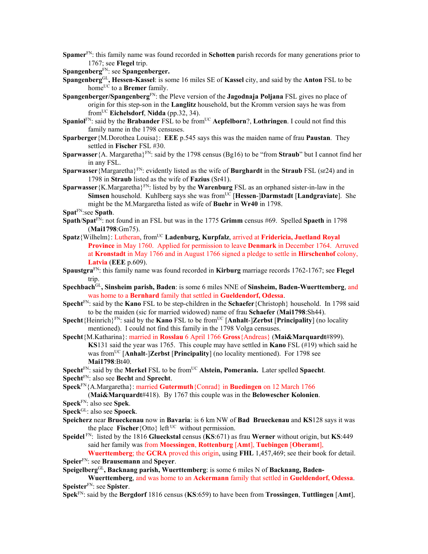**Spamer**FN: this family name was found recorded in **Schotten** parish records for many generations prior to 1767; see **Flegel** trip.

**Spangenberg**FN: see **Spangenberger.**

- **Spangenberg**GL**, Hessen-Kassel**: is some 16 miles SE of **Kassel** city, and said by the **Anton** FSL to be home<sup>UC</sup> to a **Bremer** family.
- **Spangenberger/Spangenberg**FN: the Pleve version of the **Jagodnaja Poljana** FSL gives no place of origin for this step-son in the **Langlitz** household, but the Kromm version says he was from fromUC **Eichelsdorf**, **Nidda** (pp.32, 34).
- **Spaniol**<sup>FN</sup>: said by the **Brabander** FSL to be from<sup>UC</sup> **Aepfelborn**?, **Lothringen**. I could not find this family name in the 1798 censuses.
- **Sparberger**{M.Dorothea Louisa}: **EEE** p.545 says this was the maiden name of frau **Paustan**. They settled in **Fischer** FSL #30.
- **Sparwasser**{A. Margaretha}FN: said by the 1798 census (Bg16) to be "from **Straub**" but I cannot find her in any FSL.
- **Sparwasser**{Margaretha}FN: evidently listed as the wife of **Burghardt** in the **Straub** FSL (sr24) and in 1798 in **Straub** listed as the wife of **Fazius** (Sr41).
- **Sparwasser**{K.Margaretha}FN: listed by by the **Warenburg** FSL as an orphaned sister-in-law in the **Simsen** household. Kuhlberg says she was fromUC [**Hessen**-]**Darmstadt** [**Landgraviate**]. She might be the M.Margaretha listed as wife of **Buehr** in **Wr40** in 1798.

**Spat**FN:see **Spath**.

- **Spath**/**Spat**FN: not found in an FSL but was in the 1775 **Grimm** census #69. Spelled **Spaeth** in 1798 (**Mai1798**:Gm75).
- Spatz{Wilhelm}: Lutheran, from<sup>UC</sup> Ladenburg, Kurpfalz, arrived at Fridericia, Juetland Royal **Province** in May 1760. Applied for permission to leave **Denmark** in December 1764. Arruved at **Kronstadt** in May 1766 and in August 1766 signed a pledge to settle in **Hirschenhof** colony, **Latvia** (**EEE** p.609).
- **Spaustgra**FN: this family name was found recorded in **Kirburg** marriage records 1762-1767; see **Flegel** trip.
- **Spechbach**GL**, Sinsheim parish, Baden**: is some 6 miles NNE of **Sinsheim, Baden-Wuerttemberg**, and was home to a **Bernhard** family that settled in **Gueldendorf, Odessa**.
- **Specht**FN: said by the **Kano** FSL to be step-children in the **Schaefer**{Christoph} household. In 1798 said to be the maiden (sic for married widowed) name of frau **Schaefer** (**Mai1798**:Sh44).
- **Specht** ${H}$ einrich ${F}^N$ : said by the **Kano** FSL to be from<sup>UC</sup> [**Anhalt-**]**Zerbst** [**Principality**] (no locality mentioned). I could not find this family in the 1798 Volga censuses.
- **Specht**{M.Katharina}: married in **Rosslau** 6 April 1766 **Gross**{Andreas} (**Mai&Marquardt**#899). **KS**131 said the year was 1765. This couple may have settled in **Kano** FSL (#19) which said he was fromUC [**Anhalt**-]**Zerbst** [**Principality**] (no locality mentioned). For 1798 see **Mai1798**:Bt40.
- **Specht**<sup>FN</sup>: said by the **Merkel** FSL to be from<sup>UC</sup> **Alstein, Pomerania.** Later spelled **Spaecht**. **Specht**FN: also see **Becht** and **Sprecht**.
- **Speck**FN{A.Margaretha}: married **Gutermuth**{Conrad} in **Buedingen** on 12 March 1766

(**Mai&Marquardt**#418). By 1767 this couple was in the **Belowescher Kolonien**.

**Speck**FN: also see **Spek**.

- **Speck**GL: also see **Spoeck**.
- **Speicherz** near **Brueckenau** now in **Bavaria**: is 6 km NW of **Bad Brueckenau** and **KS**128 says it was the place **Fischer** {Otto} left<sup>UC</sup> without permission.
- **Speidel** FN: listed by the 1816 **Glueckstal** census (**KS**:671) as frau **Werner** without origin, but **KS**:449 said her family was from **Moessingen**, **Rottenburg** [**Amt**], **Tuebingen** [**Oberamt**],

**Wuerttemberg**; the **GCRA** proved this origin, using **FHL** 1,457,469; see their book for detail. **Speier**FN: see **Brausemann** and **Speyer**.

**Speigelberg**GL**, Backnang parish, Wuerttemberg**: is some 6 miles N of **Backnang, Baden-**

**Wuerttemberg**, and was home to an **Ackermann** family that settled in **Gueldendorf, Odessa**. **Speister**FN: see **Spister**.

**Spek**FN: said by the **Bergdorf** 1816 census (**KS**:659) to have been from **Trossingen**, **Tuttlingen** [**Amt**],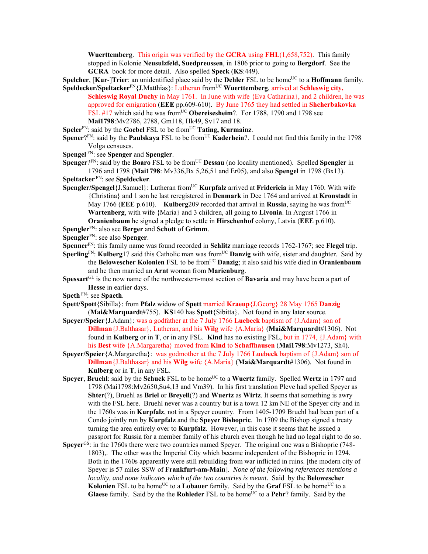**Wuerttemberg**. This origin was verified by the **GCRA** using **FHL**(1,658,752). This family stopped in Kolonie **Neusulzfeld, Suedpreussen**, in 1806 prior to going to **Bergdorf**. See the **GCRA** book for more detail. Also spelled **Speck** (**KS**:449).

**Spelcher, [Kur-]Trier**: an unidentified place said by the **Dehler** FSL to be home<sup>UC</sup> to a **Hoffmann** family. **Speldecker/Speltacker**<sup>FN</sup>{J.Matthias}: Lutheran from<sup>UC</sup> **Wuerttemberg**, arrived at **Schleswig city**,

**Schleswig Royal Duchy** in May 1761. In June with wife {Eva Catharina}, and 2 children, he was approved for emigration (**EEE** pp.609-610). By June 1765 they had settled in **Shcherbakovka** FSL #17 which said he was from<sup>UC</sup> Obereisesheim?. For 1788, 1790 and 1798 see **Mai1798**:Mv2786, 2788, Gm118, Hk49, Sv17 and 18.

**Speler**<sup>FN</sup>: said by the **Goebel** FSL to be from<sup>UC</sup> **Tating, Kurmainz**.

- **Spener**?FN: said by the **Paulskaya** FSL to be from<sup>UC</sup> **Kaderhein**?. I could not find this family in the 1798 Volga censuses.
- **Spengel** FN: see **Spenger** and **Spengler**.

**Spenger**?<sup>FN</sup>: said by the **Boaro** FSL to be from<sup>UC</sup> **Dessau** (no locality mentioned). Spelled **Spengler** in 1796 and 1798 (**Mai1798**: Mv336,Bx 5,26,51 and Er05), and also **Spengel** in 1798 (Bx13). **Speltacker** FN: see **Speldecker**.

**Spengler/Spengel**{J.Samuel}: Lutheran fromUC **Kurpfalz** arrived at **Fridericia** in May 1760. With wife {Christina} and 1 son he last reregistered in **Denmark** in Dec 1764 and arrived at **Kronstadt** in May 1766 (EEE p.610). **Kulberg**209 recorded that arrival in **Russia**, saying he was from<sup>UC</sup> **Wartenberg**, with wife {Maria} and 3 children, all going to **Livonia**. In August 1766 in **Oranienbaum** he signed a pledge to settle in **Hirschenhof** colony, Latvia (**EEE** p.610).

**Spengler**FN: also see **Berger** and **Schott** of **Grimm**.

**Spengler**FN: see also **Spenger**.

- **Spenner**FN: this family name was found recorded in **Schlitz** marriage records 1762-1767; see **Flegel** trip.
- **Sperling**FN: **Kulberg**17 said this Catholic man was from<sup>UC</sup> Danzig with wife, sister and daughter. Said by the **Belowescher Kolonien** FSL to be fromUC **Danzig**; it also said his wife died in **Oranienbaum** and he then married an **Arnt** woman from **Marienburg**.
- **Spessart**<sup>GL</sup> is the now name of the northwestern-most section of **Bavaria** and may have been a part of **Hesse** in earlier days.
- **Speth** FN: see **Spaeth**.
- **Spett/Spott**{Sibilla}: from **Pfalz** widow of **Spett** married **Kraeup**{J.Georg} 28 May 1765 **Danzig**  (**Mai&Marquardt**#755). **KS**140 has **Spott**{Sibitta}. Not found in any later source.
- **Speyer/Speier**{J.Adam}: was a godfather at the 7 July 1766 **Luebeck** baptism of {J.Adam} son of **Dillman**{J.Balthasar}, Lutheran, and his **Wilg** wife {A.Maria} (**Mai&Marquardt**#1306). Not found in **Kulberg** or in **T**, or in any FSL. **Kind** has no existing FSL, but in 1774, {J.Adam} with his **Best** wife {A.Margaretha} moved from **Kind** to **Schaffhausen** (**Mai1798**:Mv1273, Sh4).
- **Speyer/Speier**{A.Margaretha}: was godmother at the 7 July 1766 **Luebeck** baptism of {J.Adam} son of **Dillman**{J.Balthasar} and his **Wilg** wife {A.Maria} (**Mai&Marquardt**#1306). Not found in **Kulberg** or in **T**, in any FSL.
- **Speyer, Bruehl**: said by the **Schuck** FSL to be home<sup>UC</sup> to a **Wuertz** family. Spelled **Wertz** in 1797 and 1798 (Mai1798:Mv2650,Su4,13 and Vm39). In his first translation Pleve had spelled Speyer as **Shter**(?), Bruehl as **Briel** or **Breyell**(?) and **Wuertz** as **Wirtz**. It seems that something is awry with the FSL here. Bruehl never was a country but is a town 12 km NE of the Speyer city and in the 1760s was in **Kurpfalz**, not in a Speyer country. From 1405-1709 Bruehl had been part of a Condo jointly run by **Kurpfalz** and the **Speyer Bishopric**. In 1709 the Bishop signed a treaty turning the area entirely over to **Kurpfalz**. However, in this case it seems that he issued a passport for Russia for a member family of his church even though he had no legal right to do so.
- **Speyer<sup>GS</sup>:** in the 1760s there were two countries named Speyer. The original one was a Bishopric (748-1803),. The other was the Imperial City which became independent of the Bishopric in 1294. Both in the 1760s apparently were still rebuilding from war inflicted in ruins. [the modern city of Speyer is 57 miles SSW of **Frankfurt-am-Main**].*None of the following references mentions a locality, and none indicates which of the two countries is meant.* Said by the **Belowescher Kolonien** FSL to be home<sup>UC</sup> to a **Lobauer** family. Said by the **Graf** FSL to be home<sup>UC</sup> to a **Glaese** family. Said by the the **Rohleder** FSL to be home<sup>UC</sup> to a **Pehr**? family. Said by the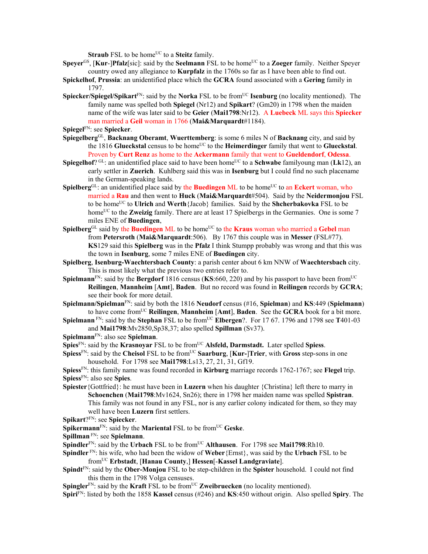**Straub** FSL to be home<sup>UC</sup> to a **Steitz** family.

- **Speyer**<sup>GS</sup>, [**Kur-]Pfalz**[sic]: said by the **Seelmann** FSL to be home<sup>UC</sup> to a **Zoeger** family. Neither Speyer country owed any allegiance to **Kurpfalz** in the 1760s so far as I have been able to find out.
- **Spickelhof**, **Prussia**: an unidentified place which the **GCRA** found associated with a **Gering** family in 1797.
- **Spiecker/Spiegel/Spikart**<sup>FN</sup>: said by the **Norka** FSL to be from<sup>UC</sup> **Isenburg** (no locality mentioned). The family name was spelled both **Spiegel** (Nr12) and **Spikart**? (Gm20) in 1798 when the maiden name of the wife was later said to be **Geier** (**Mai1798**:Nr12). A **Luebeck** ML says this **Spiecker** man married a **Geil** woman in 1766 (**Mai&Marquardt**#1184).
- **Spiegel**FN: see **Spiecker**.
- **Spiegelberg**GL, **Backnang Oberamt**, **Wuerttemberg**: is some 6 miles N of **Backnang** city, and said by the 1816 Glueckstal census to be home<sup>UC</sup> to the **Heimerdinger** family that went to Glueckstal. Proven by **Curt Renz** as home to the **Ackermann** family that went to **Gueldendorf**, **Odessa**.
- **Spiegelhof**?  $GL:$  an unidentified place said to have been home<sup>UC</sup> to a **Schwabe** familyoung man (Lk12), an early settler in **Zuerich**. Kuhlberg said this was in **Isenburg** but I could find no such placename in the German-speaking lands.
- **Spielberg**<sup>GL</sup>: an unidentified place said by the **Buedingen** ML to be home<sup>UC</sup> to an **Eckert** woman, who married a **Rau** and then went to **Huck** (**Mai&Marquardt**#504). Said by the **Neidermonjou** FSL to be homeUC to **Ulrich** and **Werth**{Jacob} families. Said by the **Shcherbakovka** FSL to be home<sup>UC</sup> to the **Zweizig** family. There are at least 17 Spielbergs in the Germanies. One is some 7 miles ENE of **Buedingen**,
- **Spielberg**<sup>GL</sup> said by the **Buedingen** ML to be home<sup>UC</sup> to the **Kraus** woman who married a Gebel man from **Petersroth** (**Mai&Marquardt**:506). By 1767 this couple was in **Messer** (FSL#77). **KS**129 said this **Spielberg** was in the **Pfalz** I think Stumpp probably was wrong and that this was the town in **Isenburg**, some 7 miles ENE of **Buedingen** city.
- **Spielberg**, **Isenburg-Waechtersbach County**: a parish center about 6 km NNW of **Waechtersbach** city. This is most likely what the previous two entries refer to.
- **Spielmann**<sup>FN</sup>: said by the **Bergdorf** 1816 census ( $KS:660$ , 220) and by his passport to have been from<sup>UC</sup> **Reilingen**, **Mannheim** [**Amt**], **Baden**. But no record was found in **Reilingen** records by **GCRA**; see their book for more detail.
- **Spielmann/Spielman**FN: said by both the 1816 **Neudorf** census (#16, **Spielman**) and **KS**:449 (**Spielmann**) to have come fromUC **Reilingen**, **Mannheim** [**Amt**], **Baden**. See the **GCRA** book for a bit more.
- **Spielmann** FN: said by the **Stephan** FSL to be from<sup>UC</sup> **Elbergen**?. For 17 67. 1796 and 1798 see **T**401-03 and **Mai1798**:Mv2850,Sp38,37; also spelled **Spillman** (Sv37).

**Spielmann**FN: also see **Spielman**.

**Spies**<sup>FN</sup>: said by the **Krasnovar** FSL to be from<sup>UC</sup> **Alsfeld, Darmstadt.** Later spelled **Spiess**.

- **Spiess**<sup>FN</sup>: said by the **Cheisol** FSL to be from<sup>UC</sup> **Saarburg**, [**Kur-**]**Trier**, with **Gross** step-sons in one household. For 1798 see **Mai1798**:Ls13, 27, 21, 31, Gf19.
- **Spiess**FN: this family name was found recorded in **Kirburg** marriage records 1762-1767; see **Flegel** trip. **Spiess**FN: also see **Spies**.
- **Spiester**{Gottfried}: he must have been in **Luzern** when his daughter {Christina} left there to marry in **Schoenchen** (**Mai1798**:Mv1624, Sn26); there in 1798 her maiden name was spelled **Spistran**. This family was not found in any FSL, nor is any earlier colony indicated for them, so they may well have been **Luzern** first settlers.
- **Spikart**?FN: see **Spiecker**.
- **Spikermann**<sup>FN</sup>: said by the **Mariental** FSL to be from<sup>UC</sup> Geske.
- **Spillman** FN: see **Spielmann**.
- **Spindler**<sup>FN</sup>: said by the **Urbach** FSL to be from<sup>UC</sup> **Althausen**. For 1798 see **Mai1798**:Rh10.
- **Spindler** FN: his wife, who had been the widow of **Weber**{Ernst}, was said by the **Urbach** FSL to be fromUC **Erbstadt**, [**Hanau County**,] **Hessen**[-**Kassel Landgraviate**].
- **Spindt**FN: said by the **Ober-Monjou** FSL to be step-children in the **Spister** household. I could not find this them in the 1798 Volga censuses.
- **Spingler**<sup>FN</sup>: said by the **Kraft** FSL to be from<sup>UC</sup> **Zweibruecken** (no locality mentioned).

**Spiri**FN: listed by both the 1858 **Kassel** census (#246) and **KS**:450 without origin. Also spelled **Spiry**. The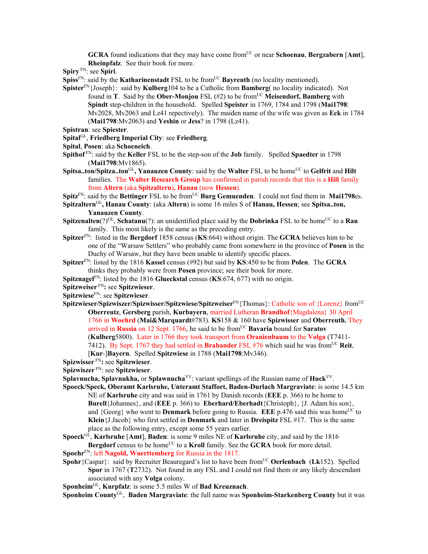**GCRA** found indications that they may have come from<sup>UC</sup> or near **Schoenau**, **Bergzabern** [Amt], **Rheinpfalz**. See their book for more.

**Spiry** FN: see **Spiri**.

**Spiss**<sup>FN</sup>: said by the **Katharinenstadt** FSL to be from<sup>UC</sup> **Bayreuth** (no locality mentioned).

- **Spister**FN{Joseph}: said by **Kulberg**104 to be a Catholic from **Bamberg**( no locality indicated). Not found in **T**. Said by the **Ober-Monjou** FSL (#2) to be from<sup>UC</sup> Meisendorf, Bamberg with **Spindt** step-children in the household. Spelled **Speister** in 1769, 1784 and 1798 (**Mai1798**: Mv2028, Mv2063 and Lz41 repectively). The maiden name of the wife was given as **Eck** in 1784 (**Mai1798**:Mv2063) and **Yeshin** or **Jess**? in 1798 (Lz41).
- **Spistran**: see **Spiester**.
- **Spital**GL, **Friedberg Imperial City**: see **Friedberg**.
- **Spital**, **Posen**: aka **Schoeneich**.
- **Spithof** FN: said by the **Keller** FSL to be the step-son of the **Job** family. Spelled **Spaedter** in 1798 (**Mai1798**:Mv1865).
- **Spitsa..ton/Spitza..ton**<sup>GL</sup>, Yanauzen County: said by the Walter FSL to be home<sup>UC</sup> to Gelfrit and Hilt families. The **Walter Research Group** has confirmed in parish records that this is a **Hill** family from **Altern** (aka **Spitzaltern**)**, Hanau** (now **Hessen**).
- Spitz<sup>FN</sup>: said by the Bettinger FSL to be from<sup>UC</sup> Burg Gemuenden. I could not find them in Mai1798es.
- **Spitzaltern**GL**, Hanau County**: (aka **Altern**) is some 16 miles S of **Hanau, Hessen**; see **Spitsa..ton, Yanauzen County**.
- **Spitzenalten**(?)<sup>GL</sup>, **Schatanu**(?): an unidentified place said by the **Dobrinka** FSL to be home<sup>UC</sup> to a **Rau** family. This most likely is the same as the preceding entry.
- **Spitzer**FN: listed in the **Bergdorf** 1858 census (**KS**:664) without origin. The **GCRA** believes him to be one of the "Warsaw Settlers" who probably came from somewhere in the province of **Posen** in the Duchy of Warsaw, but they have been unable to identify specific places.
- **Spitzer**FN: listed by the 1816 **Kassel** census (#92) but said by **KS**:450 to be from **Polen**. The **GCRA** thinks they probably were from **Posen** province; see their book for more.
- **Spitznagel**FN: listed by the 1816 **Glueckstal** census (**KS**:674, 677) with no origin.
- **Spitzweiser** FN**:** see **Spitzwieser**.
- **Spitzwiese**FN: see **Spitzwieser**.
- **Spitzwieser/Spizwiszer/Spizwisser/Spitzwiese/Spitzweiser**FN{Thomas}: Catholic son of {Lorenz} fromUC **Oberreutz**, **Gersberg** parish, **Kurbayern**, married Lutheran **Brandhof**{Magdalena} 30 April 1766 in **Woehrd** (**Mai&Marquardt**#783). **KS**158 & 160 have **Spizwisser** and **Oberreuth.** They arrived in **Russia** on 12 Sept. 1766, he said to be fromUC **Bavaria** bound for **Saratov** (**Kulberg**5800). Later in 1766 they took transport from **Oranienbaum** to the **Volga** (T7411- 7412). By Sept. 1767 they had settled in **Brabander** FSL  $#76$  which said he was from<sup>UC</sup> **Reit**, [**Kur**-]**Bayern**. Spelled **Spitzwiese** in 1788 (**Mai1798**:Mv346).
- **Spizwisser** FN**:** see **Spitzwieser**.
- **Spizwiszer** FN: see **Spitzwieser**.
- **Splavnucha, Splavnukha,** or **Splawnucha**<sup>VV</sup>: variant spellings of the Russian name of **Huck**<sup>VV</sup>.
- **Spoeck/Speck, Oberamt Karlsruhe, Unteramt Staffort, Baden-Durlach Margraviate**: is some 14.5 km NE of **Karlsruhe** city and was said in 1761 by Danish records (**EEE** p. 366) to be home to **Burell**{Johannes}, and (**EEE** p. 366) to **Eberhard/Eberhadt**{Christoph}, {J. Adam his son}, and  ${Georg}$  who went to **Denmark** before going to Russia. **EEE** p.476 said this was home<sup>UC</sup> to **Klein**{J.Jacob} who first settled in **Denmark** and later in **Dreispitz** FSL #17. This is the same place as the following entry, except some 55 years earlier.
- **Spoeck**GL, **Karlsruhe** [**Amt**], **Baden**: is some 9 miles NE of **Karlsruhe** city, and said by the 1816 **Bergdorf** census to be home<sup>UC</sup> to a **Kroll** family. See the **GCRA** book for more detail.
- **Spoehr**FN: left **Nagold, Wuerttemberg** for Russia in the 1817.
- **Spohr**{Caspar}: said by Recruiter Beauregard's list to have been from<sup>UC</sup> **Oerlenbach** (Lk152). Spelled **Spor** in 1767 (**T**2732). Not found in any FSL and I could not find them or any likely descendant associated with any **Volga** colony.
- **Sponheim**GL, **Kurpfalz**: is some 5.5 miles W of **Bad Kreuznach**.
- **Sponheim County**GL, **Baden Margraviate**: the full name was **Sponheim-Starkenberg County** but it was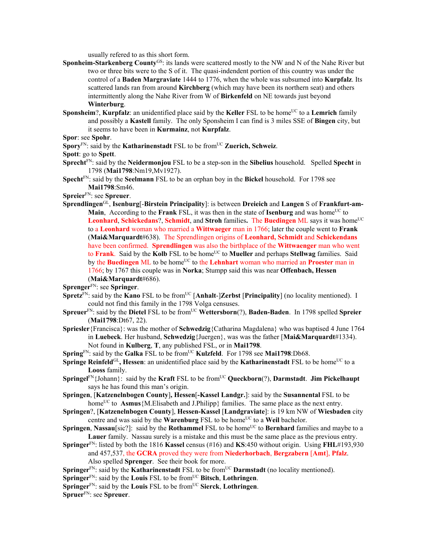usually refered to as this short form.

- **Sponheim-Starkenberg County**GS: its lands were scattered mostly to the NW and N of the Nahe River but two or three bits were to the S of it. The quasi-indendent portion of this country was under the control of a **Baden Margraviate** 1444 to 1776, when the whole was subsumed into **Kurpfalz**. Its scattered lands ran from around **Kirchberg** (which may have been its northern seat) and others intermittently along the Nahe River from W of **Birkenfeld** on NE towards just beyond **Winterburg**.
- **Sponsheim**?, **Kurpfalz**: an unidentified place said by the **Keller** FSL to be home<sup>UC</sup> to a **Lemrich** family and possibly a **Kastell** family. The only Sponsheim I can find is 3 miles SSE of **Bingen** city, but it seems to have been in **Kurmainz**, not **Kurpfalz**.
- **Spor**: see **Spohr**.
- **Spory**<sup>FN</sup>: said by the **Katharinenstadt** FSL to be from<sup>UC</sup> **Zuerich, Schweiz**.

**Spott**: go to **Spett**.

- **Sprecht**FN: said by the **Neidermonjou** FSL to be a step-son in the **Sibelius** household. Spelled **Specht** in 1798 (**Mai1798**:Nm19,Mv1927).
- **Specht**FN: said by the **Seelmann** FSL to be an orphan boy in the **Bickel** household. For 1798 see **Mai1798**:Sm46.

**Spreier**FN: see **Spreuer**.

**Sprendlingen**GL, **Isenburg**[-**Birstein Principality**]: is between **Dreieich** and **Langen** S of **Frankfurt-am-Main**, According to the **Frank** FSL, it was then in the state of **Isenburg** and was home<sup>UC</sup> to **Leonhard, Schickedans?, Schmidt, and Stroh families. The Buedingen ML says it was home<sup>UC</sup>** to a **Leonhard** woman who married a **Wittwaeger** man in 1766; later the couple went to **Frank** (**Mai&Marquardt**#638). The Sprendlingen origins of **Leonhard, Schmidt** and **Schickendans** have been confirmed. **Sprendlingen** was also the birthplace of the **Wittwaenger** man who went to **Frank**. Said by the Kolb FSL to be home<sup>UC</sup> to Mueller and perhaps Stellwag families. Said by the **Buedingen** ML to be home<sup>UC</sup> to the **Lehnhart** woman who married an **Proester** man in 1766; by 1767 this couple was in **Norka**; Stumpp said this was near **Offenbach, Hessen** (**Mai&Marquardt**#686).

**Sprenger**FN: see **Springer**.

- **Spretz**FN: said by the **Kano** FSL to be fromUC [**Anhalt**-]**Zerbst** [**Principality**] (no locality mentioned). I could not find this family in the 1798 Volga censuses.
- **Spreuer**FN: said by the **Dietel** FSL to be fromUC **Wettersborn**(?), **Baden-Baden**. In 1798 spelled **Spreier** (**Mai1798**:Dt67, 22).
- **Spriesler**{Francisca}: was the mother of **Schwedzig**{Catharina Magdalena} who was baptised 4 June 1764 in **Luebeck**. Her husband, **Schwedzig**{Juergen}, was was the father [**Mai&Marquardt**#1334). Not found in **Kulberg**, **T**, any published FSL, or in **Mai1798**.
- **Spring**<sup>FN</sup>: said by the **Galka** FSL to be from<sup>UC</sup> **Kulzfeld**. For 1798 see **Mai1798**:Db68.
- **Springe Reinfeld**<sup>GL</sup>, **Hessen**: an unidentified place said by the **Katharinenstadt** FSL to be home<sup>UC</sup> to a **Looss** family.
- **Springel**<sup>FN</sup>{Johann}: said by the **Kraft** FSL to be from<sup>UC</sup> **Queckborn**(?), **Darmstadt.** Jim Pickelhaupt says he has found this man's origin.
- **Springen**, [**Katzenelnbogen County**]**, Hessen**[**-Kassel Landgr.**]: said by the **Susannental** FSL to be home<sup>UC</sup> to **Asmus**{M.Elisabeth and J.Philipp} families. The same place as the next entry.
- **Springen**?, [**Katzenelnbogen County**], **Hessen-Kassel** [**Landgraviate**]: is 19 km NW of **Wiesbaden** city centre and was said by the **Warenburg** FSL to be home<sup>UC</sup> to a **Weil** bachelor.
- **Springen**, **Nassau**[sic?]: said by the **Rothammel** FSL to be home<sup>UC</sup> to **Bernhard** families and maybe to a **Lauer** family. Nassau surely is a mistake and this must be the same place as the previous entry.
- **Springer**FN: listed by both the 1816 **Kassel** census (#16) and **KS**:450 without origin. Using **FHL**#193,930 and 457,537, the **GCRA** proved they were from **Niederhorbach**, **Bergzabern** [**Amt**], **Pfalz**. Also spelled **Sprenger**. See their book for more.
- **Springer**<sup>FN</sup>: said by the **Katharinenstadt** FSL to be from<sup>UC</sup> **Darmstadt** (no locality mentioned).
- **Springer**FN: said by the **Louis** FSL to be fromUC **Bitsch**, **Lothringen**.
- **Springer**FN: said by the **Louis** FSL to be fromUC **Sierck**, **Lothringen**.

**Spruer**FN: see **Spreuer**.